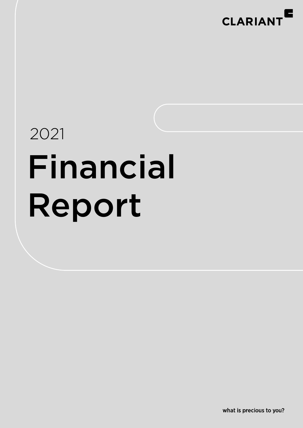

# 2021 Financial Report

what is precious to you?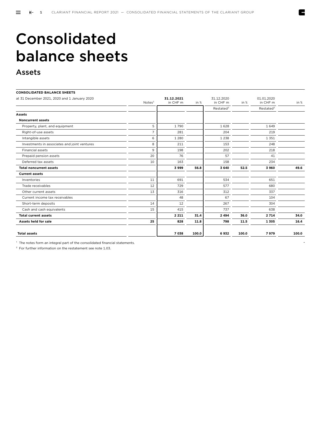Z

# Consolidated balance sheets

### Assets

| <b>CONSOLIDATED BALANCE SHEETS</b>           |                   |            |       |                       |       |                       |       |
|----------------------------------------------|-------------------|------------|-------|-----------------------|-------|-----------------------|-------|
| at 31 December 2021, 2020 and 1 January 2020 |                   | 31.12.2021 |       | 31.12.2020            |       | 01.01.2020            |       |
|                                              | Note <sup>1</sup> | in CHF m   | in %  | in CHF m              | in %  | in CHF m              | in %  |
|                                              |                   |            |       | Restated <sup>2</sup> |       | Restated <sup>2</sup> |       |
| <b>Assets</b>                                |                   |            |       |                       |       |                       |       |
| <b>Noncurrent assets</b>                     |                   |            |       |                       |       |                       |       |
| Property, plant, and equipment               | 5                 | 1790       |       | 1628                  |       | 1649                  |       |
| Right-of-use assets                          | $\overline{7}$    | 281        |       | 204                   |       | 219                   |       |
| Intangible assets                            | 6                 | 1 2 8 0    |       | 1 2 3 8               |       | 1351                  |       |
| Investments in associates and joint ventures | 8                 | 211        |       | 153                   |       | 248                   |       |
| <b>Financial assets</b>                      | 9                 | 198        |       | 202                   |       | 218                   |       |
| Prepaid pension assets                       | 20                | 76         |       | 57                    |       | 41                    |       |
| Deferred tax assets                          | 10                | 163        |       | 158                   |       | 234                   |       |
| <b>Total noncurrent assets</b>               |                   | 3999       | 56.8  | 3 6 4 0               | 52.5  | 3960                  | 49.6  |
| <b>Current assets</b>                        |                   |            |       |                       |       |                       |       |
| Inventories                                  | 11                | 691        |       | 534                   |       | 651                   |       |
| Trade receivables                            | 12                | 729        |       | 577                   |       | 680                   |       |
| Other current assets                         | 13                | 316        |       | 312                   |       | 337                   |       |
| Current income tax receivables               |                   | 48         |       | 67                    |       | 104                   |       |
| Short-term deposits                          | 14                | 12         |       | 267                   |       | 304                   |       |
| Cash and cash equivalents                    | 15                | 415        |       | 737                   |       | 638                   |       |
| <b>Total current assets</b>                  |                   | 2 2 1 1    | 31.4  | 2 4 9 4               | 36.0  | 2 7 14                | 34.0  |
| Assets held for sale                         | 25                | 828        | 11.8  | 798                   | 11.5  | 1305                  | 16.4  |
|                                              |                   |            |       |                       |       |                       |       |
| <b>Total assets</b>                          |                   | 7 0 38     | 100.0 | 6932                  | 100.0 | 7979                  | 100.0 |

<sup>1</sup> The notes form an integral part of the consolidated financial statements.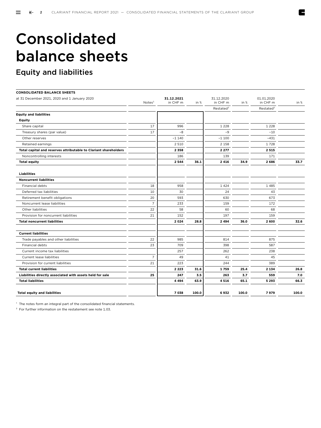E

## Consolidated balance sheets

### Equity and liabilities

| <b>CONSOLIDATED BALANCE SHEETS</b>                               |                   |                        |       |                        |       |                        |       |
|------------------------------------------------------------------|-------------------|------------------------|-------|------------------------|-------|------------------------|-------|
| at 31 December 2021, 2020 and 1 January 2020                     | Note <sup>1</sup> | 31.12.2021<br>in CHF m | in %  | 31.12.2020<br>in CHF m | in %  | 01.01.2020<br>in CHF m | in %  |
|                                                                  |                   |                        |       | Restated <sup>2</sup>  |       | Restated <sup>2</sup>  |       |
| <b>Equity and liabilities</b>                                    |                   |                        |       |                        |       |                        |       |
| <b>Equity</b>                                                    |                   |                        |       |                        |       |                        |       |
| Share capital                                                    | 17                | 996                    |       | 1 2 2 8                |       | 1 2 2 8                |       |
| Treasury shares (par value)                                      | 17                | $-8$                   |       | $-9$                   |       | $-10$                  |       |
| Other reserves                                                   |                   | $-1140$                |       | $-1100$                |       | $-431$                 |       |
| Retained earnings                                                |                   | 2 5 1 0                |       | 2 1 5 8                |       | 1728                   |       |
| Total capital and reserves attributable to Clariant shareholders |                   | 2 3 5 8                |       | 2 2 7 7                |       | 2515                   |       |
| Noncontrolling interests                                         |                   | 186                    |       | 139                    |       | 171                    |       |
| <b>Total equity</b>                                              |                   | 2 5 4 4                | 36.1  | 2 4 1 6                | 34.9  | 2686                   | 33.7  |
| <b>Liabilities</b>                                               |                   |                        |       |                        |       |                        |       |
| <b>Noncurrent liabilities</b>                                    |                   |                        |       |                        |       |                        |       |
| Financial debts                                                  | 18                | 958                    |       | 1424                   |       | 1485                   |       |
| Deferred tax liabilities                                         | 10                | 30                     |       | 24                     |       | 43                     |       |
| Retirement benefit obligations                                   | 20                | 593                    |       | 630                    |       | 673                    |       |
| Noncurrent lease liabilities                                     | $\overline{7}$    | 233                    |       | 159                    |       | 172                    |       |
| Other liabilities                                                | 22                | 58                     |       | 60                     |       | 68                     |       |
| Provision for noncurrent liabilities                             | 21                | 152                    |       | 197                    |       | 159                    |       |
| <b>Total noncurrent liabilities</b>                              |                   | 2024                   | 28.8  | 2 4 9 4                | 36.0  | 2 600                  | 32.6  |
| <b>Current liabilities</b>                                       |                   |                        |       |                        |       |                        |       |
| Trade payables and other liabilities                             | 22                | 985                    |       | 814                    |       | 875                    |       |
| <b>Financial debts</b>                                           | 23                | 709                    |       | 398                    |       | 587                    |       |
| Current income tax liabilities                                   |                   | 257                    |       | 262                    |       | 238                    |       |
| Current lease liabilities                                        | $\overline{7}$    | 49                     |       | 41                     |       | 45                     |       |
| Provision for current liabilities                                | 21                | 223                    |       | 244                    |       | 389                    |       |
| <b>Total current liabilities</b>                                 |                   | 2 2 2 3                | 31.6  | 1759                   | 25.4  | 2 1 3 4                | 26.8  |
| Liabilities directly associated with assets held for sale        | 25                | 247                    | 3.5   | 263                    | 3.7   | 559                    | 7.0   |
| <b>Total liabilities</b>                                         |                   | 4 4 9 4                | 63.9  | 4516                   | 65.1  | 5 2 9 3                | 66.3  |
| <b>Total equity and liabilities</b>                              |                   | 7038                   | 100.0 | 6932                   | 100.0 | 7979                   | 100.0 |

<sup>1</sup> The notes form an integral part of the consolidated financial statements.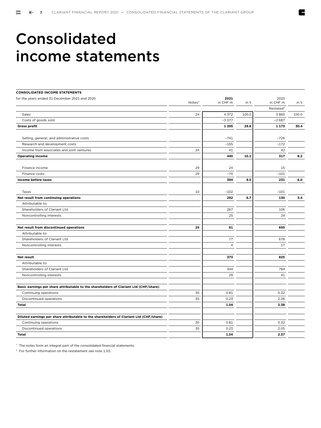### Consolidated income statements

| <b>CONSOLIDATED INCOME STATEMENTS</b>                                                   |                    |                |        |                       |       |
|-----------------------------------------------------------------------------------------|--------------------|----------------|--------|-----------------------|-------|
| for the years ended 31 December 2021 and 2020                                           |                    | 2021           |        | 2020                  |       |
|                                                                                         | Notes <sup>1</sup> | in CHF m       | in $%$ | in CHF m              | in %  |
|                                                                                         |                    |                |        | Restated <sup>2</sup> |       |
| Sales                                                                                   | 24                 | 4 3 7 2        | 100.0  | 3860                  | 100.0 |
| Costs of goods sold                                                                     |                    | $-3077$        |        | $-2687$               |       |
| <b>Gross profit</b>                                                                     |                    | 1 2 9 5        | 29.6   | 1 1 7 3               | 30.4  |
| Selling, general, and administrative costs                                              |                    | $-741$         |        | $-726$                |       |
| Research and development costs                                                          |                    | $-155$         |        | $-172$                |       |
| Income from associates and joint ventures                                               | 24                 | 41             |        | 42                    |       |
| <b>Operating income</b>                                                                 |                    | 440            | 10.1   | 317                   | 8.2   |
| Finance income                                                                          | 29                 | 24             |        | 15                    |       |
| Finance costs                                                                           | 29                 | $-70$          |        | $-101$                |       |
| Income before taxes                                                                     |                    | 394            | 9.0    | 231                   | 6.0   |
| Taxes                                                                                   |                    | $-102$         |        | $-101$                |       |
| Net result from continuing operations                                                   | 10                 | 292            | 6.7    | 130                   | 3.4   |
| Attributable to:                                                                        |                    |                |        |                       |       |
| Shareholders of Clariant Ltd                                                            |                    | 267            |        | 106                   |       |
| Noncontrolling interests                                                                |                    | 25             |        | 24                    |       |
|                                                                                         |                    |                |        |                       |       |
| Net result from discontinued operations                                                 | 25                 | 81             |        | 695                   |       |
| Attributable to:                                                                        |                    |                |        |                       |       |
| Shareholders of Clariant Ltd                                                            |                    | 77             |        | 678                   |       |
| Noncontrolling interests                                                                |                    | $\overline{4}$ |        | 17                    |       |
|                                                                                         |                    |                |        | 825                   |       |
| Net result<br>Attributable to:                                                          |                    | 373            |        |                       |       |
| Shareholders of Clariant Ltd                                                            |                    | 344            |        | 784                   |       |
| Noncontrolling interests                                                                |                    | 29             |        | 41                    |       |
|                                                                                         |                    |                |        |                       |       |
| Basic earnings per share attributable to the shareholders of Clariant Ltd (CHF/share)   |                    |                |        |                       |       |
| Continuing operations                                                                   | 30                 | 0.81           |        | 0.32                  |       |
| Discontinued operations                                                                 | 30                 | 0.23           |        | 2.06                  |       |
| <b>Total</b>                                                                            |                    | 1.04           |        | 2.38                  |       |
|                                                                                         |                    |                |        |                       |       |
| Diluted earnings per share attributable to the shareholders of Clariant Ltd (CHF/share) |                    |                |        |                       |       |
| Continuing operations                                                                   | 30                 | 0.81           |        | 0.32                  |       |
| Discontinued operations                                                                 | 30                 | 0.23           |        | 2.05                  |       |
| <b>Total</b>                                                                            |                    | 1.04           |        | 2.37                  |       |

<sup>1</sup> The notes form an integral part of the consolidated financial statements.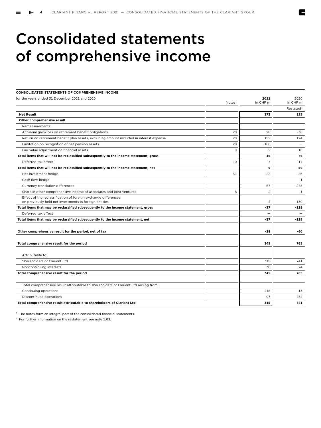Z

### Consolidated statements of comprehensive income

| <b>CONSOLIDATED STATEMENTS OF COMPREHENSIVE INCOME</b>                                                                   |                    |                |                          |
|--------------------------------------------------------------------------------------------------------------------------|--------------------|----------------|--------------------------|
| for the years ended 31 December 2021 and 2020                                                                            |                    | 2021           | 2020                     |
|                                                                                                                          | Notes <sup>1</sup> | in CHF m       | in CHF m                 |
|                                                                                                                          |                    |                | Restated <sup>2</sup>    |
| <b>Net Result</b>                                                                                                        |                    | 373            | 825                      |
| Other comprehensive result                                                                                               |                    |                |                          |
| Remeasurements:                                                                                                          |                    |                |                          |
| Actuarial gain/loss on retirement benefit obligations                                                                    | 20                 | 28             | $-38$                    |
| Return on retirement benefit plan assets, excluding amount included in interest expense                                  | 20                 | 152            | 124                      |
| Limitation on recognition of net pension assets                                                                          | 20                 | $-166$         | $\overline{\phantom{0}}$ |
| Fair value adjustment on financial assets                                                                                | 9                  | $\overline{2}$ | $-10$                    |
| Total items that will not be reclassified subsequently to the income statement, gross                                    |                    | 16             | 76                       |
| Deferred tax effect                                                                                                      | 10                 | $-7$           | $-17$                    |
| Total items that will not be reclassified subsequently to the income statement, net                                      |                    | 9              | 59                       |
| Net investment hedge                                                                                                     | 31                 | 22             | 26                       |
| Cash flow hedge                                                                                                          |                    | ۳              | $-1$                     |
| Currency translation differences                                                                                         |                    | $-57$          | $-275$                   |
| Share in other comprehensive income of associates and joint ventures                                                     | 8                  | $\overline{2}$ | $\mathbf{1}$             |
| Effect of the reclassification of foreign exchange differences<br>on previously held net investments in foreign entities |                    | -4             | 130                      |
| Total items that may be reclassified subsequently to the income statement, gross                                         |                    | $-37$          | $-119$                   |
| Deferred tax effect                                                                                                      |                    |                |                          |
| Total items that may be reclassified subsequently to the income statement, net                                           |                    | $-37$          | $-119$                   |
| Other comprehensive result for the period, net of tax                                                                    |                    | -28            | -60                      |
|                                                                                                                          |                    |                |                          |
| Total comprehensive result for the period                                                                                |                    | 345            | 765                      |
|                                                                                                                          |                    |                |                          |
| Attributable to:                                                                                                         |                    |                |                          |
| Shareholders of Clariant Ltd                                                                                             |                    | 315            | 741                      |
| Noncontrolling interests                                                                                                 |                    | 30             | 24                       |
| Total comprehensive result for the period                                                                                |                    | 345            | 765                      |
|                                                                                                                          |                    |                |                          |
| Total comprehensive result attributable to shareholders of Clariant Ltd arising from:                                    |                    |                |                          |
| Continuing operations                                                                                                    |                    | 218            | $-13$                    |
| Discontinued operations                                                                                                  |                    | 97             | 754                      |
| Total comprehensive result attributable to shareholders of Clariant Ltd                                                  |                    | 315            | 741                      |
|                                                                                                                          |                    |                |                          |

<sup>1</sup> The notes form an integral part of the consolidated financial statements.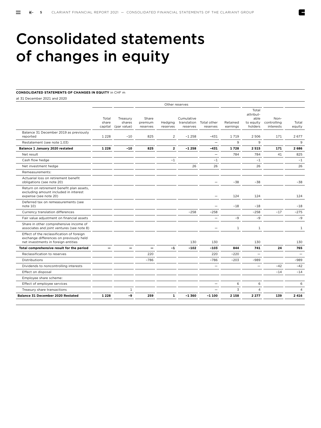## Consolidated statements of changes in equity

#### **CONSOLIDATED STATEMENTS OF CHANGES IN EQUITY** in CHF m

at 31 December 2021 and 2020

| Total<br>share<br>capital | Treasury<br>shares<br>(par value) | Share<br>premium<br>reserves | Hedging<br>reserves | Cumulative<br>translation<br>reserves | Total other<br>reserves  | Retained<br>earnings | Total<br>attribut-<br>able<br>to equity<br>holders | Non-<br>controlling<br>interests | Total<br>equity          |
|---------------------------|-----------------------------------|------------------------------|---------------------|---------------------------------------|--------------------------|----------------------|----------------------------------------------------|----------------------------------|--------------------------|
| 1 2 2 8                   | $-10$                             | 825                          | 2                   | $-1258$                               | $-431$                   | 1719                 | 2 5 0 6                                            | 171                              | 2677                     |
|                           |                                   |                              |                     |                                       |                          | 9                    | 9                                                  |                                  | 9                        |
| 1 2 2 8                   | $-10$                             | 825                          | $\mathbf{2}$        | $-1.258$                              | $-431$                   | 1728                 | 2 5 1 5                                            | 171                              | 2686                     |
|                           |                                   |                              |                     |                                       | $\overline{\phantom{0}}$ | 784                  | 784                                                | 41                               | 825                      |
|                           |                                   |                              | $-1$                |                                       | $-1$                     |                      | $-1$                                               |                                  | $-1$                     |
|                           |                                   |                              |                     | 26                                    | 26                       |                      | 26                                                 |                                  | 26                       |
|                           |                                   |                              |                     |                                       |                          |                      |                                                    |                                  |                          |
|                           |                                   |                              |                     |                                       |                          | $-38$                | $-38$                                              |                                  | $-38$                    |
|                           |                                   |                              |                     |                                       |                          | 124                  | 124                                                |                                  | 124                      |
|                           |                                   |                              |                     |                                       |                          | $-18$                | $-18$                                              |                                  | $-18$                    |
|                           |                                   |                              |                     | $-258$                                | $-258$                   |                      | $-258$                                             | $-17$                            | $-275$                   |
|                           |                                   |                              |                     |                                       | $\overline{\phantom{0}}$ | $-9$                 | $-9$                                               |                                  | $-9$                     |
|                           |                                   |                              |                     |                                       |                          | $\mathbf{1}$         | $\mathbf{1}$                                       |                                  | $\mathbf{1}$             |
|                           |                                   |                              |                     | 130                                   | 130                      |                      | 130                                                |                                  | 130                      |
|                           |                                   |                              | $-1$                | $-102$                                | $-103$                   | 844                  | 741                                                | 24                               | 765                      |
|                           |                                   | 220                          |                     |                                       | 220                      | $-220$               | $\overline{\phantom{0}}$                           |                                  | $\overline{\phantom{0}}$ |
|                           |                                   | $-786$                       |                     |                                       | $-786$                   | $-203$               | $-989$                                             |                                  | $-989$                   |
|                           |                                   |                              |                     |                                       |                          |                      |                                                    | $-42$                            | $-42$                    |
|                           |                                   |                              |                     |                                       |                          |                      |                                                    | $-14$                            | $-14$                    |
|                           |                                   |                              |                     |                                       |                          |                      |                                                    |                                  |                          |
|                           |                                   |                              |                     |                                       |                          | 6                    | 6                                                  |                                  | 6                        |
|                           | $\mathbf{1}$                      |                              |                     |                                       |                          | $\overline{3}$       | $\overline{4}$                                     |                                  | $\overline{4}$           |
| 1 2 2 8                   | -9                                | 259                          | $\mathbf{1}$        | $-1,360$                              | $-1100$                  | 2 1 5 8              | 2 2 7 7                                            | 139                              | 2 4 1 6                  |
|                           |                                   |                              |                     |                                       | Other reserves           |                      |                                                    |                                  |                          |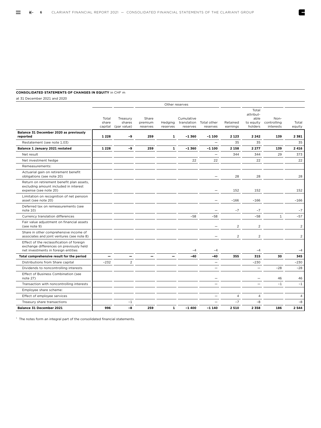#### **CONSOLIDATED STATEMENTS OF CHANGES IN EQUITY** in CHF m

at 31 December 2021 and 2020

|                                                                                                                             |                           |                                   |                              |                     | Other reserves                        |                          |                      |                                                    |                                  |                 |
|-----------------------------------------------------------------------------------------------------------------------------|---------------------------|-----------------------------------|------------------------------|---------------------|---------------------------------------|--------------------------|----------------------|----------------------------------------------------|----------------------------------|-----------------|
|                                                                                                                             | Total<br>share<br>capital | Treasury<br>shares<br>(par value) | Share<br>premium<br>reserves | Hedging<br>reserves | Cumulative<br>translation<br>reserves | Total other<br>reserves  | Retained<br>earnings | Total<br>attribut-<br>able<br>to equity<br>holders | Non-<br>controlling<br>interests | Total<br>equity |
| Balance 31 December 2020 as previously<br>reported                                                                          | 1 2 2 8                   | -9                                | 259                          | 1                   | $-1,360$                              | $-1100$                  | 2 1 2 3              | 2 2 4 2                                            | 139                              | 2 3 8 1         |
| Restatement (see note 1.03)                                                                                                 |                           |                                   |                              |                     |                                       | $\overline{\phantom{0}}$ | 35                   | 35                                                 |                                  | 35              |
| Balance 1 January 2021 restated                                                                                             | 1 2 2 8                   | -9                                | 259                          | $\mathbf{1}$        | $-1,360$                              | $-1100$                  | 2 1 5 8              | 2 2 7 7                                            | 139                              | 2 4 1 6         |
| Net result                                                                                                                  |                           |                                   |                              |                     |                                       | $\overline{\phantom{0}}$ | 344                  | 344                                                | 29                               | 373             |
| Net investment hedge                                                                                                        |                           |                                   |                              |                     | 22                                    | 22                       |                      | 22                                                 |                                  | 22              |
| Remeasurements:                                                                                                             |                           |                                   |                              |                     |                                       |                          |                      |                                                    |                                  |                 |
| Actuarial gain on retirement benefit<br>obligations (see note 20)                                                           |                           |                                   |                              |                     |                                       | $\overline{\phantom{0}}$ | 28                   | 28                                                 |                                  | 28              |
| Return on retirement benefit plan assets,<br>excluding amount included in interest<br>expense (see note 20)                 |                           |                                   |                              |                     |                                       |                          | 152                  | 152                                                |                                  | 152             |
| Limitation on recognition of net pension<br>asset (see note 20)                                                             |                           |                                   |                              |                     |                                       |                          | $-166$               | $-166$                                             |                                  | $-166$          |
| Deferred tax on remeasurements (see<br>note 10)                                                                             |                           |                                   |                              |                     |                                       |                          | $-7$                 | $-7$                                               |                                  | $-7$            |
| Currency translation differences                                                                                            |                           |                                   |                              |                     | $-58$                                 | $-58$                    |                      | $-58$                                              | $\mathbf{1}$                     | $-57$           |
| Fair value adjustment on financial assets<br>(see note 9)                                                                   |                           |                                   |                              |                     |                                       |                          | $\overline{2}$       | $\overline{c}$                                     |                                  | $\overline{2}$  |
| Share in other comprehensive income of<br>associates and joint ventures (see note 8)                                        |                           |                                   |                              |                     |                                       |                          | $\overline{2}$       | $\overline{2}$                                     |                                  | $\overline{2}$  |
| Effect of the reclassification of foreign<br>exchange differences on previously held<br>net investments in foreign entities |                           |                                   |                              |                     | $-4$                                  | $-4$                     |                      | $-4$                                               |                                  | $-4$            |
| Total comprehensive result for the period                                                                                   | —                         |                                   |                              |                     | -40                                   | -40                      | 355                  | 315                                                | 30                               | 345             |
| Distributions from Share capital                                                                                            | $-232$                    | 2                                 |                              |                     |                                       |                          |                      | $-230$                                             |                                  | $-230$          |
| Dividends to noncontrolling interests                                                                                       |                           |                                   |                              |                     |                                       |                          |                      | $\overline{\phantom{0}}$                           | $-28$                            | $-28$           |
| Effect of Business Combination (see<br>note 27)                                                                             |                           |                                   |                              |                     |                                       |                          |                      |                                                    | 46                               | 46              |
| Transaction with noncontrolling interests                                                                                   |                           |                                   |                              |                     |                                       |                          |                      |                                                    | $-1$                             | $-1$            |
| Employee share scheme:                                                                                                      |                           |                                   |                              |                     |                                       |                          |                      |                                                    |                                  |                 |
| Effect of employee services                                                                                                 |                           |                                   |                              |                     |                                       |                          | 4                    | $\overline{4}$                                     |                                  | $\overline{4}$  |
| Treasury share transactions                                                                                                 |                           | $-1$                              |                              |                     |                                       |                          | $-7$                 | $-8$                                               |                                  | $-8$            |
| <b>Balance 31 December 2021</b>                                                                                             | 996                       | -8                                | 259                          | $\mathbf{1}$        | $-1400$                               | $-1140$                  | 2510                 | 2 3 5 8                                            | 186                              | 2 5 4 4         |

<sup>1</sup> The notes form an integral part of the consolidated financial statements.

E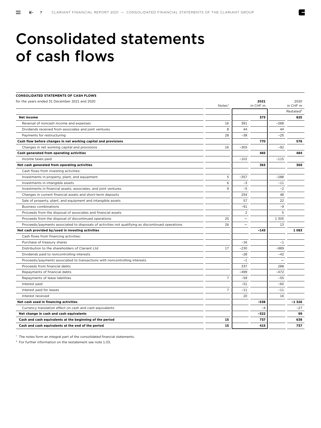### Consolidated statements of cash flows

| <b>CONSOLIDATED STATEMENTS OF CASH FLOWS</b>                                                      |                    |        |          |         |                       |
|---------------------------------------------------------------------------------------------------|--------------------|--------|----------|---------|-----------------------|
| for the years ended 31 December 2021 and 2020                                                     |                    |        | 2021     |         | 2020                  |
|                                                                                                   | Notes <sup>1</sup> |        | in CHF m |         | in CHF m              |
|                                                                                                   |                    |        |          |         | Restated <sup>2</sup> |
| Net income                                                                                        |                    |        | 373      |         | 825                   |
| Reversal of noncash income and expenses                                                           | 16                 | 391    |          | $-268$  |                       |
| Dividends received from associates and joint ventures                                             | 8                  | 44     |          | 44      |                       |
| Payments for restructuring                                                                        | 28                 | $-38$  |          | $-25$   |                       |
| Cash flow before changes in net working capital and provisions                                    |                    |        | 770      |         | 576                   |
| Changes in net working capital and provisions                                                     | 16                 | $-305$ |          | $-92$   |                       |
| Cash generated from operating activities                                                          |                    |        | 465      |         | 484                   |
| Income taxes paid                                                                                 |                    | $-102$ |          | $-115$  |                       |
| Net cash generated from operating activities                                                      |                    |        | 363      |         | 369                   |
| Cash flows from investing activities:                                                             |                    |        |          |         |                       |
| Investments in property, plant, and equipment                                                     | 5                  | $-357$ |          | $-288$  |                       |
| Investments in intangible assets                                                                  | 6                  | $-3$   |          | $-11$   |                       |
| Investments in financial assets, associates, and joint ventures                                   | 9                  | $-5$   |          | $-2$    |                       |
| Changes in current financial assets and short-term deposits                                       |                    | 254    |          | 48      |                       |
| Sale of property, plant, and equipment and intangible assets                                      |                    | 57     |          | 22      |                       |
| <b>Business combinations</b>                                                                      |                    | $-91$  |          | $-9$    |                       |
| Proceeds from the disposal of associates and financial assets                                     |                    | 2      |          | 5       |                       |
| Proceeds from the disposal of discontinued operations                                             | 25                 |        |          | 1 3 0 5 |                       |
| Proceeds/payments associated to disposals of activities not qualifying as discontinued operations | 26                 |        |          | 13      |                       |
| Net cash provided by/used in investing activities                                                 |                    |        | $-143$   |         | 1083                  |
| Cash flows from financing activities:                                                             |                    |        |          |         |                       |
| Purchase of treasury shares                                                                       |                    | $-16$  |          | $-1$    |                       |
| Distribution to the shareholders of Clariant Ltd                                                  | 17                 | $-230$ |          | -989    |                       |
| Dividends paid to noncontrolling interests                                                        |                    | $-28$  |          | $-42$   |                       |
| Proceeds/payments associated to transactions with noncontrolling interests                        |                    | $-1$   |          |         |                       |
| Proceeds from financial debts                                                                     |                    | 337    |          | 288     |                       |
| Repayments of financial debts                                                                     |                    | $-499$ |          | $-472$  |                       |
| Repayments of lease liabilities                                                                   | $\overline{7}$     | $-59$  |          | $-55$   |                       |
| Interest paid                                                                                     |                    | $-51$  |          | $-60$   |                       |
| Interest paid for leases                                                                          | $\overline{7}$     | $-11$  |          | $-11$   |                       |
| Interest received                                                                                 |                    | 20     |          | 16      |                       |
| Net cash used in financing activities                                                             |                    |        | $-538$   |         | $-1326$               |
| Currency translation effect on cash and cash equivalents                                          |                    |        | $-4$     |         | $-27$                 |
| Net change in cash and cash equivalents                                                           |                    |        | $-322$   |         | 99                    |
| Cash and cash equivalents at the beginning of the period                                          | 15                 |        | 737      |         | 638                   |
| Cash and cash equivalents at the end of the period                                                | 15                 |        | 415      |         | 737                   |
|                                                                                                   |                    |        |          |         |                       |

<sup>1</sup> The notes form an integral part of the consolidated financial statements.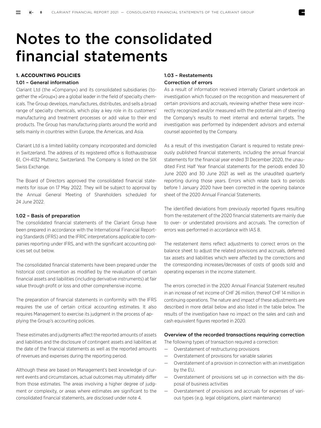### Notes to the consolidated financial statements

#### **1. ACCOUNTING POLICIES**

#### 1.01 – General information

Clariant Ltd (the »Company«) and its consolidated subsidiaries (together the »Group«) are a global leader in the field of specialty chemicals. The Group develops, manufactures, distributes, and sells a broad range of specialty chemicals, which play a key role in its customers' manufacturing and treatment processes or add value to their end products. The Group has manufacturing plants around the world and sells mainly in countries within Europe, the Americas, and Asia.

Clariant Ltd is a limited liability company incorporated and domiciled in Switzerland. The address of its registered office is Rothausstrasse 61, CH-4132 Muttenz, Switzerland. The Company is listed on the SIX Swiss Exchange.

The Board of Directors approved the consolidated financial statements for issue on 17 May 2022. They will be subject to approval by the Annual General Meeting of Shareholders scheduled for 24 June 2022.

#### 1.02 – Basis of preparation

The consolidated financial statements of the Clariant Group have been prepared in accordance with the International Financial Reporting Standards (IFRS) and the IFRIC interpretations applicable to companies reporting under IFRS, and with the significant accounting policies set out below.

The consolidated financial statements have been prepared under the historical cost convention as modified by the revaluation of certain financial assets and liabilities (including derivative instruments) at fair value through profit or loss and other comprehensive income.

The preparation of financial statements in conformity with the IFRS requires the use of certain critical accounting estimates. It also requires Management to exercise its judgment in the process of applying the Group's accounting policies.

These estimates and judgments affect the reported amounts of assets and liabilities and the disclosure of contingent assets and liabilities at the date of the financial statements as well as the reported amounts of revenues and expenses during the reporting period.

Although these are based on Management's best knowledge of current events and circumstances, actual outcomes may ultimately differ from those estimates. The areas involving a higher degree of judgment or complexity, or areas where estimates are significant to the consolidated financial statements, are disclosed under note 4.

#### 1.03 – Restatements Correction of errors

As a result of information received internally Clariant undertook an investigation which focused on the recognition and measurement of certain provisions and accruals, reviewing whether these were incorrectly recognized and/or measured with the potential aim of steering the Company's results to meet internal and external targets. The investigation was performed by independent advisors and external counsel appointed by the Company.

As a result of this investigation Clariant is required to restate previously published financial statements, including the annual financial statements for the financial year ended 31 December 2020, the unaudited First Half Year financial statements for the periods ended 30 June 2020 and 30 June 2021 as well as the unaudited quarterly reporting during those years. Errors which relate back to periods before 1 January 2020 have been corrected in the opening balance sheet of the 2020 Annual Financial Statements.

The identified deviations from previously reported figures resulting from the restatement of the 2020 financial statements are mainly due to over- or understated provisions and accruals. The correction of errors was performed in accordance with IAS 8.

The restatement items reflect adjustments to correct errors on the balance sheet to adjust the related provisions and accruals, deferred tax assets and liabilities which were affected by the corrections and the corresponding increases/decreases of costs of goods sold and operating expenses in the income statement.

The errors corrected in the 2020 Annual Financial Statement resulted in an increase of net income of CHF 26 million, thereof CHF 14 million in continuing operations. The nature and impact of these adjustments are described in more detail below and also listed in the table below. The results of the investigation have no impact on the sales and cash and cash equivalent figures reported in 2020.

#### Overview of the recorded transactions requiring correction

The following types of transaction required a correction:

- Overstatement of restructuring provisions
- Overstatement of provisions for variable salaries
- Overstatement of a provision in connection with an investigation by the EU.
- Overstatement of provisions set up in connection with the disposal of business activities
- Overstatement of provisions and accruals for expenses of various types (e.g. legal obligations, plant maintenance)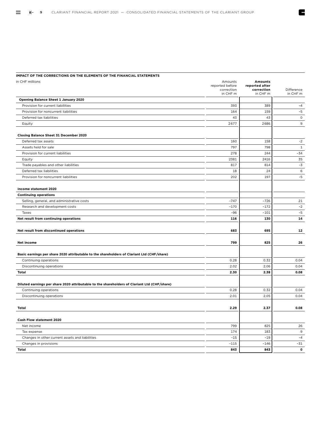#### **IMPACT OF THE CORRECTIONS ON THE ELEMENTS OF THE FINANCIAL STATEMENTS**

| in CHF millions                                                                              | Amounts<br>reported before<br>correction<br>in CHF m | <b>Amounts</b><br>reported after<br>correction<br>in CHF m | Difference<br>in CHF m |
|----------------------------------------------------------------------------------------------|------------------------------------------------------|------------------------------------------------------------|------------------------|
| Opening Balance Sheet 1 January 2020                                                         |                                                      |                                                            |                        |
| Provision for current liabilities                                                            | 393                                                  | 389                                                        | $-4$                   |
| Provision for noncurrent liabilities                                                         | 164                                                  | 159                                                        | $-5$                   |
| Deferred tax liabilities                                                                     | 43                                                   | 43                                                         | $\mathsf{O}\xspace$    |
| Equity                                                                                       | 2677                                                 | 2686                                                       | 9                      |
| Closing Balance Sheet 31 December 2020                                                       |                                                      |                                                            |                        |
| Deferred tax assets                                                                          | 160                                                  | 158                                                        | $-2$                   |
| Assets held for sale                                                                         | 797                                                  | 798                                                        | $\mathbf{1}$           |
| Provision for current liabilities                                                            | 278                                                  | 244                                                        | $-34$                  |
| Equity                                                                                       | 2381                                                 | 2416                                                       | 35                     |
| Trade payables and other liabilities                                                         | 817                                                  | 814                                                        | $-3$                   |
| Deferred tax liabilities                                                                     | 18                                                   | 24                                                         | 6                      |
| Provision for noncurrent liabilities                                                         | 202                                                  | 197                                                        | $-5$                   |
| Income statement 2020                                                                        |                                                      |                                                            |                        |
| <b>Continuing operations</b>                                                                 |                                                      |                                                            |                        |
| Selling, general, and administrative costs                                                   | $-747$                                               | $-726$                                                     | 21                     |
| Research and development costs                                                               | $-170$                                               | $-172$                                                     | $-2$                   |
| Taxes                                                                                        | $-96$                                                | $-101$                                                     | $-5$                   |
| Net result from continuing operations                                                        | 116                                                  | 130                                                        | 14                     |
| Net result from discontinued operations                                                      | 683                                                  | 695                                                        | 12                     |
| Net income                                                                                   | 799                                                  | 825                                                        | 26                     |
| Basic earnings per share 2020 attributable to the shareholders of Clariant Ltd (CHF/share)   |                                                      |                                                            |                        |
| Continuing operations                                                                        | 0.28                                                 | 0.32                                                       | 0.04                   |
| Discontinuing operations                                                                     | 2.02                                                 | 2.06                                                       | 0.04                   |
| <b>Total</b>                                                                                 | 2.30                                                 | 2.38                                                       | 0.08                   |
| Diluted earnings per share 2020 attributable to the shareholders of Clariant Ltd (CHF/share) |                                                      |                                                            |                        |
| Continuing operations                                                                        | 0.28                                                 | 0.32                                                       | 0.04                   |
| Discontinuing operations                                                                     | 2.01                                                 | 2.05                                                       | 0.04                   |
| Total                                                                                        | 2.29                                                 | 2.37                                                       | 0.08                   |
| Cash Flow statement 2020                                                                     |                                                      |                                                            |                        |
| Net income                                                                                   | 799                                                  | 825                                                        | 26                     |
| Tax expense                                                                                  | 174                                                  | 183                                                        | 9                      |
| Changes in other current assets and liabilities                                              | $-15$                                                | $-19$                                                      | $-4$                   |
| Changes in provisions                                                                        | $-115$                                               | $-146$                                                     | $-31$                  |
| <b>Total</b>                                                                                 | 843                                                  | 843                                                        | $\mathbf 0$            |

E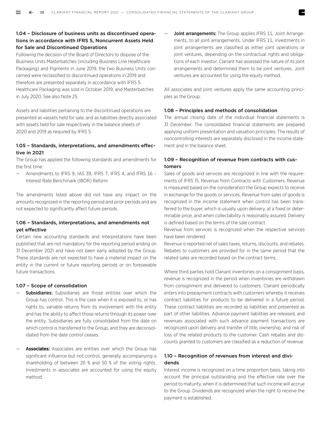#### 1.04 – Disclosure of business units as discontinued operations in accordance with IFRS 5, Noncurrent Assets Held for Sale and Discontinued Operations

Following the decision of the Board of Directors to dispose of the Business Units Masterbatches (including Business Line Healthcare Packaging) and Pigments in June 2019, the two Business Units concerned were reclassified to discontinued operations in 2019 and therefore are presented separately in accordance with IFRS 5. Healthcare Packaging was sold in October 2019, and Masterbatches in July 2020. See also Note 25.

Assets and liabilities pertaining to the discontinued operations are presented as »assets held for sale, and as liabilities directly associated with assets held for sale respectively in the balance sheets of 2020 and 2019 as required by IFRS 5.

#### 1.05 – Standards, interpretations, and amendments effective in 2021

The Group has applied the following standards and amendments for the first time:

— Amendments to IFRS 9, IAS 39, IFRS 7, IFRS 4, and IFRS 16 – Interest Rate Benchmark (IBOR) Reform

The amendments listed above did not have any impact on the amounts recognized in the reporting period and prior periods and are not expected to significantly affect future periods.

#### 1.06 – Standards, interpretations, and amendments not yet effective

Certain new accounting standards and interpretations have been published that are not mandatory for the reporting period ending on 31 December 2021 and have not been early adopted by the Group. These standards are not expected to have a material impact on the entity in the current or future reporting periods or on foreseeable future transactions.

#### 1.07 – Scope of consolidation

- Subsidiaries: Subsidiaries are those entities over which the Group has control. This is the case when it is exposed to, or has rights to, variable returns from its involvement with the entity and has the ability to affect those returns through its power over the entity. Subsidiaries are fully consolidated from the date on which control is transferred to the Group, and they are deconsolidated from the date control ceases.
- Associates: Associates are entities over which the Group has significant influence but not control, generally accompanying a shareholding of between 20 % and 50 % of the voting rights. Investments in associates are accounted for using the equity method.

Joint arrangements: The Group applies IFRS 11, Joint Arrangements, to all joint arrangements. Under IFRS 11, investments in joint arrangements are classified as either joint operations or joint ventures, depending on the contractual rights and obligations of each investor. Clariant has assessed the nature of its joint arrangements and determined them to be joint ventures. Joint ventures are accounted for using the equity method.

All associates and joint ventures apply the same accounting principles as the Group.

#### 1.08 – Principles and methods of consolidation

The annual closing date of the individual financial statements is 31 December. The consolidated financial statements are prepared applying uniform presentation and valuation principles. The results of noncontrolling interests are separately disclosed in the income statement and in the balance sheet.

#### 1.09 – Recognition of revenue from contracts with customers

Sales of goods and services are recognized in line with the requirements of IFRS 15, Revenue from Contracts with Customers. Revenue is measured based on the consideration the Group expects to receive in exchange for the goods or services. Revenue from sales of goods is recognized in the income statement when control has been transferred to the buyer, which is usually upon delivery, at a fixed or determinable price, and when collectability is reasonably assured. Delivery is defined based on the terms of the sale contract.

Revenue from services is recognized when the respective services have been rendered.

Revenue is reported net of sales taxes, returns, discounts, and rebates. Rebates to customers are provided for in the same period that the related sales are recorded based on the contract terms.

Where third parties hold Clariant inventories on a consignment basis, revenue is recognized in the period when inventories are withdrawn from consignment and delivered to customers. Clariant periodically enters into prepayment contracts with customers whereby it receives contract liabilities for products to be delivered in a future period. These contract liabilities are recorded as liabilities and presented as part of other liabilities. Advance payment liabilities are released, and revenues associated with such advance payment transactions are recognized upon delivery and transfer of title, ownership, and risk of loss of the related products to the customer. Cash rebates and discounts granted to customers are classified as a reduction of revenue.

#### 1.10 – Recognition of revenues from interest and dividends

Interest income is recognized on a time proportion basis, taking into account the principal outstanding and the effective rate over the period to maturity, when it is determined that such income will accrue to the Group. Dividends are recognized when the right to receive the payment is established.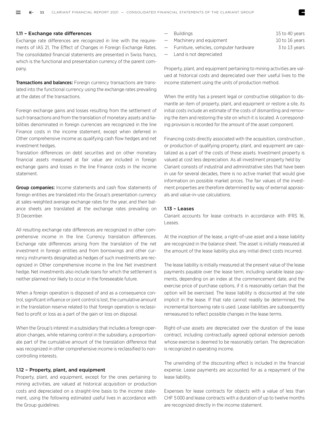#### 1.11 – Exchange rate differences

Exchange rate differences are recognized in line with the requirements of IAS 21, The Effect of Changes in Foreign Exchange Rates. The consolidated financial statements are presented in Swiss francs, which is the functional and presentation currency of the parent company.

Transactions and balances: Foreign currency transactions are translated into the functional currency using the exchange rates prevailing at the dates of the transactions.

Foreign exchange gains and losses resulting from the settlement of such transactions and from the translation of monetary assets and liabilities denominated in foreign currencies are recognized in the line Finance costs in the income statement, except when deferred in Other comprehensive income as qualifying cash flow hedges and net investment hedges.

Translation differences on debt securities and on other monetary financial assets measured at fair value are included in foreign exchange gains and losses in the line Finance costs in the income statement.

Group companies: Income statements and cash flow statements of foreign entities are translated into the Group's presentation currency at sales-weighted average exchange rates for the year, and their balance sheets are translated at the exchange rates prevailing on 31 December.

All resulting exchange rate differences are recognized in other comprehensive income in the line Currency translation differences. Exchange rate differences arising from the translation of the net investment in foreign entities and from borrowings and other currency instruments designated as hedges of such investments are recognized in Other comprehensive income in the line Net investment hedge. Net investments also include loans for which the settlement is neither planned nor likely to occur in the foreseeable future.

When a foreign operation is disposed of and as a consequence control, significant influence or joint control is lost, the cumulative amount in the translation reserve related to that foreign operation is reclassified to profit or loss as a part of the gain or loss on disposal.

When the Group's interest in a subsidiary that includes a foreign operation changes, while retaining control in the subsidiary, a proportionate part of the cumulative amount of the translation difference that was recognized in other comprehensive income is reclassified to noncontrolling interests.

#### 1.12 – Property, plant, and equipment

Property, plant, and equipment, except for the ones pertaining to mining activities, are valued at historical acquisition or production costs and depreciated on a straight-line basis to the income statement, using the following estimated useful lives in accordance with the Group guidelines:

| — Buildinas                              | 15 to 40 years |
|------------------------------------------|----------------|
| - Machinery and equipment                | 10 to 16 years |
| - Furniture, vehicles, computer hardware | 3 to 13 years  |

— Land is not depreciated

Property, plant, and equipment pertaining to mining activities are valued at historical costs and depreciated over their useful lives to the income statement using the units of production method.

When the entity has a present legal or constructive obligation to dismantle an item of property, plant, and equipment or restore a site, its initial costs include an estimate of the costs of dismantling and removing the item and restoring the site on which it is located. A corresponding provision is recorded for the amount of the asset component.

Financing costs directly associated with the acquisition, construction , or production of qualifying property, plant, and equipment are capitalized as a part of the costs of these assets. Investment property is valued at cost less depreciation. As all investment property held by Clariant consists of industrial and administrative sites that have been in use for several decades, there is no active market that would give information on possible market prices. The fair values of the investment properties are therefore determined by way of external appraisals and value-in-use calculations.

#### $113 - 1$  eases

Clariant accounts for lease contracts in accordance with IFRS 16, Leases.

At the inception of the lease, a right-of-use asset and a lease liability are recognized in the balance sheet. The asset is initially measured at the amount of the lease liability plus any initial direct costs incurred.

The lease liability is initially measured at the present value of the lease payments payable over the lease term, including variable lease payments, depending on an index at the commencement date, and the exercise price of purchase options, if it is reasonably certain that the option will be exercised. The lease liability is discounted at the rate implicit in the lease. If that rate cannot readily be determined, the incremental borrowing rate is used. Lease liabilities are subsequently remeasured to reflect possible changes in the lease terms.

Right-of-use assets are depreciated over the duration of the lease contract, including contractually agreed optional extension periods whose exercise is deemed to be reasonably certain. The depreciation is recognized in operating income.

The unwinding of the discounting effect is included in the financial expense. Lease payments are accounted for as a repayment of the lease liability.

Expenses for lease contracts for objects with a value of less than CHF 5 000 and lease contracts with a duration of up to twelve months are recognized directly in the income statement.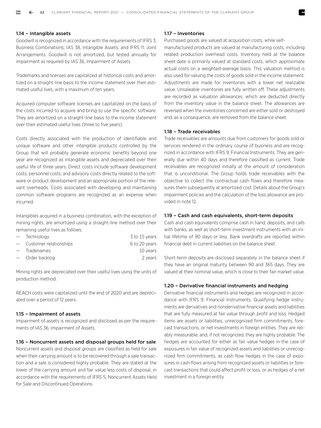#### 1.14 – Intangible assets

Goodwill is recognized in accordance with the requirements of IFRS 3, Business Combinations; IAS 38, Intangible Assets; and IFRS 11, Joint Arrangements. Goodwill is not amortized, but tested annually for impairment as required by IAS 36, Impairment of Assets.

Trademarks and licenses are capitalized at historical costs and amortized on a straight-line basis to the income statement over their estimated useful lives, with a maximum of ten years.

Acquired computer software licenses are capitalized on the basis of the costs incurred to acquire and bring to use the specific software. They are amortized on a straight-line basis to the income statement over their estimated useful lives (three to five years).

Costs directly associated with the production of identifiable and unique software and other intangible products controlled by the Group that will probably generate economic benefits beyond one year are recognized as intangible assets and depreciated over their useful life of three years. Direct costs include software development costs, personnel costs, and advisory costs directly related to the software or product development and an appropriate portion of the relevant overheads. Costs associated with developing and maintaining common software programs are recognized as an expense when incurred.

Intangibles acquired in a business combination, with the exception of mining rights, are amortized using a straight-line method over their remaining useful lives as follows:

| - Technology             | 3 to 15 years |
|--------------------------|---------------|
| - Customer relationships | 6 to 20 years |
| - Tradenames             | 10 years      |
| — Order backlog          | 2 years       |
|                          |               |

Mining rights are depreciated over their useful lives using the units of production method.

REACH costs were capitalized until the end of 2020 and are depreciated over a period of 12 years.

#### 1.15 – Impairment of assets

Impairment of assets is recognized and disclosed as per the requirements of IAS 36, Impairment of Assets.

#### 1.16 – Noncurrent assets and disposal groups held for sale

Noncurrent assets and disposal groups are classified as held for sale when their carrying amount is to be recovered through a sale transaction and a sale is considered highly probable. They are stated at the lower of the carrying amount and fair value less costs of disposal, in accordance with the requirements of IFRS 5, Noncurrent Assets Held for Sale and Discontinued Operations.

#### 1.17 – Inventories

Purchased goods are valued at acquisition costs, while self-

manufactured products are valued at manufacturing costs, including related production overhead costs. Inventory held at the balance sheet date is primarily valued at standard costs, which approximate actual costs on a weighted-average basis. This valuation method is also used for valuing the costs of goods sold in the income statement. Adjustments are made for inventories with a lower net realizable value. Unsaleable inventories are fully written off. These adjustments are recorded as valuation allowances, which are deducted directly from the inventory value in the balance sheet. The allowances are reversed when the inventories concerned are either sold or destroyed and, as a consequence, are removed from the balance sheet.

#### 1.18 – Trade receivables

Trade receivables are amounts due from customers for goods sold or services rendered in the ordinary course of business and are recognized in accordance with IFRS 9, Financial Instruments. They are generally due within 40 days and therefore classified as current. Trade receivables are recognized initially at the amount of consideration that is unconditional. The Group holds trade receivables with the objective to collect the contractual cash flows and therefore measures them subsequently at amortized cost. Details about the Group's impairment policies and the calculation of the loss allowance are provided in note 12.

#### 1.19 – Cash and cash equivalents, short-term deposits

Cash and cash equivalents comprise cash in hand, deposits, and calls with banks, as well as short-term investment instruments with an initial lifetime of 90 days or less. Bank overdrafts are reported within financial debt in current liabilities on the balance sheet.

Short-term deposits are disclosed separately in the balance sheet if they have an original maturity between 90 and 365 days. They are valued at their nominal value, which is close to their fair market value.

#### 1.20 – Derivative financial instruments and hedging

Derivative financial instruments and hedges are recognized in accordance with IFRS 9, Financial Instruments. Qualifying hedge instruments are derivatives and nonderivative financial assets and liabilities that are fully measured at fair value through profit and loss. Hedged items are assets or liabilities, unrecognized firm commitments, forecast transactions, or net investments in foreign entities. They are reliably measurable, and, if not recognized, they are highly probable. The hedges are accounted for either as fair value hedges in the case of exposures in fair value of recognized assets and liabilities or unrecognized firm commitments, as cash flow hedges in the case of exposures in cash flows arising from recognized assets or liabilities or forecast transactions that could affect profit or loss, or as hedges of a net investment in a foreign entity.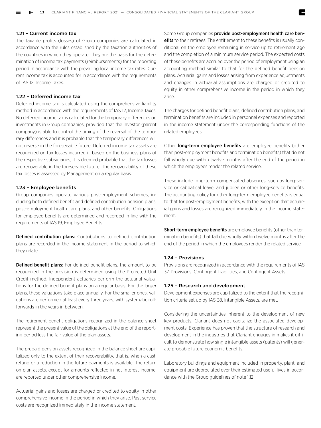#### 1.21 – Current income tax

The taxable profits (losses) of Group companies are calculated in accordance with the rules established by the taxation authorities of the countries in which they operate. They are the basis for the determination of income tax payments (reimbursements) for the reporting period in accordance with the prevailing local income tax rates. Current income tax is accounted for in accordance with the requirements of IAS 12, Income Taxes.

#### 1.22 – Deferred income tax

Deferred income tax is calculated using the comprehensive liability method in accordance with the requirements of IAS 12, Income Taxes. No deferred income tax is calculated for the temporary differences on investments in Group companies, provided that the investor (parent company) is able to control the timing of the reversal of the temporary differences and it is probable that the temporary differences will not reverse in the foreseeable future. Deferred income tax assets are recognized on tax losses incurred if, based on the business plans of the respective subsidiaries, it is deemed probable that the tax losses are recoverable in the foreseeable future. The recoverability of these tax losses is assessed by Management on a regular basis.

#### 1.23 – Employee benefits

Group companies operate various post-employment schemes, including both defined benefit and defined contribution pension plans, post-employment health care plans, and other benefits. Obligations for employee benefits are determined and recorded in line with the requirements of IAS 19, Employee Benefits.

Defined contribution plans: Contributions to defined contribution plans are recorded in the income statement in the period to which they relate.

Defined benefit plans: For defined benefit plans, the amount to be recognized in the provision is determined using the Projected Unit Credit method. Independent actuaries perform the actuarial valuations for the defined benefit plans on a regular basis. For the larger plans, these valuations take place annually. For the smaller ones, valuations are performed at least every three years, with systematic rollforwards in the years in between.

The retirement benefit obligations recognized in the balance sheet represent the present value of the obligations at the end of the reporting period less the fair value of the plan assets.

The prepaid pension assets recognized in the balance sheet are capitalized only to the extent of their recoverability, that is, when a cash refund or a reduction in the future payments is available. The return on plan assets, except for amounts reflected in net interest income, are reported under other comprehensive income.

Actuarial gains and losses are charged or credited to equity in other comprehensive income in the period in which they arise. Past service costs are recognized immediately in the income statement.

Some Group companies provide post-employment health care benefits to their retirees. The entitlement to these benefits is usually conditional on the employee remaining in service up to retirement age and the completion of a minimum service period. The expected costs of these benefits are accrued over the period of employment using an accounting method similar to that for the defined benefit pension plans. Actuarial gains and losses arising from experience adjustments and changes in actuarial assumptions are charged or credited to equity in other comprehensive income in the period in which they arise.

The charges for defined benefit plans, defined contribution plans, and termination benefits are included in personnel expenses and reported in the income statement under the corresponding functions of the related employees.

Other **long-term employee benefits** are employee benefits (other than post-employment benefits and termination benefits) that do not fall wholly due within twelve months after the end of the period in which the employees render the related service.

These include long-term compensated absences, such as long-service or sabbatical leave, and jubilee or other long-service benefits. The accounting policy for other long-term employee benefits is equal to that for post-employment benefits, with the exception that actuarial gains and losses are recognized immediately in the income statement.

Short-term employee benefits are employee benefits (other than termination benefits) that fall due wholly within twelve months after the end of the period in which the employees render the related service.

#### 1.24 – Provisions

Provisions are recognized in accordance with the requirements of IAS 37, Provisions, Contingent Liabilities, and Contingent Assets.

#### 1.25 – Research and development

Development expenses are capitalized to the extent that the recognition criteria set up by IAS 38, Intangible Assets, are met.

Considering the uncertainties inherent to the development of new key products, Clariant does not capitalize the associated development costs. Experience has proven that the structure of research and development in the industries that Clariant engages in makes it difficult to demonstrate how single intangible assets (patents) will generate probable future economic benefits.

Laboratory buildings and equipment included in property, plant, and equipment are depreciated over their estimated useful lives in accordance with the Group guidelines of note 1.12.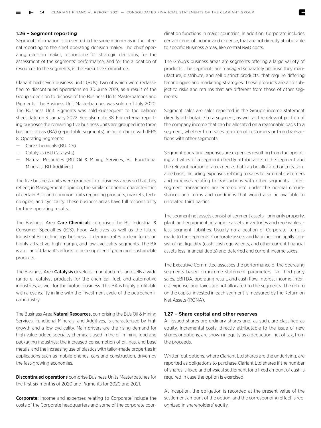#### 1.26 – Segment reporting

Segment information is presented in the same manner as in the internal reporting to the chief operating decision maker. The chief operating decision maker, responsible for strategic decisions, for the assessment of the segments' performance, and for the allocation of resources to the segments, is the Executive Committee.

Clariant had seven business units (BUs), two of which were reclassified to discontinued operations on 30 June 2019, as a result of the Group's decision to dispose of the Business Units Masterbatches and Pigments. The Business Unit Masterbatches was sold on 1 July 2020. The Business Unit Pigments was sold subsequent to the balance sheet date on 3 January 2022. See also note 38. For external reporting purposes the remaining five business units are grouped into three business areas (BA) (reportable segments), in accordance with IFRS 8, Operating Segments:

- Care Chemicals (BU ICS)
- Catalysis (BU Catalysts)
- Natural Resources (BU Oil & Mining Services, BU Functional Minerals, BU Additives)

The five business units were grouped into business areas so that they reflect, in Management's opinion, the similar economic characteristics of certain BU's and common traits regarding products, markets, technologies, and cyclicality. These business areas have full responsibility for their operating results.

The Business Area Care Chemicals comprises the BU Industrial & Consumer Specialties (ICS), Food Additives as well as the future Industrial Biotechnology business. It demonstrates a clear focus on highly attractive, high-margin, and low-cyclicality segments. The BA is a pillar of Clariant's efforts to be a supplier of green and sustainable products.

The Business Area **Catalysis** develops, manufactures, and sells a wide range of catalyst products for the chemical, fuel, and automotive industries, as well for the biofuel business. This BA is highly profitable with a cyclicality in line with the investment cycle of the petrochemical industry.

The Business Area **Natural Resources,** comprising the BUs Oil & Mining Services, Functional Minerals, and Additives, is characterized by high growth and a low cyclicality. Main drivers are the rising demand for high-value-added specialty chemicals used in the oil, mining, food and packaging industries; the increased consumption of oil, gas, and base metals, and the increasing use of plastics with tailor-made properties in applications such as mobile phones, cars and construction, driven by the fast-growing economies.

**Discontinued operations** comprise Business Units Masterbatches for the first six months of 2020 and Pigments for 2020 and 2021.

Corporate: Income and expenses relating to Corporate include the costs of the Corporate headquarters and some of the corporate coordination functions in major countries. In addition, Corporate includes certain items of income and expense, that are not directly attributable to specific Business Areas, like central R&D costs.

The Group's business areas are segments offering a large variety of products. The segments are managed separately because they manufacture, distribute, and sell distinct products, that require differing technologies and marketing strategies. These products are also subject to risks and returns that are different from those of other segments.

Segment sales are sales reported in the Group's income statement directly attributable to a segment, as well as the relevant portion of the company income that can be allocated on a reasonable basis to a segment, whether from sales to external customers or from transactions with other segments.

Segment operating expenses are expenses resulting from the operating activities of a segment directly attributable to the segment and the relevant portion of an expense that can be allocated on a reasonable basis, including expenses relating to sales to external customers and expenses relating to transactions with other segments. Intersegment transactions are entered into under the normal circumstances and terms and conditions that would also be available to unrelated third parties.

The segment net assets consist of segment assets - primarily property, plant, and equipment, intangible assets, inventories and receivables, less segment liabilities. Usually no allocation of Corporate items is made to the segments. Corporate assets and liabilities principally consist of net liquidity (cash, cash equivalents, and other current financial assets less financial debts) and deferred and current income taxes.

The Executive Committee assesses the performance of the operating segments based on income statement parameters like third-party sales, EBITDA, operating result, and cash flow. Interest income, interest expense, and taxes are not allocated to the segments. The return on the capital invested in each segment is measured by the Return on Net Assets (RONA).

#### 1.27 – Share capital and other reserves

All issued shares are ordinary shares and, as such, are classified as equity. Incremental costs, directly attributable to the issue of new shares or options, are shown in equity as a deduction, net of tax, from the proceeds.

Written put options, where Clariant Ltd shares are the underlying, are reported as obligations to purchase Clariant Ltd shares if the number of shares is fixed and physical settlement for a fixed amount of cash is required in case the option is exercised.

At inception, the obligation is recorded at the present value of the settlement amount of the option, and the corresponding effect is recognized in shareholders' equity.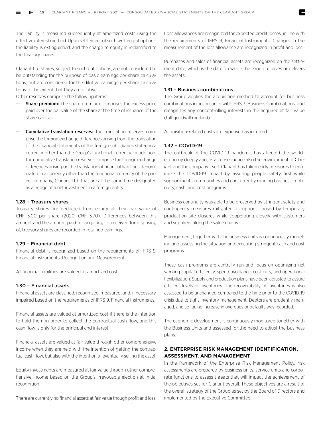The liability is measured subsequently at amortized costs using the effective interest method. Upon settlement of such written put options, the liability is extinguished, and the charge to equity is reclassified to the treasury shares.

Clariant Ltd shares, subject to such put options, are not considered to be outstanding for the purpose of basic earnings per share calculations, but are considered for the dilutive earnings per share calculations to the extent that they are dilutive.

Other reserves comprise the following items:

- Share premium: The share premium comprises the excess price paid over the par value of the share at the time of issuance of the share capital.
- Cumulative translation reserves: The translation reserves comprise the foreign exchange differences arising from the translation of the financial statements of the foreign subsidiaries stated in a currency other than the Group's functional currency. In addition, the cumulative translation reserves comprise the foreign exchange differences arising on the translation of financial liabilities denominated in a currency other than the functional currency of the parent company, Clariant Ltd, that are at the same time designated as a hedge of a net investment in a foreign entity.

#### 1.28 – Treasury shares

Treasury shares are deducted from equity at their par value of CHF 3.00 per share (2020: CHF 3.70). Differences between this amount and the amount paid for acquiring, or received for disposing of, treasury shares are recorded in retained earnings.

#### 1.29 – Financial debt

Financial debt is recognized based on the requirements of IFRS 9, Financial Instruments: Recognition and Measurement.

All financial liabilities are valued at amortized cost.

#### 1.30 – Financial assets

Financial assets are classified, recognized, measured, and, if necessary, impaired based on the requirements of IFRS 9, Financial Instruments.

Financial assets are valued at amortized cost if there is the intention to hold them in order to collect the contractual cash flow, and this cash flow is only for the principal and interest.

Financial assets are valued at fair value through other comprehensive income when they are held with the intention of getting the contractual cash flow, but also with the intention of eventually selling the asset.

Equity investments are measured at fair value through other comprehensive income based on the Group's irrevocable election at initial recognition.

There are currently no financial assets at fair value though profit and loss.

Loss allowances are recognized for expected credit losses, in line with the requirements of IFRS 9, Financial Instruments. Changes in the measurement of the loss allowance are recognized in profit and loss.

Purchases and sales of financial assets are recognized on the settlement date, which is the date on which the Group receives or delivers the assets

#### 1.31 – Business combinations

The Group applies the acquisition method to account for business combinations in accordance with IFRS 3, Business Combinations, and recognizes any noncontrolling interests in the acquiree at fair value (full goodwill method).

Acquisition-related costs are expensed as incurred.

#### 1.32 – COVID-19

The outbreak of the COVID-19 pandemic has affected the worldeconomy deeply and, as a consequence also the environment of Clariant and the company itself. Clariant has taken early measures to minimize the COVID-19 impact by assuring people safety first while supporting its communities and concurrently running business continuity, cash, and cost programs.

Business continuity was able to be preserved by stringent safety and contingency measures mitigated disruptions caused by temporary production site closures while cooperating closely with customers and suppliers along the value chains.

Management, together with the business units is continuously modeling and assessing the situation and executing stringent cash and cost programs.

These cash programs are centrally run and focus on optimizing net working capital efficiency, spend avoidance, cost cuts, and operational flexibilization. Supply and production plans have been adjusted to assure efficient levels of inventories. The recoverability of inventories is also assessed to be unchanged compared to the time prior to the COVID-19 crisis due to tight inventory management. Debtors are prudently managed, and so far, no increase in overdues or defaults was recorded.

The economic development is continuously monitored together with the Business Units and assessed for the need to adjust the business plans.

#### **2. ENTERPRISE RISK MANAGEMENT IDENTIFICATION, ASSESSMENT, AND MANAGEMENT**

In the framework of the Enterprise Risk Management Policy, risk assessments are prepared by business units, service units and corporate functions to assess threats that will impact the achievement of the objectives set for Clariant overall. These objectives are a result of the overall strategy of the Group as set by the Board of Directors and implemented by the Executive Committee.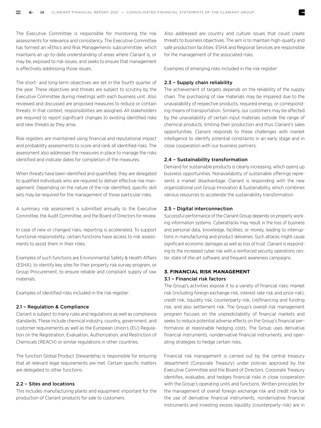The Executive Committee is responsible for monitoring the risk assessments for relevance and consistency. The Executive Committee has formed an »Ethics and Risk Management« subcommittee, which maintains an up-to-date understanding of areas where Clariant is, or may be, exposed to risk issues, and seeks to ensure that management is effectively addressing those issues.

The short- and long-term objectives are set in the fourth quarter of the year. These objectives and threats are subject to scrutiny by the Executive Committee during meetings with each business unit. Also reviewed and discussed are proposed measures to reduce or contain threats. In that context, responsibilities are assigned. All stakeholders are required to report significant changes to existing identified risks and new threats as they arise.

Risk registers are maintained using financial and reputational impact and probability assessments to score and rank all identified risks. The assessment also addresses the measures in place to manage the risks identified and indicate dates for completion of the measures.

When threats have been identified and quantified, they are delegated to qualified individuals who are required to deliver effective risk management. Depending on the nature of the risk identified, specific skill sets may be required for the management of those particular risks.

A summary risk assessment is submitted annually to the Executive Committee, the Audit Committee, and the Board of Directors for review.

In case of new or changed risks, reporting is accelerated. To support functional responsibility, certain functions have access to risk assessments to assist them in their roles.

Examples of such functions are Environmental Safety & Health Affairs (ESHA), to identify key sites for their property risk survey program, or Group Procurement, to ensure reliable and compliant supply of raw materials.

Examples of identified risks included in the risk register:

#### 2.1 – Regulation & Compliance

Clariant is subject to many rules and regulations as well as compliance standards. These include chemical industry, country, government, and customer requirements as well as the European Union's (EU) Regulation on the Registration, Evaluation, Authorization, and Restriction of Chemicals (REACH) or similar regulations in other countries.

The function Global Product Stewardship is responsible for ensuring that all relevant legal requirements are met. Certain specific matters are delegated to other functions.

#### 2.2 – Sites and locations

This includes manufacturing plants and equipment important for the production of Clariant products for sale to customers.

Also addressed are country and culture issues that could create threats to business objectives. The aim is to maintain high-quality and safe production facilities. ESHA and Regional Services are responsible for the management of the associated risks.

Examples of emerging risks included in the risk register:

#### 2.3 – Supply chain reliability

The achievement of targets depends on the reliability of the supply chain. The purchasing of raw materials may be impaired due to the unavailability of respective products, required energy, or corresponding means of transportation. Similarly, our customers may be affected by the unavailability of certain input materials outside the range of chemical products, limiting their production and thus Clariant's sales opportunities. Clariant responds to these challenges with market intelligence to identify potential constraints in an early stage and in close cooperation with our business partners.

#### 2.4 – Sustainability transformation

Demand for sustainable products is clearly increasing, which opens up business opportunities. Nonavailability of sustainable offerings represents a market disadvantage. Clariant is responding with the new organizational unit Group Innovation & Sustainability, which combines various resources to accelerate the sustainability transformation.

#### 2.5 – Digital interconnection

Successful performance of the Clariant Group depends on properly working information systems. Cyberattacks may result in the loss of business and personal data, knowledge, facilities, or money, leading to interruptions in manufacturing and product deliveries. Such attacks might cause significant economic damages as well as loss of trust. Clariant is responding to the increased cyber risk with a reinforced security operations center, state-of-the-art software, and frequent awareness campaigns.

#### **3. FINANCIAL RISK MANAGEMENT** 3.1 – Financial risk factors

The Group's activities expose it to a variety of financial risks: market risk (including foreign exchange risk, interest rate risk and price risk), credit risk, liquidity risk, counterparty risk, (re)financing and funding risk, and also settlement risk. The Group's overall risk management program focuses on the unpredictability of financial markets and seeks to reduce potential adverse effects on the Group's financial performance at reasonable hedging costs. The Group uses derivative financial instruments, nonderivative financial instruments, and operating strategies to hedge certain risks.

Financial risk management is carried out by the central treasury department (Corporate Treasury) under policies approved by the Executive Committee and the Board of Directors. Corporate Treasury identifies, evaluates, and hedges financial risks in close cooperation with the Group's operating units and functions. Written principles for the management of overall foreign exchange risk and credit risk for the use of derivative financial instruments, nonderivative financial instruments and investing excess liquidity (counterparty risk) are in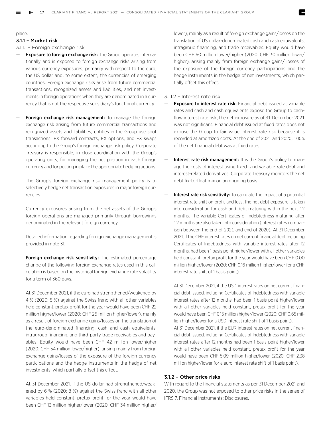place.

#### 3.1.1 – Market risk

#### 3.1.1.1 – Foreign exchange risk

- **Exposure to foreign exchange risk:** The Group operates internationally and is exposed to foreign exchange risks arising from various currency exposures, primarily with respect to the euro, the US dollar and, to some extent, the currencies of emerging countries. Foreign exchange risks arise from future commercial transactions, recognized assets and liabilities, and net investments in foreign operations when they are denominated in a currency that is not the respective subsidiary's functional currency.
- Foreign exchange risk management: To manage the foreign exchange risk arising from future commercial transactions and recognized assets and liabilities, entities in the Group use spot transactions, FX forward contracts, FX options, and FX swaps according to the Group's foreign exchange risk policy. Corporate Treasury is responsible, in close coordination with the Group's operating units, for managing the net position in each foreign currency and for putting in place the appropriate hedging actions.

The Group's foreign exchange risk management policy is to selectively hedge net transaction exposures in major foreign currencies.

Currency exposures arising from the net assets of the Group's foreign operations are managed primarily through borrowings denominated in the relevant foreign currency.

Detailed information regarding foreign exchange management is provided in note 31.

Foreign exchange risk sensitivity: The estimated percentage change of the following foreign exchange rates used in this calculation is based on the historical foreign exchange rate volatility for a term of 360 days.

At 31 December 2021, if the euro had strengthened/weakened by 4 % (2020: 5 %) against the Swiss franc with all other variables held constant, pretax profit for the year would have been CHF 22 million higher/lower (2020: CHF 25 million higher/lower), mainly as a result of foreign exchange gains/losses on the translation of the euro-denominated financing, cash and cash equivalents, intragroup financing, and third-party trade receivables and payables. Equity would have been CHF 42 million lower/higher (2020: CHF 54 million lower/higher), arising mainly from foreign exchange gains/losses of the exposure of the foreign currency participations and the hedge instruments in the hedge of net investments, which partially offset this effect.

At 31 December 2021, if the US dollar had strengthened/weakened by 6 % (2020: 8 %) against the Swiss franc with all other variables held constant, pretax profit for the year would have been CHF 13 million higher/lower (2020: CHF 34 million higher/

lower), mainly as a result of foreign exchange gains/losses on the translation of US dollar-denominated cash and cash equivalents, intragroup financing, and trade receivables. Equity would have been CHF 60 million lower/higher (2020: CHF 30 million lower/ higher), arising mainly from foreign exchange gains/ losses of the exposure of the foreign currency participations and the hedge instruments in the hedge of net investments, which partially offset this effect.

#### 3.1.1.2 – Interest rate risk

- **Exposure to interest rate risk:** Financial debt issued at variable rates and cash and cash equivalents expose the Group to cashflow interest rate risk; the net exposure as of 31 December 2021 was not significant. Financial debt issued at fixed rates does not expose the Group to fair value interest rate risk because it is recorded at amortized costs. At the end of 2021 and 2020, 100 % of the net financial debt was at fixed rates.
- Interest rate risk management: It is the Group's policy to manage the costs of interest using fixed- and variable-rate debt and interest-related derivatives. Corporate Treasury monitors the net debt fix-to-float mix on an ongoing basis.
- Interest rate risk sensitivity: To calculate the impact of a potential interest rate shift on profit and loss, the net debt exposure is taken into consideration for cash and debt maturing within the next 12 months. The variable Certificates of Indebtedness maturing after 12 months are also taken into consideration (interest rates comparison between the end of 2021 and end of 2020). At 31 December 2021, if the CHF interest rates on net current financial debt including Certificates of Indebtedness with variable interest rates after 12 months, had been 1 basis point higher/lower with all other variables held constant, pretax profit for the year would have been CHF 0.00 million higher/lower (2020: CHF 0.16 million higher/lower for a CHF interest rate shift of 1 basis point).

At 31 December 2021, if the USD interest rates on net current financial debt issued, including Certificates of Indebtedness with variable interest rates after 12 months, had been 1 basis point higher/lower with all other variables held constant, pretax profit for the year would have been CHF 0.15 million higher/lower (2020: CHF 0.65 million higher/lower for a USD interest rate shift of 1 basis point).

At 31 December 2021, if the EUR interest rates on net current financial debt issued, including Certificates of Indebtedness with variable interest rates after 12 months had been 1 basis point higher/lower with all other variables held constant, pretax profit for the year would have been CHF 5.09 million higher/lower (2020: CHF 2.38 million higher/lower for a euro interest rate shift of 1 basis point).

#### 3.1.2 – Other price risks

With regard to the financial statements as per 31 December 2021 and 2020, the Group was not exposed to other price risks in the sense of IFRS 7, Financial Instruments: Disclosures.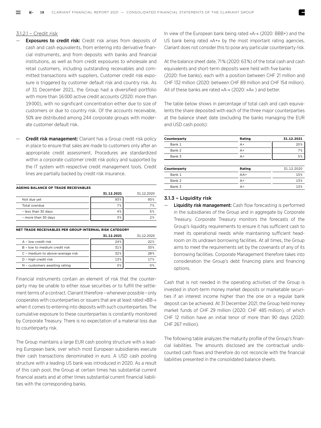#### 3.1.2.1 – Credit risk

- **Exposures to credit risk:** Credit risk arises from deposits of cash and cash equivalents, from entering into derivative financial instruments, and from deposits with banks and financial institutions, as well as from credit exposures to wholesale and retail customers, including outstanding receivables and committed transactions with suppliers. Customer credit risk exposure is triggered by customer default risk and country risk. As of 31 December 2021, the Group had a diversified portfolio with more than 16 000 active credit accounts (2020: more than 19 000), with no significant concentration either due to size of customers or due to country risk. Of the accounts receivable, 50% are distributed among 244 corporate groups with moderate customer default risk.
- **Credit risk management:** Clariant has a Group credit risk policy in place to ensure that sales are made to customers only after an appropriate credit assessment. Procedures are standardized within a corporate customer credit risk policy and supported by the IT system with respective credit management tools. Credit lines are partially backed by credit risk insurance.

| AGEING BALANCE OF TRADE RECEIVABLES |            |            |  |  |  |  |  |
|-------------------------------------|------------|------------|--|--|--|--|--|
|                                     | 31.12.2021 | 31.12.2020 |  |  |  |  |  |
| Not due yet                         | 93%        | 93%        |  |  |  |  |  |
| Total overdue                       | 7%         | 7%         |  |  |  |  |  |
| - less than 30 days                 | 4%         | 5%         |  |  |  |  |  |
| - more than 30 days                 | 3%         | 2%         |  |  |  |  |  |

#### **NET TRADE RECEIVABLES PER GROUP INTERNAL RISK CATEGORY**

|                                  | 31.12.2021 | 31.12.2020 |
|----------------------------------|------------|------------|
| A - low credit risk              | 24%        | 22%        |
| B - low to medium credit risk    | 31%        | 33%        |
| C - medium to above-average risk | 32%        | 28%        |
| D - high credit risk             | 13%        | 17%        |
| N - customers awaiting rating    | 0%         | በ%         |

Financial instruments contain an element of risk that the counterparty may be unable to either issue securities or to fulfill the settlement terms of a contract. Clariant therefore – whenever possible – only cooperates with counterparties or issuers that are at least rated »BB-« when it comes to entering into deposits with such counterparties. The cumulative exposure to these counterparties is constantly monitored by Corporate Treasury. There is no expectation of a material loss due to counterparty risk.

The Group maintains a large EUR cash pooling structure with a leading European bank, over which most European subsidiaries execute their cash transactions denominated in euro. A USD cash pooling structure with a leading US bank was introduced in 2020. As a result of this cash pool, the Group at certain times has substantial current financial assets and at other times substantial current financial liabilities with the corresponding banks.

In view of the European bank being rated »A-« (2020: BBB+) and the US bank being rated »A+« by the most important rating agencies, Clariant does not consider this to pose any particular counterparty risk.

At the balance sheet date, 71 % (2020: 63 %) of the total cash and cash equivalents and short-term deposits were held with five banks (2020: five banks), each with a position between CHF 21 million and CHF 132 million (2020: between CHF 89 million and CHF 154 million). All of these banks are rated »A-« (2020: »A« ) and better.

The table below shows in percentage of total cash and cash equivalents the share deposited with each of the three major counterparties at the balance sheet date (excluding the banks managing the EUR and USD cash pools):

| Counterparty | Rating | 31.12.2021 |
|--------------|--------|------------|
| Bank 1       | $A+$   | 20%        |
| Bank 2       | $A+$   | 7%         |
| Bank 3       | $A+$   | 5%         |
|              |        |            |
| Counterparty | Rating | 31.12.2020 |
| Bank 1       | $AA+$  | 15%        |
| Bank 2       | $A+$   | 13%        |
| Bank 3       | $A+$   | 13%        |

#### 3.1.3 – Liquidity risk

**Liquidity risk management:** Cash flow forecasting is performed in the subsidiaries of the Group and in aggregate by Corporate Treasury. Corporate Treasury monitors the forecasts of the Group's liquidity requirements to ensure it has sufficient cash to meet its operational needs while maintaining sufficient headroom on its undrawn borrowing facilities. At all times, the Group aims to meet the requirements set by the covenants of any of its borrowing facilities. Corporate Management therefore takes into consideration the Group's debt financing plans and financing options.

Cash that is not needed in the operating activities of the Group is invested in short-term money market deposits or marketable securities if an interest income higher than the one on a regular bank deposit can be achieved. At 31 December 2021, the Group held money market funds of CHF 29 million (2020: CHF 485 million), of which CHF 12 million have an initial tenor of more than 90 days (2020: CHF 267 million).

The following table analyzes the maturity profile of the Group's financial liabilities. The amounts disclosed are the contractual undiscounted cash flows and therefore do not reconcile with the financial liabilities presented in the consolidated balance sheets.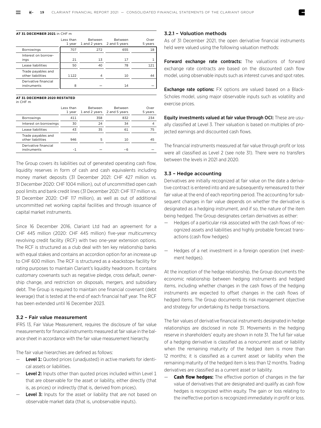#### **AT 31 DECEMBER 2021** in CHF m

|                                         | Less than<br>1 vear | Between<br>1 and 2 years 2 and 5 years | Between | Over<br>5 years |
|-----------------------------------------|---------------------|----------------------------------------|---------|-----------------|
| <b>Borrowings</b>                       | 707                 | 272                                    | 655     | 18              |
| Interest on borrow-<br>ings             | 21                  | 13                                     | 17      |                 |
| Lease liabilities                       | 50                  | 40                                     | 78      | 121             |
| Trade payables and<br>other liabilities | 1122                |                                        | 10      | 44              |
| Derivative financial<br>instruments     | 8                   |                                        | 14      |                 |

#### **AT 31 DECEMBER 2020 RESTATED**

in CHF m

|                                         | Less than<br>1 year | Between<br>1 and 2 years | Between<br>2 and 5 years | Over<br>5 years |
|-----------------------------------------|---------------------|--------------------------|--------------------------|-----------------|
| <b>Borrowings</b>                       | 411                 | 358                      | 832                      | 234             |
| Interest on borrowings                  | 30                  | 24                       | 34                       |                 |
| Lease liabilities                       | 43                  | 35                       | 61                       | 75              |
| Trade payables and<br>other liabilities | 946                 | 5                        | 10                       | 45              |
| Derivative financial<br>instruments     |                     |                          | -6                       |                 |

The Group covers its liabilities out of generated operating cash flow, liquidity reserves in form of cash and cash equivalents including money market deposits (31 December 2021: CHF 427 million vs. 31 December 2020: CHF 1004 million), out of uncommitted open cash pool limits and bank credit lines (31 December 2021: CHF 117 million vs. 31 December 2020: CHF 117 million), as well as out of additional uncommitted net working capital facilities and through issuance of capital market instruments.

Since 16 December 2016, Clariant Ltd had an agreement for a CHF 445 million (2020: CHF 445 million) five-year multicurrency revolving credit facility (RCF) with two one-year extension options. The RCF is structured as a club deal with ten key relationship banks with equal stakes and contains an accordion option for an increase up to CHF 600 million. The RCF is structured as a »backstop« facility for rating purposes to maintain Clariant's liquidity headroom. It contains customary covenants such as negative pledge, cross default, ownership change, and restriction on disposals, mergers, and subsidiary debt. The Group is required to maintain one financial covenant (debt leverage) that is tested at the end of each financial half year. The RCF has been extended until 16 December 2023.

#### 3.2 – Fair value measurement

IFRS 13, Fair Value Measurement, requires the disclosure of fair value measurements for financial instruments measured at fair value in the balance sheet in accordance with the fair value measurement hierarchy.

The fair value hierarchies are defined as follows:

- Level 1: Quoted prices (unadjusted) in active markets for identical assets or liabilities.
- $\blacksquare$  Level 2: Inputs other than quoted prices included within Level 1 that are observable for the asset or liability, either directly (that is, as prices) or indirectly (that is, derived from prices).
- Level 3: Inputs for the asset or liability that are not based on observable market data (that is, unobservable inputs).

#### 3.2.1 – Valuation methods

As of 31 December 2021, the open derivative financial instruments held were valued using the following valuation methods:

Forward exchange rate contracts: The valuations of forward exchange rate contracts are based on the discounted cash flow model, using observable inputs such as interest curves and spot rates.

**Exchange rate options:** FX options are valued based on a Black-Scholes model, using major observable inputs such as volatility and exercise prices.

Equity investments valued at fair value through OCI: These are usually classified at Level 3. Their valuation is based on multiples of projected earnings and discounted cash flows.

The financial instruments measured at fair value through profit or loss were all classified as Level 2 (see note 31). There were no transfers between the levels in 2021 and 2020.

#### 3.3 – Hedge accounting

Derivatives are initially recognized at fair value on the date a derivative contract is entered into and are subsequently remeasured to their fair value at the end of each reporting period. The accounting for subsequent changes in fair value depends on whether the derivative is designated as a hedging instrument, and if so, the nature of the item being hedged. The Group designates certain derivatives as either:

- Hedges of a particular risk associated with the cash flows of recognized assets and liabilities and highly probable forecast transactions (cash flow hedges)
- Hedges of a net investment in a foreign operation (net investment hedges).

At the inception of the hedge relationship, the Group documents the economic relationship between hedging instruments and hedged items, including whether changes in the cash flows of the hedging instruments are expected to offset changes in the cash flows of hedged items. The Group documents its risk management objective and strategy for undertaking its hedge transactions.

The fair values of derivative financial instruments designated in hedge relationships are disclosed in note 31. Movements in the hedging reserve in shareholders' equity are shown in note 31. The full fair value of a hedging derivative is classified as a noncurrent asset or liability when the remaining maturity of the hedged item is more than 12 months; it is classified as a current asset or liability when the remaining maturity of the hedged item is less than 12 months. Trading derivatives are classified as a current asset or liability.

**Cash flow hedges:** The effective portion of changes in the fair value of derivatives that are designated and qualify as cash flow hedges is recognized within equity. The gain or loss relating to the ineffective portion is recognized immediately in profit or loss.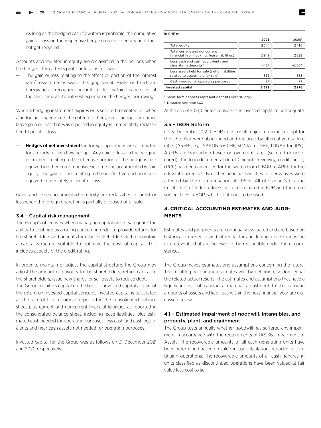As long as the hedged cash flow item is probable, the cumulative gain or loss on the respective hedge remains in equity and does not get recycled.

Amounts accumulated in equity are reclassified in the periods when the hedged item affects profit or loss, as follows:

— The gain or loss relating to the effective portion of the interest rate/cross-currency swaps hedging variable-rate or fixed-rate borrowings is recognized in profit or loss within finance cost at the same time as the interest expense on the hedged borrowings.

When a hedging instrument expires or is sold or terminated, or when a hedge no longer meets the criteria for hedge accounting, the cumulative gain or loss that was reported in equity is immediately reclassified to profit or loss.

— **Hedges of net investments** in foreign operations are accounted for similarly to cash flow hedges. Any gain or loss on the hedging instrument relating to the effective portion of the hedge is recognized in other comprehensive income and accumulated within equity. The gain or loss relating to the ineffective portion is recognized immediately in profit or loss.

Gains and losses accumulated in equity are reclassified to profit or loss when the foreign operation is partially disposed of or sold.

#### 3.4 – Capital risk management

The Group's objectives when managing capital are to safeguard the ability to continue as a going concern in order to provide returns for the shareholders and benefits for other stakeholders and to maintain a capital structure suitable to optimize the cost of capital. This includes aspects of the credit rating.

In order to maintain or adjust the capital structure, the Group may adjust the amount of payouts to the shareholders, return capital to the shareholders, issue new shares, or sell assets to reduce debt.

The Group monitors capital on the basis of invested capital as part of the return on invested capital concept. Invested capital is calculated as the sum of total equity as reported in the consolidated balance sheet plus current and noncurrent financial liabilities as reported in the consolidated balance sheet, including lease liabilities, plus estimated cash needed for operating purposes, less cash and cash equivalents and near cash assets not needed for operating purposes.

Invested capital for the Group was as follows on 31 December 2021 and 2020 respectively:

| in CHF m                                                                          |        |                   |
|-----------------------------------------------------------------------------------|--------|-------------------|
|                                                                                   | 2021   | 2020 <sup>2</sup> |
| Total equity                                                                      | 2544   | 2416              |
| Total current and noncurrent<br>financial liabilities (incl. lease liabilities)   | 1949   | 2022              |
| Less cash and cash equivalents and<br>short-term deposits <sup>1</sup>            | $-427$ | $-1.004$          |
| Less assets held for sale (net of liabilities<br>related to assets held for sale) | $-581$ | $-535$            |
| Cash needed for operating purposes                                                | 87     | 77                |
| <b>Invested capital</b>                                                           | 3572   | 2976              |

<sup>1</sup> Short-term deposits represent deposits over 90 days.

2 Restated see note 1.03

At the end of 2021, Clariant considers the invested capital to be adequate.

#### 3.5 – IBOR Reform

On 31 December 2021 LIBOR rates for all major currencies except for the US dollar were abandoned and replaced by alternative risk-free rates (ARFRs, e.g., SARON for CHF, SONIA for GBP, TONAR for JPY). ARFRs are transaction based on overnight rates (secured or unsecured). The loan documentation of Clariant's revolving credit facility (RCF) has been amended for the switch from LIBOR to ARFR for the relevant currencies. No other financial liabilities or derivatives were affected by the discontinuation of LIBOR. All of Clariant's floating Certificates of Indebtedness are denominated in EUR and therefore subject to EURIBOR, which continues to be used.

#### **4. CRITICAL ACCOUNTING ESTIMATES AND JUDG-MENTS**

Estimates and judgments are continually evaluated and are based on historical experience and other factors, including expectations on future events that are believed to be reasonable under the circumstances.

The Group makes estimates and assumptions concerning the future. The resulting accounting estimates will, by definition, seldom equal the related actual results. The estimates and assumptions that have a significant risk of causing a material adjustment to the carrying amounts of assets and liabilities within the next financial year are discussed below.

#### 4.1 – Estimated impairment of goodwill, intangibles, and property, plant, and equipment

The Group tests annually whether goodwill has suffered any impairment in accordance with the requirements of IAS 36, Impairment of Assets. The recoverable amounts of all cash-generating units have been determined based on value-in-use calculations reported in continuing operations. The recoverable amounts of all cash-generating units classified as discontinued operations have been valued at fair value less cost to sell.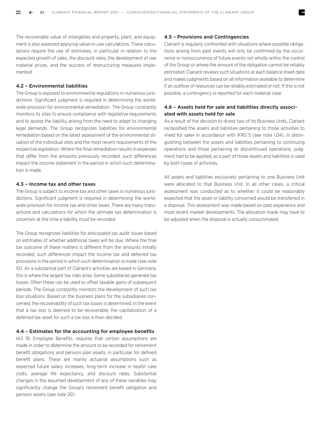The recoverable value of intangibles and property, plant, and equipment is also assessed applying value-in-use calculations. These calculations require the use of estimates, in particular in relation to the expected growth of sales, the discount rates, the development of raw material prices, and the success of restructuring measures implemented.

#### 4.2 – Environmental liabilities

The Group is exposed to environmental regulations in numerous jurisdictions. Significant judgment is required in determining the worldwide provision for environmental remediation. The Group constantly monitors its sites to ensure compliance with legislative requirements and to assess the liability arising from the need to adapt to changing legal demands. The Group recognizes liabilities for environmental remediation based on the latest assessment of the environmental situation of the individual sites and the most recent requirements of the respective legislation. Where the final remediation results in expenses that differ from the amounts previously recorded, such differences impact the income statement in the period in which such determination is made.

#### 4.3 – Income tax and other taxes

The Group is subject to income tax and other taxes in numerous jurisdictions. Significant judgment is required in determining the worldwide provision for income tax and other taxes. There are many transactions and calculations for which the ultimate tax determination is uncertain at the time a liability must be recorded.

The Group recognizes liabilities for anticipated tax audit issues based on estimates of whether additional taxes will be due. Where the final tax outcome of these matters is different from the amounts initially recorded, such differences impact the income tax and deferred tax provisions in the period in which such determination is made (see note 10). As a substantial part of Clariant's activities are based in Germany, this is where the largest tax risks arise. Some subsidiaries generate tax losses. Often these can be used to offset taxable gains of subsequent periods. The Group constantly monitors the development of such tax loss situations. Based on the business plans for the subsidiaries concerned, the recoverability of such tax losses is determined. In the event that a tax loss is deemed to be recoverable, the capitalization of a deferred tax asset for such a tax loss is then decided.

#### 4.4 – Estimates for the accounting for employee benefits

IAS 19, Employee Benefits, requires that certain assumptions are made in order to determine the amount to be recorded for retirement benefit obligations and pension plan assets, in particular for defined benefit plans. These are mainly actuarial assumptions such as expected future salary increases, long-term increase in health care costs, average life expectancy, and discount rates. Substantial changes in the assumed development of any of these variables may significantly change the Group's retirement benefit obligation and pension assets (see note 20).

#### 4.5 – Provisions and Contingencies

Clariant is regularly confronted with situations where possible obligations arising from past events will only be confirmed by the occurrence or nonoccurrence of future events not wholly within the control of the Group or where the amount of the obligation cannot be reliably estimated. Clariant reviews such situations at each balance sheet date and makes judgments based on all information available to determine if an outflow of resources can be reliably estimated or not. If this is not possible, a contingency is reported for each material case.

#### 4.6 – Assets held for sale and liabilities directly associated with assets held for sale

As a result of the decision to divest two of its Business Units, Clariant reclassified the assets and liabilities pertaining to those activities to »held for sale« in accordance with IFRS 5 (see note 1.04). In distinguishing between the assets and liabilities pertaining to continuing operations and those pertaining to discontinued operations, judgment had to be applied, as a part of those assets and liabilities is used by both types of activities.

All assets and liabilities exclusively pertaining to one Business Unit were allocated to that Business Unit. In all other cases, a critical assessment was conducted as to whether it could be reasonably expected that the asset or liability concerned would be transferred in a disposal. This assessment was made based on past experience and most recent market developments. The allocation made may have to be adjusted when the disposal is actually consummated.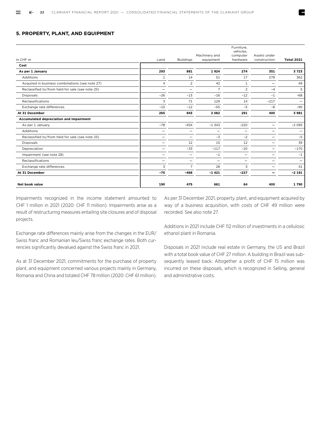#### **5. PROPERTY, PLANT, AND EQUIPMENT**

|                                                  |                |                          |                          | Furniture,<br>vehicles, |              |                          |
|--------------------------------------------------|----------------|--------------------------|--------------------------|-------------------------|--------------|--------------------------|
|                                                  |                |                          | Machinery and            | computer                | Assets under |                          |
| in CHF m                                         | Land           | <b>Buildings</b>         | equipment                | hardware                | construction | <b>Total 2021</b>        |
| Cost                                             |                |                          |                          |                         |              |                          |
| As per 1 January                                 | 293            | 881                      | 1924                     | 274                     | 351          | 3723                     |
| Additions                                        | $\mathbf{1}$   | 14                       | 51                       | 17                      | 279          | 362                      |
| Acquired in business combinations (see note 27)  | $\overline{4}$ | 2                        | 42                       | $\mathbf{1}$            |              | 49                       |
| Reclassified to/from held for sale (see note 25) | -              | $\overline{\phantom{0}}$ | $\overline{7}$           | $\overline{2}$          | $-4$         | 5                        |
| <b>Disposals</b>                                 | $-26$          | $-13$                    | $-16$                    | $-12$                   | $-1$         | $-68$                    |
| Reclassifications                                | 3              | 71                       | 129                      | 14                      | $-217$       | $\overline{\phantom{0}}$ |
| Exchange rate differences                        | $-10$          | $-12$                    | $-55$                    | $-5$                    | $-8$         | $-90$                    |
| At 31 December                                   | 265            | 943                      | 2082                     | 291                     | 400          | 3981                     |
| Accumulated depreciation and impairment          |                |                          |                          |                         |              |                          |
| As per 1 January                                 | $-78$          | $-454$                   | $-1343$                  | $-220$                  |              | $-2095$                  |
| Additions                                        |                |                          | $\overline{\phantom{0}}$ | -                       |              | -                        |
| Reclassified to/from held for sale (see note 25) |                | -                        | $-3$                     | $-2$                    |              | $-5$                     |
| <b>Disposals</b>                                 |                | 12                       | 15                       | 12                      |              | 39                       |
| Depreciation                                     |                | $-33$                    | $-117$                   | $-20$                   |              | $-170$                   |
| Impairment (see note 28)                         |                | -                        | $-1$                     | -                       |              | $-1$                     |
| Reclassifications                                | -              | -                        | $\overline{\phantom{0}}$ | —                       |              | -                        |
| Exchange rate differences                        | 3              | $\overline{7}$           | 28                       | 3                       |              | 41                       |
| At 31 December                                   | $-75$          | $-468$                   | $-1421$                  | $-227$                  | -            | $-2191$                  |
| Net book value                                   | 190            | 475                      | 661                      | 64                      | 400          | 1790                     |

Impairments recognized in the income statement amounted to CHF 1 million in 2021 (2020: CHF 11 million). Impairments arise as a result of restructuring measures entailing site closures and of disposal projects.

As per 31 December 2021, property, plant, and equipment acquired by way of a business acquisition, with costs of CHF 49 million were recorded. See also note 27.

Exchange rate differences mainly arise from the changes in the EUR/ Swiss franc and Romanian leu/Swiss franc exchange rates. Both currencies significantly devalued against the Swiss franc in 2021.

As at 31 December 2021, commitments for the purchase of property plant, and equipment concerned various projects mainly in Germany, Romania and China and totaled CHF 78 million (2020: CHF 61 million). Additions in 2021 include CHF 112 million of investments in a cellulosic ethanol plant in Romania.

Disposals in 2021 include real estate in Germany, the US and Brazil with a total book value of CHF 27 million. A building in Brazil was subsequently leased back. Altogether a profit of CHF 15 million was incurred on these disposals, which is recognized in Selling, general and administrative costs.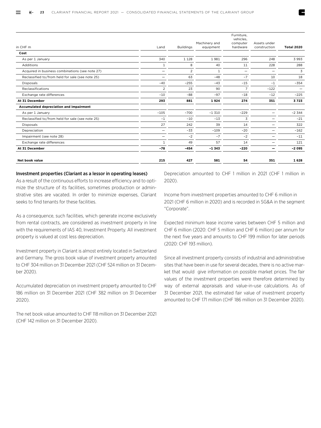| in CHF m                                         | Land                     | <b>Buildings</b> | Machinery and<br>equipment | Furniture,<br>vehicles,<br>computer<br>hardware | Assets under<br>construction | <b>Total 2020</b>        |
|--------------------------------------------------|--------------------------|------------------|----------------------------|-------------------------------------------------|------------------------------|--------------------------|
| Cost                                             |                          |                  |                            |                                                 |                              |                          |
| As per 1 January                                 | 340                      | 1 1 2 8          | 1981                       | 296                                             | 248                          | 3993                     |
| Additions                                        | $1\,$                    | 8                | 40                         | 11                                              | 228                          | 288                      |
| Acquired in business combinations (see note 27)  | $\overline{\phantom{m}}$ | 2                | 1                          | -                                               |                              | 3                        |
| Reclassified to/from held for sale (see note 25) | -                        | 63               | $-48$                      | $-7$                                            | 10                           | 18                       |
| <b>Disposals</b>                                 | $-40$                    | $-255$           | $-43$                      | $-15$                                           | $-1$                         | $-354$                   |
| Reclassifications                                | 2                        | 23               | 90                         | $\overline{7}$                                  | $-122$                       | $\overline{\phantom{m}}$ |
| Exchange rate differences                        | $-10$                    | $-88$            | $-97$                      | $-18$                                           | $-12$                        | $-225$                   |
| At 31 December                                   | 293                      | 881              | 1924                       | 274                                             | 351                          | 3723                     |
| Accumulated depreciation and impairment          |                          |                  |                            |                                                 |                              |                          |
| As per 1 January                                 | $-105$                   | $-700$           | $-1310$                    | $-229$                                          |                              | $-2344$                  |
| Reclassified to/from held for sale (see note 25) | $-1$                     | $-10$            | $-13$                      | 3                                               |                              | $-21$                    |
| <b>Disposals</b>                                 | 27                       | 242              | 39                         | 14                                              |                              | 322                      |
| Depreciation                                     |                          | $-33$            | $-109$                     | $-20$                                           |                              | $-162$                   |
| Impairment (see note 28)                         | -                        | $-2$             | $-7$                       | $-2$                                            |                              | $-11$                    |
| Exchange rate differences                        | $\mathbf{1}$             | 49               | 57                         | 14                                              |                              | 121                      |
| At 31 December                                   | $-78$                    | $-454$           | $-1.343$                   | $-220$                                          |                              | $-2095$                  |
| Net book value                                   | 215                      | 427              | 581                        | 54                                              | 351                          | 1628                     |

#### Investment properties (Clariant as a lessor in operating leases)

As a result of the continuous efforts to increase efficiency and to optimize the structure of its facilities, sometimes production or adminstrative sites are vacated. In order to minimize expenses, Clariant seeks to find tenants for these facilities.

As a consequence, such facilities, which generate income exclusively from rental contracts, are considered as investment property in line with the requirements of IAS 40, Investment Property. All investment property is valued at cost less depreciation.

Investment property in Clariant is almost entirely located in Switzerland and Germany. The gross book value of investment property amounted to CHF 304 million on 31 December 2021 (CHF 524 million on 31 December 2020).

Accumulated depreciation on investment property amounted to CHF 186 million on 31 December 2021 (CHF 382 million on 31 December 2020).

The net book value amounted to CHF 118 million on 31 December 2021 (CHF 142 million on 31 December 2020).

Depreciation amounted to CHF 1 million in 2021 (CHF 1 million in 2020).

Income from investment properties amounted to CHF 6 million in 2021 (CHF 6 million in 2020) and is recorded in SG&A in the segment "Corporate".

Expected minimum lease income varies between CHF 5 million and CHF 6 million (2020: CHF 5 million and CHF 6 million) per annum for the next five years and amounts to CHF 199 million for later periods (2020: CHF 193 million).

Since all investment property consists of industrial and administrative sites that have been in use for several decades, there is no active market that would give information on possible market prices. The fair values of the investment properties were therefore determined by way of external appraisals and value-in-use calculations. As of 31 December 2021, the estimated fair value of investment property amounted to CHF 171 million (CHF 186 million on 31 December 2020).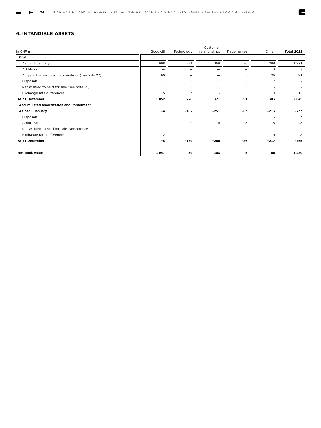#### **6. INTANGIBLE ASSETS**

|                                                 |              |               | Customer      |                          |        |                   |
|-------------------------------------------------|--------------|---------------|---------------|--------------------------|--------|-------------------|
| in CHF m                                        | Goodwill     | Technology    | relationships | Trade names              | Other  | <b>Total 2021</b> |
| Cost                                            |              |               |               |                          |        |                   |
| As per 1 January                                | 998          | 231           | 368           | 86                       | 288    | 1971              |
| Additions                                       |              |               |               |                          | 3      | 3                 |
| Acquired in business combinations (see note 27) | 60           |               |               | 5                        | 26     | 91                |
| Disposals                                       |              |               |               |                          | $-7$   | $-7$              |
| Reclassified to held for sale (see note 25)     | $-1$         |               |               |                          | 3      | $\overline{2}$    |
| Exchange rate differences                       | $-5$         | $-3$          | 3             |                          | $-10$  | $-15$             |
| At 31 December                                  | 1052         | 228           | 371           | 91                       | 303    | 2 0 4 5           |
| Accumulated amortization and impairment         |              |               |               |                          |        |                   |
| As per 1 January                                | $-4$         | $-182$        | $-251$        | $-83$                    | $-213$ | $-733$            |
| Disposals                                       |              |               | -             | $\overline{\phantom{0}}$ | 3      | 3                 |
| Amortization                                    |              | $-9$          | $-16$         | $-3$                     | $-15$  | $-43$             |
| Reclassified to held for sale (see note 25)     | $\mathbf{1}$ |               | —             |                          | $-1$   |                   |
| Exchange rate differences                       | $-2$         | $\mathcal{P}$ | $-1$          |                          | 9      | 8                 |
| At 31 December                                  | $-5$         | $-189$        | $-268$        | -86                      | $-217$ | $-765$            |
| <b>Net book value</b>                           | 1 0 4 7      | 39            | 103           | 5                        | 86     | 1 2 8 0           |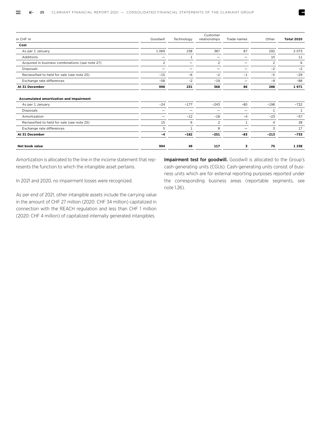|                                                             |                          |            | Customer                 |              |        |              |
|-------------------------------------------------------------|--------------------------|------------|--------------------------|--------------|--------|--------------|
| in CHF m                                                    | Goodwill                 | Technology | relationships            | Trade names  | Other  | Total 2020   |
| Cost                                                        |                          |            |                          |              |        |              |
| As per 1 January                                            | 1 0 6 9                  | 238        | 387                      | 87           | 292    | 2 0 7 3      |
| Additions                                                   | $\overline{\phantom{0}}$ | 1          | $\overline{\phantom{0}}$ | -            | 10     | 11           |
| Acquired in business combinations (see note 27)             | $\overline{c}$           | -          | $\overline{2}$           | -            | 2      | 6            |
| Disposals                                                   |                          |            | $\overline{\phantom{0}}$ | -            | $-2$   | $-2$         |
| Reclassified to held for sale (see note 25)                 | $-15$                    | $-6$       | $-2$                     | $-1$         | $-5$   | $-29$        |
| Exchange rate differences                                   | $-58$                    | $-2$       | $-19$                    | -            | $-9$   | $-88$        |
| At 31 December                                              | 998                      | 231        | 368                      | 86           | 288    | 1971         |
| Accumulated amortization and impairment<br>As per 1 January | $-24$                    | $-177$     | $-243$                   | $-80$        | $-198$ | $-722$       |
| Disposals                                                   |                          | —          |                          |              | 1      | $\mathbf{1}$ |
| Amortization                                                | $\overline{\phantom{0}}$ | $-12$      | $-18$                    | $-4$         | $-23$  | $-57$        |
| Reclassified to held for sale (see note 25)                 | 15                       | 6          | 2                        | $\mathbf{1}$ | 4      | 28           |
| Exchange rate differences                                   | 5                        |            | 8                        | -            | 3      | 17           |
| At 31 December                                              | $-4$                     | $-182$     | $-251$                   | -83          | $-213$ | $-733$       |
| <b>Net book value</b>                                       | 994                      | 49         | 117                      | 3            | 75     | 1 2 3 8      |

Amortization is allocated to the line in the income statement that represents the function to which the intangible asset pertains.

In 2021 and 2020, no impairment losses were recognized.

As per end of 2021, other intangible assets include the carrying value in the amount of CHF 27 million (2020: CHF 34 million) capitalized in connection with the REACH regulation and less than CHF 1 million (2020: CHF 4 million) of capitalized internally generated intangibles.

Impairment test for goodwill. Goodwill is allocated to the Group's cash-generating units (CGUs). Cash-generating units consist of business units which are for external reporting purposes reported under the corresponding business areas (reportable segments, see note 1.26).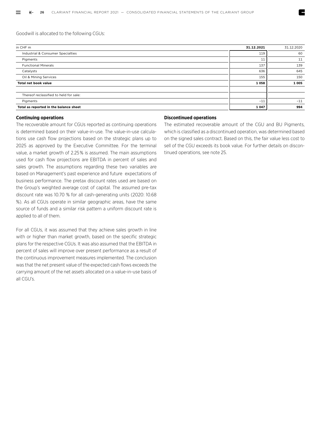Goodwill is allocated to the following CGUs:

| in CHF m                               | 31.12.2021 | 31.12.2020 |
|----------------------------------------|------------|------------|
| Industrial & Consumer Specialties      | 119        | 60         |
| Pigments                               | 11         | 11         |
| <b>Functional Minerals</b>             | 137        | 139        |
| Catalysts                              | 636        | 645        |
| Oil & Mining Services                  | 155        | 150        |
| Total net book value                   | 1058       | 1 0 0 5    |
|                                        |            |            |
| Thereof reclassified to held for sale: |            |            |
| Pigments                               | $-11$      | $-11$      |
| Total as reported in the balance sheet | 1 0 4 7    | 994        |

#### **Continuing operations**

The recoverable amount for CGUs reported as continuing operations is determined based on their value-in-use. The value-in-use calculations use cash flow projections based on the strategic plans up to 2025 as approved by the Executive Committee. For the terminal value, a market growth of 2.25 % is assumed. The main assumptions used for cash flow projections are EBITDA in percent of sales and sales growth. The assumptions regarding these two variables are based on Management's past experience and future expectations of business performance. The pretax discount rates used are based on the Group's weighted average cost of capital. The assumed pre-tax discount rate was 10.70 % for all cash-generating units (2020: 10.68 %). As all CGUs operate in similar geographic areas, have the same source of funds and a similar risk pattern a uniform discount rate is applied to all of them.

For all CGUs, it was assumed that they achieve sales growth in line with or higher than market growth, based on the specific strategic plans for the respective CGUs. It was also assumed that the EBITDA in percent of sales will improve over present performance as a result of the continuous improvement measures implemented. The conclusion was that the net present value of the expected cash flows exceeds the carrying amount of the net assets allocated on a value-in-use basis of all CGU's.

#### **Discontinued operations**

The estimated recoverable amount of the CGU and BU Pigments, which is classified as a discontinued operation, was determined based on the signed sales contract. Based on this, the fair value less cost to sell of the CGU exceeds its book value. For further details on discontinued operations, see note 25.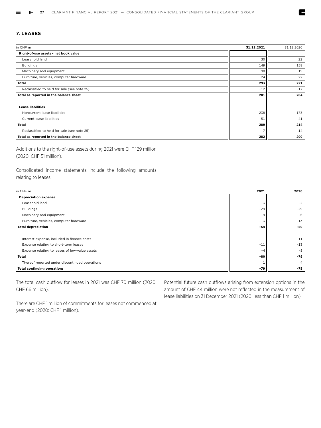#### **7. LEASES**

| in CHF m                                    | 31.12.2021 | 31.12.2020 |
|---------------------------------------------|------------|------------|
| Right-of-use assets - net book value        |            |            |
| Leasehold land                              | 30         | 22         |
| <b>Buildings</b>                            | 149        | 158        |
| Machinery and equipment                     | 90         | 19         |
| Furniture, vehicles, computer hardware      | 24         | 22         |
| <b>Total</b>                                | 293        | 221        |
| Reclassified to held for sale (see note 25) | $-12$      | $-17$      |
| Total as reported in the balance sheet      | 281        | 204        |
| <b>Lease liabilities</b>                    |            |            |
| Noncurrent lease liabilities                | 238        | 173        |
| Current lease liabilities                   | 51         | 41         |
| <b>Total</b>                                | 289        | 214        |
| Reclassified to held for sale (see note 25) | $-7$       | $-14$      |
| Total as reported in the balance sheet      | 282        | 200        |

Additions to the right-of-use assets during 2021 were CHF 129 million (2020: CHF 51 million).

Consolidated income statements include the following amounts relating to leases:

| in CHF m                                       | 2021  | 2020           |
|------------------------------------------------|-------|----------------|
| <b>Depreciation expense</b>                    |       |                |
| Leasehold land                                 | $-3$  | $-2$           |
| <b>Buildings</b>                               | $-29$ | $-29$          |
| Machinery and equipment                        | $-9$  | $-6$           |
| Furniture, vehicles, computer hardware         | $-13$ | $-13$          |
| <b>Total depreciation</b>                      | $-54$ | -50            |
|                                                |       |                |
| Interest expense, included in finance costs    | $-11$ | $-11$          |
| Expense relating to short-term leases          | $-11$ | $-13$          |
| Expense relating to leases of low-value assets | $-4$  | $-5$           |
| Total                                          | -80   | $-79$          |
| Thereof reported under discontinued operations |       | $\overline{4}$ |
| <b>Total continuing operations</b>             | $-79$ | $-75$          |

The total cash outflow for leases in 2021 was CHF 70 million (2020: CHF 66 million).

Potential future cash outflows arising from extension options in the amount of CHF 44 million were not reflected in the measurement of lease liabilities on 31 December 2021 (2020: less than CHF 1 million).

Z

There are CHF 1 million of commitments for leases not commenced at year-end (2020: CHF 1 million).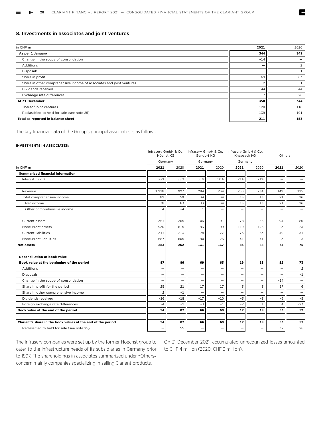#### 8. Investments in associates and joint ventures

| in CHF m                                                             | 2021   | 2020   |
|----------------------------------------------------------------------|--------|--------|
| As per 1 January                                                     | 344    | 349    |
| Change in the scope of consolidation                                 | $-14$  |        |
| Additions                                                            | -      | 2      |
| <b>Disposals</b>                                                     |        | $-1$   |
| Share in profit                                                      | 69     | 63     |
| Share in other comprehensive income of associates and joint ventures |        |        |
| Dividends received                                                   | $-44$  | $-44$  |
| Exchange rate differences                                            | $-7$   | $-26$  |
| At 31 December                                                       | 350    | 344    |
| Thereof joint ventures                                               | 120    | 118    |
| Reclassified to held for sale (see note 25)                          | $-139$ | $-191$ |
| Total as reported in balance sheet                                   | 211    | 153    |

The key financial data of the Group's principal associates is as follows:

#### **INVESTMENTS IN ASSOCIATES:**

| Germany<br>Germany<br>Germany<br>2021<br>2020<br>2020<br>2021<br>2020<br>2021<br>2020<br>2021<br><b>Summarized financial information</b><br>33%<br>50%<br>Interest held %<br>33%<br>50%<br>21%<br>21%<br>-<br>1 2 1 8<br>927<br>294<br>234<br>250<br>234<br>149<br>115<br>Revenue<br>82<br>59<br>34<br>34<br>Total comprehensive income<br>13<br>13<br>21<br>16<br>33<br>78<br>63<br>34<br>13<br>13<br>21<br>16<br>Net income<br>$-4$<br>$\mathbf{1}$<br>Other comprehensive income<br>4<br>$\overline{\phantom{0}}$<br>-<br>-<br>$\overline{\phantom{0}}$<br>$\qquad \qquad -$<br>351<br>265<br>78<br>86<br>Current assets<br>106<br>91<br>66<br>94<br>23<br>930<br>815<br>193<br>199<br>119<br>126<br>23<br>Noncurrent assets<br><b>Current liabilities</b><br>$-311$<br>$-78$<br>$-77$<br>$-73$<br>$-63$<br>$-40$<br>$-31$<br>$-213$<br>$-90$<br>Noncurrent liabilities<br>$-687$<br>$-605$<br>$-76$<br>$-41$<br>$-41$<br>$-3$<br>$-3$<br>131<br>137<br>83<br>88<br>74<br>75<br>283<br>262<br><b>Net assets</b><br><b>Reconciliation of book value</b><br>87<br>69<br>52<br>Book value at the beginning of the period<br>86<br>63<br>19<br>18<br>73<br>Additions<br>$\overline{2}$<br>$\overline{\phantom{0}}$<br>$\overline{\phantom{0}}$<br>$\overline{\phantom{0}}$<br>$-1$<br><b>Disposals</b><br>$\qquad \qquad -$<br>$\overline{\phantom{0}}$<br>$\overline{\phantom{0}}$<br>-<br>Change in the scope of consolidation<br>$-14$<br>-<br>$\overline{\phantom{0}}$<br>$\overline{\phantom{0}}$<br>—<br>$\overline{\phantom{0}}$<br>25<br>17<br>3<br>3<br>21<br>17<br>17<br>6<br>Share in profit for the period<br>$\overline{2}$<br>$-1$<br>Share in other comprehensive income<br>$\overline{\phantom{0}}$<br>$\overline{\phantom{0}}$<br>$\overline{\phantom{0}}$<br>$\overline{a}$<br>$\overline{\phantom{0}}$<br>$\overline{\phantom{0}}$<br>Dividends received<br>$-17$<br>$-3$<br>$-3$<br>$-6$<br>$-5$<br>$-16$<br>$-18$<br>$-10$<br>$-3$<br>$-2$<br>Foreign exchange rate differences<br>$-1$<br>$-1$<br>$-23$<br>$-4$<br>$\mathbf{1}$<br>$\overline{a}$<br>Book value at the end of the period<br>94<br>87<br>66<br>17<br>53<br>52<br>69<br>19<br>94<br>87<br>66<br>53<br>Clariant's share in the book values at the end of the period<br>69<br>17<br>19<br>52<br>55<br>32<br>28<br>Reclassified to held for sale (see note 25)<br>$\overline{\phantom{0}}$ |          | Höchst KG |  | Infrasery GmbH & Co. Infrasery GmbH & Co. Infrasery GmbH & Co.<br>Gendorf KG |  | Knapsack KG |  | Others |  |
|----------------------------------------------------------------------------------------------------------------------------------------------------------------------------------------------------------------------------------------------------------------------------------------------------------------------------------------------------------------------------------------------------------------------------------------------------------------------------------------------------------------------------------------------------------------------------------------------------------------------------------------------------------------------------------------------------------------------------------------------------------------------------------------------------------------------------------------------------------------------------------------------------------------------------------------------------------------------------------------------------------------------------------------------------------------------------------------------------------------------------------------------------------------------------------------------------------------------------------------------------------------------------------------------------------------------------------------------------------------------------------------------------------------------------------------------------------------------------------------------------------------------------------------------------------------------------------------------------------------------------------------------------------------------------------------------------------------------------------------------------------------------------------------------------------------------------------------------------------------------------------------------------------------------------------------------------------------------------------------------------------------------------------------------------------------------------------------------------------------------------------------------------------------------------------------------------------------------------------------------------------------------------------------------------------------------------------------------------------------------------|----------|-----------|--|------------------------------------------------------------------------------|--|-------------|--|--------|--|
|                                                                                                                                                                                                                                                                                                                                                                                                                                                                                                                                                                                                                                                                                                                                                                                                                                                                                                                                                                                                                                                                                                                                                                                                                                                                                                                                                                                                                                                                                                                                                                                                                                                                                                                                                                                                                                                                                                                                                                                                                                                                                                                                                                                                                                                                                                                                                                            |          |           |  |                                                                              |  |             |  |        |  |
|                                                                                                                                                                                                                                                                                                                                                                                                                                                                                                                                                                                                                                                                                                                                                                                                                                                                                                                                                                                                                                                                                                                                                                                                                                                                                                                                                                                                                                                                                                                                                                                                                                                                                                                                                                                                                                                                                                                                                                                                                                                                                                                                                                                                                                                                                                                                                                            | in CHF m |           |  |                                                                              |  |             |  |        |  |
|                                                                                                                                                                                                                                                                                                                                                                                                                                                                                                                                                                                                                                                                                                                                                                                                                                                                                                                                                                                                                                                                                                                                                                                                                                                                                                                                                                                                                                                                                                                                                                                                                                                                                                                                                                                                                                                                                                                                                                                                                                                                                                                                                                                                                                                                                                                                                                            |          |           |  |                                                                              |  |             |  |        |  |
|                                                                                                                                                                                                                                                                                                                                                                                                                                                                                                                                                                                                                                                                                                                                                                                                                                                                                                                                                                                                                                                                                                                                                                                                                                                                                                                                                                                                                                                                                                                                                                                                                                                                                                                                                                                                                                                                                                                                                                                                                                                                                                                                                                                                                                                                                                                                                                            |          |           |  |                                                                              |  |             |  |        |  |
|                                                                                                                                                                                                                                                                                                                                                                                                                                                                                                                                                                                                                                                                                                                                                                                                                                                                                                                                                                                                                                                                                                                                                                                                                                                                                                                                                                                                                                                                                                                                                                                                                                                                                                                                                                                                                                                                                                                                                                                                                                                                                                                                                                                                                                                                                                                                                                            |          |           |  |                                                                              |  |             |  |        |  |
|                                                                                                                                                                                                                                                                                                                                                                                                                                                                                                                                                                                                                                                                                                                                                                                                                                                                                                                                                                                                                                                                                                                                                                                                                                                                                                                                                                                                                                                                                                                                                                                                                                                                                                                                                                                                                                                                                                                                                                                                                                                                                                                                                                                                                                                                                                                                                                            |          |           |  |                                                                              |  |             |  |        |  |
|                                                                                                                                                                                                                                                                                                                                                                                                                                                                                                                                                                                                                                                                                                                                                                                                                                                                                                                                                                                                                                                                                                                                                                                                                                                                                                                                                                                                                                                                                                                                                                                                                                                                                                                                                                                                                                                                                                                                                                                                                                                                                                                                                                                                                                                                                                                                                                            |          |           |  |                                                                              |  |             |  |        |  |
|                                                                                                                                                                                                                                                                                                                                                                                                                                                                                                                                                                                                                                                                                                                                                                                                                                                                                                                                                                                                                                                                                                                                                                                                                                                                                                                                                                                                                                                                                                                                                                                                                                                                                                                                                                                                                                                                                                                                                                                                                                                                                                                                                                                                                                                                                                                                                                            |          |           |  |                                                                              |  |             |  |        |  |
|                                                                                                                                                                                                                                                                                                                                                                                                                                                                                                                                                                                                                                                                                                                                                                                                                                                                                                                                                                                                                                                                                                                                                                                                                                                                                                                                                                                                                                                                                                                                                                                                                                                                                                                                                                                                                                                                                                                                                                                                                                                                                                                                                                                                                                                                                                                                                                            |          |           |  |                                                                              |  |             |  |        |  |
|                                                                                                                                                                                                                                                                                                                                                                                                                                                                                                                                                                                                                                                                                                                                                                                                                                                                                                                                                                                                                                                                                                                                                                                                                                                                                                                                                                                                                                                                                                                                                                                                                                                                                                                                                                                                                                                                                                                                                                                                                                                                                                                                                                                                                                                                                                                                                                            |          |           |  |                                                                              |  |             |  |        |  |
|                                                                                                                                                                                                                                                                                                                                                                                                                                                                                                                                                                                                                                                                                                                                                                                                                                                                                                                                                                                                                                                                                                                                                                                                                                                                                                                                                                                                                                                                                                                                                                                                                                                                                                                                                                                                                                                                                                                                                                                                                                                                                                                                                                                                                                                                                                                                                                            |          |           |  |                                                                              |  |             |  |        |  |
|                                                                                                                                                                                                                                                                                                                                                                                                                                                                                                                                                                                                                                                                                                                                                                                                                                                                                                                                                                                                                                                                                                                                                                                                                                                                                                                                                                                                                                                                                                                                                                                                                                                                                                                                                                                                                                                                                                                                                                                                                                                                                                                                                                                                                                                                                                                                                                            |          |           |  |                                                                              |  |             |  |        |  |
|                                                                                                                                                                                                                                                                                                                                                                                                                                                                                                                                                                                                                                                                                                                                                                                                                                                                                                                                                                                                                                                                                                                                                                                                                                                                                                                                                                                                                                                                                                                                                                                                                                                                                                                                                                                                                                                                                                                                                                                                                                                                                                                                                                                                                                                                                                                                                                            |          |           |  |                                                                              |  |             |  |        |  |
|                                                                                                                                                                                                                                                                                                                                                                                                                                                                                                                                                                                                                                                                                                                                                                                                                                                                                                                                                                                                                                                                                                                                                                                                                                                                                                                                                                                                                                                                                                                                                                                                                                                                                                                                                                                                                                                                                                                                                                                                                                                                                                                                                                                                                                                                                                                                                                            |          |           |  |                                                                              |  |             |  |        |  |
|                                                                                                                                                                                                                                                                                                                                                                                                                                                                                                                                                                                                                                                                                                                                                                                                                                                                                                                                                                                                                                                                                                                                                                                                                                                                                                                                                                                                                                                                                                                                                                                                                                                                                                                                                                                                                                                                                                                                                                                                                                                                                                                                                                                                                                                                                                                                                                            |          |           |  |                                                                              |  |             |  |        |  |
|                                                                                                                                                                                                                                                                                                                                                                                                                                                                                                                                                                                                                                                                                                                                                                                                                                                                                                                                                                                                                                                                                                                                                                                                                                                                                                                                                                                                                                                                                                                                                                                                                                                                                                                                                                                                                                                                                                                                                                                                                                                                                                                                                                                                                                                                                                                                                                            |          |           |  |                                                                              |  |             |  |        |  |
|                                                                                                                                                                                                                                                                                                                                                                                                                                                                                                                                                                                                                                                                                                                                                                                                                                                                                                                                                                                                                                                                                                                                                                                                                                                                                                                                                                                                                                                                                                                                                                                                                                                                                                                                                                                                                                                                                                                                                                                                                                                                                                                                                                                                                                                                                                                                                                            |          |           |  |                                                                              |  |             |  |        |  |
|                                                                                                                                                                                                                                                                                                                                                                                                                                                                                                                                                                                                                                                                                                                                                                                                                                                                                                                                                                                                                                                                                                                                                                                                                                                                                                                                                                                                                                                                                                                                                                                                                                                                                                                                                                                                                                                                                                                                                                                                                                                                                                                                                                                                                                                                                                                                                                            |          |           |  |                                                                              |  |             |  |        |  |
|                                                                                                                                                                                                                                                                                                                                                                                                                                                                                                                                                                                                                                                                                                                                                                                                                                                                                                                                                                                                                                                                                                                                                                                                                                                                                                                                                                                                                                                                                                                                                                                                                                                                                                                                                                                                                                                                                                                                                                                                                                                                                                                                                                                                                                                                                                                                                                            |          |           |  |                                                                              |  |             |  |        |  |
|                                                                                                                                                                                                                                                                                                                                                                                                                                                                                                                                                                                                                                                                                                                                                                                                                                                                                                                                                                                                                                                                                                                                                                                                                                                                                                                                                                                                                                                                                                                                                                                                                                                                                                                                                                                                                                                                                                                                                                                                                                                                                                                                                                                                                                                                                                                                                                            |          |           |  |                                                                              |  |             |  |        |  |
|                                                                                                                                                                                                                                                                                                                                                                                                                                                                                                                                                                                                                                                                                                                                                                                                                                                                                                                                                                                                                                                                                                                                                                                                                                                                                                                                                                                                                                                                                                                                                                                                                                                                                                                                                                                                                                                                                                                                                                                                                                                                                                                                                                                                                                                                                                                                                                            |          |           |  |                                                                              |  |             |  |        |  |
|                                                                                                                                                                                                                                                                                                                                                                                                                                                                                                                                                                                                                                                                                                                                                                                                                                                                                                                                                                                                                                                                                                                                                                                                                                                                                                                                                                                                                                                                                                                                                                                                                                                                                                                                                                                                                                                                                                                                                                                                                                                                                                                                                                                                                                                                                                                                                                            |          |           |  |                                                                              |  |             |  |        |  |
|                                                                                                                                                                                                                                                                                                                                                                                                                                                                                                                                                                                                                                                                                                                                                                                                                                                                                                                                                                                                                                                                                                                                                                                                                                                                                                                                                                                                                                                                                                                                                                                                                                                                                                                                                                                                                                                                                                                                                                                                                                                                                                                                                                                                                                                                                                                                                                            |          |           |  |                                                                              |  |             |  |        |  |
|                                                                                                                                                                                                                                                                                                                                                                                                                                                                                                                                                                                                                                                                                                                                                                                                                                                                                                                                                                                                                                                                                                                                                                                                                                                                                                                                                                                                                                                                                                                                                                                                                                                                                                                                                                                                                                                                                                                                                                                                                                                                                                                                                                                                                                                                                                                                                                            |          |           |  |                                                                              |  |             |  |        |  |
|                                                                                                                                                                                                                                                                                                                                                                                                                                                                                                                                                                                                                                                                                                                                                                                                                                                                                                                                                                                                                                                                                                                                                                                                                                                                                                                                                                                                                                                                                                                                                                                                                                                                                                                                                                                                                                                                                                                                                                                                                                                                                                                                                                                                                                                                                                                                                                            |          |           |  |                                                                              |  |             |  |        |  |

The Infraserv companies were set up by the former Hoechst group to cater to the infrastructure needs of its subsidiaries in Germany prior to 1997. The shareholdings in associates summarized under »Others« concern mainly companies specializing in selling Clariant products.

On 31 December 2021, accumulated unrecognized losses amounted to CHF 4 million (2020: CHF 3 million).

Z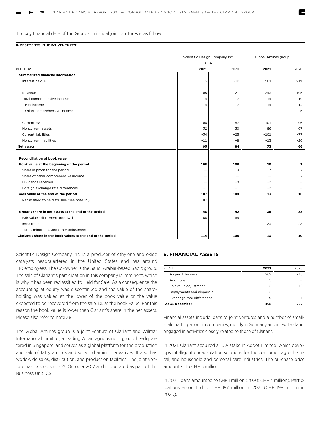The key financial data of the Group's principal joint ventures is as follows:

#### **INVESTMENTS IN JOINT VENTURES:**

|                                                              | Scientific Design Company Inc. |                          | Global Amines group |                          |
|--------------------------------------------------------------|--------------------------------|--------------------------|---------------------|--------------------------|
|                                                              |                                | <b>USA</b>               |                     |                          |
| in CHF m                                                     | 2021                           | 2020                     | 2021                | 2020                     |
| <b>Summarized financial information</b>                      |                                |                          |                     |                          |
| Interest held %                                              | 50%                            | 50%                      | 50%                 | 50%                      |
| Revenue                                                      | 105                            | 121                      | 243                 | 195                      |
| Total comprehensive income                                   | 14                             | 17                       | 14                  | 19                       |
| Net income                                                   | 14                             | 17                       | 14                  | 14                       |
| Other comprehensive income                                   |                                | $\overline{\phantom{0}}$ |                     | 5                        |
| Current assets                                               | 108                            | 87                       | 101                 | 96                       |
| Noncurrent assets                                            | 32                             | 30                       | 86                  | 67                       |
| <b>Current liabilities</b>                                   | $-34$                          | $-25$                    | $-101$              | $-77$                    |
| Noncurrent liabilities                                       | $-11$                          | $-8$                     | $-13$               | $-20$                    |
| <b>Net assets</b>                                            | 95                             | 84                       | 73                  | 66                       |
| <b>Reconciliation of book value</b>                          |                                |                          |                     |                          |
| Book value at the beginning of the period                    | 108                            | 108                      | 10                  | $\mathbf{1}$             |
| Share in profit for the period                               |                                | 9                        | $\overline{7}$      | $\overline{7}$           |
| Share of other comprehensive income                          |                                |                          |                     | $\overline{2}$           |
| Dividends received                                           |                                | -8                       | $-2$                | $\equiv$                 |
| Foreign exchange rate differences                            | $-1$                           | $-1$                     | $-2$                |                          |
| Book value at the end of the period                          | 107                            | 108                      | 13                  | 10                       |
| Reclassified to held for sale (see note 25)                  | 107                            |                          |                     |                          |
| Group's share in net assets at the end of the period         | 48                             | 42                       | 36                  | 33                       |
| Fair value adjustment/goodwill                               | 66                             | 66                       | -                   | $\overline{\phantom{0}}$ |
| Impairment                                                   |                                | $\overline{\phantom{0}}$ | $-23$               | $-23$                    |
| Taxes, minorities, and other adjustments                     |                                | $\overline{\phantom{a}}$ |                     | $\equiv$                 |
| Clariant's share in the book values at the end of the period | 114                            | 108                      | 13                  | 10                       |
|                                                              |                                |                          |                     |                          |

Scientific Design Company Inc. is a producer of ethylene and oxide catalysts headquartered in the United States and has around 140 employees. The Co-owner is the Saudi Arabia-based Sabic group. The sale of Clariant's participation in this company is imminent, which is why it has been reclassified to Held for Sale. As a consequence the accounting at equity was discontinued and the value of the shareholding was valued at the lower of the book value or the value expected to be recovered from the sale, i.e. at the book value. For this reason the book value is lower than Clariant's share in the net assets. Please also refer to note 38.

The Global Amines group is a joint venture of Clariant and Wilmar International Limited, a leading Asian agribusiness group headquartered in Singapore, and serves as a global platform for the production and sale of fatty amines and selected amine derivatives. It also has worldwide sales, distribution, and production facilities. The joint venture has existed since 26 October 2012 and is operated as part of the Business Unit ICS.

#### **9. FINANCIAL ASSETS**

| in CHF m                  | 2021 | 2020 |
|---------------------------|------|------|
| As per 1 January          | 202  | 218  |
| Additions                 | 5    |      |
| Fair value adjustment     | €    | -10  |
| Repayments and disposals  | $-2$ |      |
| Exchange rate differences | $-9$ |      |
| At 31 December            | 198  | 202  |

Financial assets include loans to joint ventures and a number of smallscale participations in companies, mostly in Germany and in Switzerland, engaged in activities closely related to those of Clariant.

In 2021, Clariant acquired a 10 % stake in Aqdot Limited, which develops intelligent encapsulation solutions for the consumer, agrochemical, and household and personal care industries. The purchase price amounted to CHF 5 million.

In 2021, loans amounted to CHF 1 million (2020: CHF 4 million). Participations amounted to CHF 197 million in 2021 (CHF 198 million in 2020).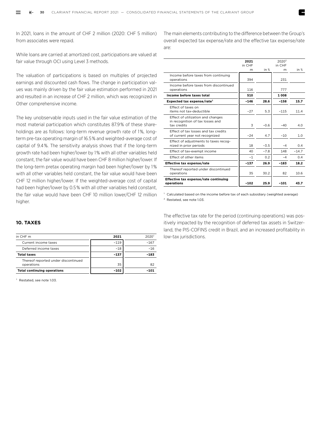In 2021, loans in the amount of CHF 2 million (2020: CHF 5 million) from associates were repaid.

While loans are carried at amortized cost, participations are valued at fair value through OCI using Level 3 methods.

The valuation of participations is based on multiples of projected earnings and discounted cash flows. The change in participation values was mainly driven by the fair value estimation performed in 2021 and resulted in an increase of CHF 2 million, which was recognized in Other comprehensive income.

The key unobservable inputs used in the fair value estimation of the most material participation which constitutes 87.9 % of these shareholdings are as follows: long-term revenue growth rate of 1 %, longterm pre-tax operating margin of 16.5 % and weighted-average cost of capital of 9.4 %. The sensitivity analysis shows that if the long-term growth rate had been higher/lower by 1 % with all other variables held constant, the fair value would have been CHF 8 million higher/lower. If the long-term pretax operating margin had been higher/lower by 1 % with all other variables held constant, the fair value would have been CHF 12 million higher/lower. If the weighted-average cost of capital had been higher/lower by 0.5 % with all other variables held constant, the fair value would have been CHF 10 million lower/CHF 12 million higher.

The main elements contributing to the difference between the Group's overall expected tax expense/rate and the effective tax expense/rate are:

|                                                                                      | 2021<br>in CHF |        | 2020 <sup>2</sup><br>in CHF |         |
|--------------------------------------------------------------------------------------|----------------|--------|-----------------------------|---------|
|                                                                                      | m              | in $%$ | m                           | in $%$  |
| Income before taxes from continuing<br>operations                                    | 394            |        | 231                         |         |
| Income before taxes from discontinued<br>operations                                  | 116            |        | 777                         |         |
| Income before taxes total                                                            | 510            |        | 1 008                       |         |
| Expected tax expense/rate <sup>1</sup>                                               | $-146$         | 28.6   | $-158$                      | 15.7    |
| Effect of taxes on<br>items not tax-deductible                                       | $-27$          | 5.3    | $-115$                      | 11.4    |
| Effect of utilization and changes<br>in recognition of tax losses and<br>tax credits | 3              | $-0.6$ | $-40$                       | 4.0     |
| Effect of tax losses and tax credits<br>of current year not recognized               | $-24$          | 4.7    | $-10$                       | 1.0     |
| Effect of adjustments to taxes recog-<br>nized in prior periods                      | 18             | $-3.5$ | $-4$                        | 0.4     |
| Effect of tax-exempt income                                                          | 40             | $-7.8$ | 148                         | $-14.7$ |
| Effect of other items                                                                | $-1$           | 0.2    | $-4$                        | 0.4     |
| Effective tax expense/rate                                                           | $-137$         | 26.9   | $-183$                      | 18.2    |
| Thereof reported under discontinued<br>operations                                    | 35             | 30.2   | 82                          | 10.6    |
| Effective tax expense/rate continuing<br>operations                                  | $-102$         | 25.9   | $-101$                      | 43.7    |

<sup>1</sup> Calculated based on the income before tax of each subsidiary (weighted average) 2 Restated, see note 1.03.

**10. TAXES**

| in CHF m                                          | 2021   | 2020 <sup>1</sup> |
|---------------------------------------------------|--------|-------------------|
| Current income taxes                              | $-119$ | $-167$            |
| Deferred income taxes                             | $-18$  | $-16$             |
| <b>Total taxes</b>                                | -137   | $-183$            |
| Thereof reported under discontinued<br>operations | 35     | 82                |
| <b>Total continuing operations</b>                | -102   | -101              |

Restated, see note 1.03.

The effective tax rate for the period (continuing operations) was positively impacted by the recognition of deferred tax assets in Switzerland, the PIS-COFINS credit in Brazil, and an increased profitability in low-tax jurisdictions.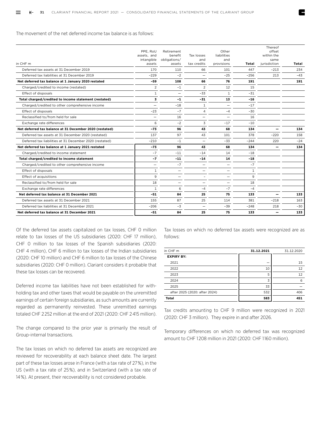The movement of the net deferred income tax balance is as follows:

| in CHF m                                                | PPE, RoU<br>assets, and<br>intangible<br>assets | Retirement<br>benefit<br>obligations/<br>assets | Tax losses<br>and<br>tax credits | Other<br>liabilities<br>and<br>provisions | Total        | Thereof<br>offset<br>within the<br>same<br>jurisdiction | Total |
|---------------------------------------------------------|-------------------------------------------------|-------------------------------------------------|----------------------------------|-------------------------------------------|--------------|---------------------------------------------------------|-------|
| Deferred tax assets at 31 December 2019                 | 170                                             | 110                                             | 66                               | 101                                       | 447          | $-213$                                                  | 234   |
| Deferred tax liabilities at 31 December 2019            | $-229$                                          | $-2$                                            | $\overline{\phantom{0}}$         | $-25$                                     | -256         | 213                                                     | $-43$ |
| Net deferred tax balance at 1 January 2020 restated     | $-59$                                           | 108                                             | 66                               | 76                                        | 191          |                                                         | 191   |
| Charged/credited to income (restated)                   | $\overline{2}$                                  | $-1$                                            | 2                                | 12                                        | 15           |                                                         |       |
| Effect of disposals                                     | $\mathbf{1}$                                    | $\overline{\phantom{0}}$                        | $-33$                            | $\mathbf{1}$                              | $-31$        |                                                         |       |
| Total charged/credited to income statement (restated)   | 3                                               | $-1$                                            | $-31$                            | 13                                        | $-16$        |                                                         |       |
| Charged/credited to other comprehensive income          | $\overline{\phantom{0}}$                        | $-18$                                           | $\mathbf{1}$                     | $\overline{\phantom{0}}$                  | $-17$        |                                                         |       |
| Effect of disposals                                     | $-23$                                           | $-7$                                            | 4                                | $-4$                                      | $-30$        |                                                         |       |
| Reclassified to/from held for sale                      | -                                               | 16                                              | $\qquad \qquad -$                | $\overline{\phantom{0}}$                  | 16           |                                                         |       |
| Exchange rate differences                               | 6                                               | $-2$                                            | 3                                | $-17$                                     | $-10$        |                                                         |       |
| Net deferred tax balance at 31 December 2020 (restated) | $-73$                                           | 96                                              | 43                               | 68                                        | 134          |                                                         | 134   |
| Deferred tax assets at 31 December 2020 (restated)      | 137                                             | 97                                              | 43                               | 101                                       | 378          | $-220$                                                  | 158   |
| Deferred tax liabilities at 31 December 2020 (restated) | $-210$                                          | $-1$                                            | $\overline{\phantom{0}}$         | $-33$                                     | $-244$       | 220                                                     | $-24$ |
| Net deferred tax balance at 1 January 2021 restated     | $-73$                                           | 96                                              | 43                               | 68                                        | 134          | —                                                       | 134   |
| Charged/credited to income statement                    | $-7$                                            | $-11$                                           | $-14$                            | 14                                        | $-18$        |                                                         |       |
| Total charged/credited to income statement              | $-7$                                            | $-11$                                           | $-14$                            | 14                                        | $-18$        |                                                         |       |
| Charged/credited to other comprehensive income          | $\overline{\phantom{0}}$                        | $-7$                                            | $\overline{\phantom{0}}$         | $\overline{\phantom{0}}$                  | $-7$         |                                                         |       |
| Effect of disposals                                     | $\mathbf{1}$                                    | $\overline{\phantom{0}}$                        | $\overline{\phantom{0}}$         | $\overline{\phantom{0}}$                  | $\mathbf{1}$ |                                                         |       |
| <b>Effect of acquisitions</b>                           | 9                                               | -                                               |                                  | -                                         | 9            |                                                         |       |
| Reclassified to/from held for sale                      | 18                                              | $\overline{\phantom{0}}$                        | ۰                                | -                                         | 18           |                                                         |       |
| Exchange rate differences                               | $\mathbf{1}$                                    | 6                                               | $-4$                             | $-7$                                      | $-4$         |                                                         |       |
| Net deferred tax balance at 31 December 2021            | $-51$                                           | 84                                              | 25                               | 75                                        | 133          |                                                         | 133   |
| Deferred tax assets at 31 December 2021                 | 155                                             | 87                                              | 25                               | 114                                       | 381          | $-218$                                                  | 163   |
| Deferred tax liabilities at 31 December 2021            | -206                                            | $-3$                                            | $\overline{\phantom{0}}$         | -39                                       | $-248$       | 218                                                     | $-30$ |
| Net deferred tax balance at 31 December 2021            | $-51$                                           | 84                                              | 25                               | 75                                        | 133          |                                                         | 133   |

Of the deferred tax assets capitalized on tax losses, CHF 0 million relate to tax losses of the US subsidiaries (2020: CHF 17 million), CHF 0 million to tax losses of the Spanish subsidiaries (2020: CHF 4 million), CHF 6 million to tax losses of the Indian subsidiaries (2020: CHF 10 million) and CHF 6 million to tax losses of the Chinese subsidiaries (2020: CHF 0 million). Clariant considers it probable that these tax losses can be recovered.

Deferred income tax liabilities have not been established for withholding tax and other taxes that would be payable on the unremitted earnings of certain foreign subsidiaries, as such amounts are currently regarded as permanently reinvested. These unremitted earnings totaled CHF 2 252 million at the end of 2021 (2020: CHF 2 415 million).

The change compared to the prior year is primarily the result of Group-internal transactions.

The tax losses on which no deferred tax assets are recognized are reviewed for recoverability at each balance sheet date. The largest part of these tax losses arose in France (with a tax rate of 27 %), in the US (with a tax rate of 25 %), and in Switzerland (with a tax rate of 14 %). At present, their recoverability is not considered probable.

Tax losses on which no deferred tax assets were recognized are as follows:

| in CHF m                      | 31.12.2021 | 31.12.2020 |
|-------------------------------|------------|------------|
| <b>EXPIRY BY:</b>             |            |            |
| 2021                          |            | 15         |
| 2022                          | 10         | 12         |
| 2023                          | 5          | 12         |
| 2024                          | 3          | 6          |
| 2025                          | 33         |            |
| after 2025 (2020: after 2024) | 532        | 406        |
| <b>Total</b>                  | 583        | 451        |

Tax credits amounting to CHF 9 million were recognized in 2021 (2020: CHF 3 million). They expire in and after 2026.

Temporary differences on which no deferred tax was recognized amount to CHF 1 208 million in 2021 (2020: CHF 1 160 million).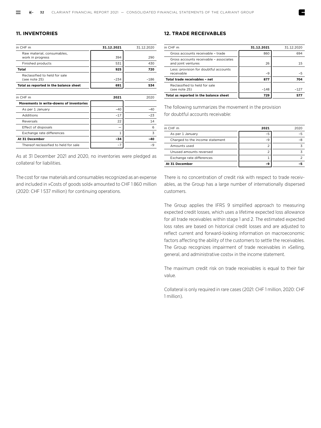#### **11. INVENTORIES**

| in CHF m                                       | 31.12.2021 | 31.12.2020 |
|------------------------------------------------|------------|------------|
| Raw material, consumables,<br>work in progress | 394        | 290        |
| Finished products                              | 531        | 430        |
| Total                                          | 925        | 720        |
| Reclassified to held for sale<br>(see note 25) | $-234$     | $-186$     |
| Total as reported in the balance sheet         | 691        | 534        |
|                                                |            |            |
| in CHF m                                       | 2021       | 2020       |
| Movements in write-downs of inventories        |            |            |
| As per 1 January                               | $-40$      | $-40$      |
| Additions                                      | $-17$      | $-23$      |
| Reversals                                      | 22         | 14         |
| Effect of disposals                            |            | 6          |
| Exchange rate differences                      | 1          | 3          |
| At 31 December                                 | $-34$      | $-40$      |
| Thereof reclassified to held for sale          | $-7$       | $-9$       |

As at 31 December 2021 and 2020, no inventories were pledged as collateral for liabilities.

The cost for raw materials and consumables recognized as an expense and included in »Costs of goods sold« amounted to CHF 1 860 million (2020: CHF 1 537 million) for continuing operations.

#### **12. TRADE RECEIVABLES**

| in CHF m                                                     | 31.12.2021 | 31 12 2020 |
|--------------------------------------------------------------|------------|------------|
| Gross accounts receivable - trade                            | 860        | 694        |
| Gross accounts receivable - associates<br>and joint ventures | 26         | 15         |
| Less: provision for doubtful accounts<br>receivable          | $-9$       | -5         |
| Total trade receivables - net                                | 877        | 704        |
| Reclassified to held for sale<br>(see note 25)               | $-148$     | $-127$     |
| Total as reported in the balance sheet                       | 729        | 577        |

The following summarizes the movement in the provision for doubtful accounts receivable:

| in CHF m                        | 2021 | 2020 |
|---------------------------------|------|------|
| As per 1 January                |      |      |
| Charged to the income statement | $-9$ |      |
| Amounts used                    |      |      |
| Unused amounts reversed         |      |      |
| Exchange rate differences       |      |      |
| At 31 December                  |      |      |

There is no concentration of credit risk with respect to trade receivables, as the Group has a large number of internationally dispersed customers.

The Group applies the IFRS 9 simplified approach to measuring expected credit losses, which uses a lifetime expected loss allowance for all trade receivables within stage 1 and 2. The estimated expected loss rates are based on historical credit losses and are adjusted to reflect current and forward-looking information on macroeconomic factors affecting the ability of the customers to settle the receivables. The Group recognizes impairment of trade receivables in »Selling, general, and administrative costs« in the income statement.

The maximum credit risk on trade receivables is equal to their fair value.

Collateral is only required in rare cases (2021: CHF 1 million, 2020: CHF 1 million).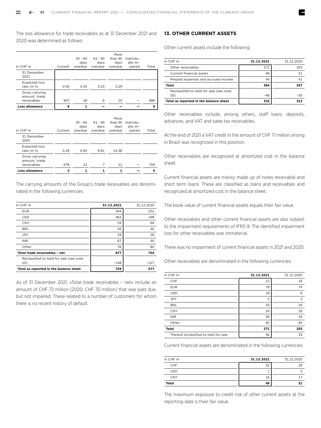The loss allowance for trade receivables as at 31 December 2021 and 2020 was determined as follows:

| in CHF m                                       | Current | $30 - 60$<br>days<br>overdue | $61 - 90$<br>days<br>overdue | More<br>than 90<br>days<br>overdue | Individu-<br>ally im-<br>paired | Total |
|------------------------------------------------|---------|------------------------------|------------------------------|------------------------------------|---------------------------------|-------|
| 31 December<br>2021                            |         |                              |                              |                                    |                                 |       |
| <b>Expected loss</b><br>rate (in %)            | 0.92    | 3.05                         | 3.23                         | 3.29                               |                                 |       |
| Gross carrying<br>amount, trade<br>receivables | 847     | 18                           | 6                            | 15                                 |                                 | 886   |
| Loss allowance                                 | 8       | 1                            |                              |                                    |                                 | 9     |

| in CHF m                                       | Current | $30 - 60$<br>days<br>overdue | $61 - 90$<br>days<br>overdue | More<br>than 90<br>days<br>overdue | Individu-<br>ally im-<br>paired | Total |
|------------------------------------------------|---------|------------------------------|------------------------------|------------------------------------|---------------------------------|-------|
| 31 December<br>2020                            |         |                              |                              |                                    |                                 |       |
| <b>Expected loss</b><br>rate (in %)            | 0.29    | 5.65                         | 9.81                         | 14.38                              |                                 |       |
| Gross carrying<br>amount, trade<br>receivables | 678     | 13                           | 7                            | 11                                 |                                 | 709   |
| Loss allowance                                 | 2       |                              | 1                            |                                    |                                 | 5     |

The carrying amounts of the Group's trade receivables are denominated in the following currencies:

| in CHF m                                | 31.12.2021 | 31.12.2020 |
|-----------------------------------------|------------|------------|
| <b>EUR</b>                              | 344        | 252        |
| <b>USD</b>                              | 262        | 198        |
| <b>CNY</b>                              | 54         | 66         |
| <b>BRL</b>                              | 45         | 40         |
| <b>JPY</b>                              | 29         | 28         |
| <b>INR</b>                              | 67         | 40         |
| Other                                   | 76         | 80         |
| Total trade receivables - net           | 877        | 704        |
| Reclassified to held for sale (see note |            |            |
| 25)                                     | $-148$     | $-127$     |
| Total as reported in the balance sheet  | 729        | 577        |

As of 31 December 2021, »Total trade receivables – net« include an amount of CHF 72 million (2020: CHF 70 million) that was past due, but not impaired. These related to a number of customers for whom there is no recent history of default.

#### **13. OTHER CURRENT ASSETS**

Other current assets include the following:

| in CHF m                                       | 31.12.2021 | 31.12.2020 |
|------------------------------------------------|------------|------------|
| Other receivables                              | 271        | 255        |
| Current financial assets                       | 49         | 51         |
| Prepaid expenses and accrued income            | 44         | 41         |
| Total                                          | 364        | 347        |
| Reclassified to held for sale (see note<br>25) | $-48$      | $-35$      |
| Total as reported in the balance sheet         | 316        |            |

Other receivables include, among others, staff loans, deposits, advances, and VAT and sales tax receivables.

At the end of 2021 a VAT credit in the amount of CHF 17 million arising in Brazil was recognized in this position.

Other receivables are recognized at amortized cost in the balance sheet.

Current financial assets are mainly made up of notes receivable and short term loans. These are classified as loans and receivables and recognized at amortized cost in the balance sheet.

The book value of current financial assets equals their fair value.

Other receivables and other current financial assets are also subject to the impairment requirements of IFRS 9. The identified impairment loss for other receivables was immaterial.

There was no impairment of current financial assets in 2021 and 2020.

Other receivables are denominated in the following currencies:

| in CHF m                              | 31.12.2021 | 31.12.2020 |
|---------------------------------------|------------|------------|
| CHF                                   | 12         | 16         |
| <b>EUR</b>                            | 78         | 74         |
| <b>USD</b>                            | 18         | 8          |
| <b>JPY</b>                            | 5          | 3          |
| <b>BRL</b>                            | 33         | 20         |
| <b>CNY</b>                            | 24         | 16         |
| <b>INR</b>                            | 36         | 34         |
| Other                                 | 65         | 84         |
| <b>Total</b>                          | 271        | 255        |
| Thereof reclassified to held for sale | 46         | 33         |

Current financial assets are denominated in the following currencies:

| in CHF m     | 31.12.2021 | 31.12.2020 |
|--------------|------------|------------|
| <b>CHF</b>   | 32         | 29         |
| <b>USD</b>   |            |            |
| CNY          | 16         |            |
| <b>Total</b> | 49         | 51         |

The maximum exposure to credit risk of other current assets at the reporting date is their fair value.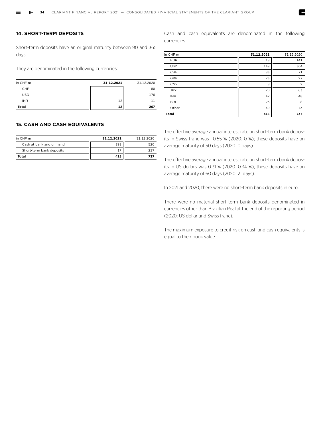#### **14. SHORT-TERM DEPOSITS**

Short-term deposits have an original maturity between 90 and 365 days.

They are denominated in the following currencies:

| in CHF m     | 31.12.2021 | 31.12.2020 |
|--------------|------------|------------|
| <b>CHF</b>   |            | 80         |
| <b>USD</b>   |            | 176        |
| <b>INR</b>   |            |            |
| <b>Total</b> |            | 267        |

#### **15. CASH AND CASH EQUIVALENTS**

| in CHF m                 | 31.12.2021 | 31 12 2020 |
|--------------------------|------------|------------|
| Cash at bank and on hand | 398        | 520        |
| Short-term bank deposits |            | ד כ        |
| Total                    | 415        | 737        |

Cash and cash equivalents are denominated in the following currencies:

| in CHF m     | 31.12.2021 | 31.12.2020     |
|--------------|------------|----------------|
| <b>EUR</b>   | 18         | 141            |
| <b>USD</b>   | 149        | 304            |
| CHF          | 83         | 71             |
| GBP          | 23         | 27             |
| <b>CNY</b>   | 8          | $\overline{2}$ |
| <b>JPY</b>   | 20         | 63             |
| <b>INR</b>   | 42         | 48             |
| <b>BRL</b>   | 23         | 8              |
| Other        | 49         | 73             |
| <b>Total</b> | 415        | 737            |

The effective average annual interest rate on short-term bank deposits in Swiss franc was –0.55 % (2020: 0 %); these deposits have an average maturity of 50 days (2020: 0 days).

The effective average annual interest rate on short-term bank deposits in US dollars was 0.31 % (2020: 0.34 %); these deposits have an average maturity of 60 days (2020: 21 days).

In 2021 and 2020, there were no short-term bank deposits in euro.

There were no material short-term bank deposits denominated in currencies other than Brazilian Real at the end of the reporting period (2020: US dollar and Swiss franc).

The maximum exposure to credit risk on cash and cash equivalents is equal to their book value.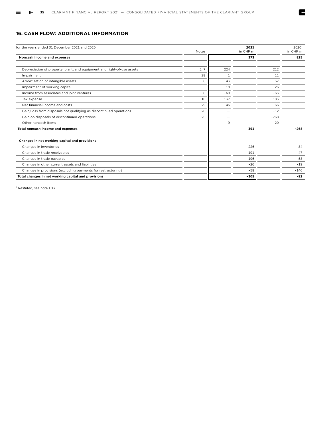#### **16. CASH FLOW: ADDITIONAL INFORMATION**

| for the years ended 31 December 2021 and 2020                          | <b>Notes</b> |              | 2021<br>in CHF m |        | 2020 <sup>1</sup><br>in CHF m |
|------------------------------------------------------------------------|--------------|--------------|------------------|--------|-------------------------------|
| Noncash income and expenses                                            |              |              | 373              |        | 825                           |
|                                                                        |              |              |                  |        |                               |
| Depreciation of property, plant, and equipment and right-of-use assets | 5, 7         | 224          |                  | 212    |                               |
| Impairment                                                             | 28           | $\mathbf{1}$ |                  | 11     |                               |
| Amortization of intangible assets                                      | 6            | 43           |                  | 57     |                               |
| Impairment of working capital                                          |              | 18           |                  | 26     |                               |
| Income from associates and joint ventures                              | 8            | $-69$        |                  | $-63$  |                               |
| Tax expense                                                            | 10           | 137          |                  | 183    |                               |
| Net financial income and costs                                         | 29           | 46           |                  | 66     |                               |
| Gain/loss from disposals not qualifying as discontinued operations     | 26           |              |                  | $-12$  |                               |
| Gain on disposals of discontinued operations                           | 25           | -            |                  | $-768$ |                               |
| Other noncash items                                                    |              | $-9$         |                  | 20     |                               |
| Total noncash income and expenses                                      |              |              | 391              |        | $-268$                        |
| Changes in net working capital and provisions                          |              |              |                  |        |                               |
| Changes in inventories                                                 |              |              | $-226$           |        | 84                            |
| Changes in trade receivables                                           |              |              | $-191$           |        | 47                            |
| Changes in trade payables                                              |              |              | 196              |        | $-58$                         |
| Changes in other current assets and liabilities                        |              |              | $-26$            |        | $-19$                         |
| Changes in provisions (excluding payments for restructuring)           |              |              | $-58$            |        | $-146$                        |
| Total changes in net working capital and provisions                    |              |              | $-305$           |        | $-92$                         |

E

1 Restated, see note 1.03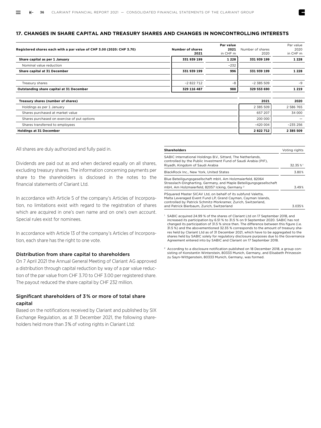# **17. CHANGES IN SHARE CAPITAL AND TREASURY SHARES AND CHANGES IN NONCONTROLLING INTERESTS**

| Registered shares each with a par value of CHF 3.00 (2020: CHF 3.70) | <b>Number of shares</b><br>2021 | Par value<br>2021<br>in CHF m | Number of shares<br>2020 | Par value<br>2020<br>in CHF m |
|----------------------------------------------------------------------|---------------------------------|-------------------------------|--------------------------|-------------------------------|
| Share capital as per 1 January                                       | 331 939 199                     | 1 2 2 8                       | 331 939 199              | 1 2 2 8                       |
| Nominal value reduction                                              |                                 | $-232$                        |                          |                               |
| Share capital at 31 December                                         | 331 939 199                     | 996                           | 331 939 199              | 1 2 2 8                       |
| Treasury shares                                                      | $-2822712$                      | $-8$                          | $-2$ 385 509             | $-9$                          |
| Outstanding share capital at 31 December                             | 329 116 487                     | 988                           | 329 553 690              | 1 2 1 9                       |
| Treasury shares (number of shares)                                   |                                 |                               | 2021                     | 2020                          |
| Holdings as per 1 January                                            |                                 |                               | 2 385 509                | 2 586 765                     |
| Shares purchased at market value                                     |                                 |                               | 657 207                  | 34 000                        |
| Shares purchased on exercise of put options                          |                                 |                               | 200 000                  |                               |
| Shares transferred to employees                                      |                                 |                               | $-420004$                | $-235256$                     |
| <b>Holdings at 31 December</b>                                       |                                 |                               | 2822712                  | 2 385 509                     |

All shares are duly authorized and fully paid in.

Dividends are paid out as and when declared equally on all shares, excluding treasury shares. The information concerning payments per share to the shareholders is disclosed in the notes to the financial statements of Clariant Ltd.

In accordance with Article 5 of the company's Articles of Incorporation, no limitations exist with regard to the registration of shares which are acquired in one's own name and on one's own account. Special rules exist for nominees.

In accordance with Article 13 of the company's Articles of Incorporation, each share has the right to one vote.

# Distribution from share capital to shareholders

On 7 April 2021 the Annual General Meeting of Clariant AG approved a distribution through capital reduction by way of a par value reduction of the par value from CHF 3.70 to CHF 3.00 per registered share. The payout reduced the share capital by CHF 232 million.

# Significant shareholders of 3 % or more of total share capital

Based on the notifications received by Clariant and published by SIX Exchange Regulation, as at 31 December 2021, the following shareholders held more than 3 % of voting rights in Clariant Ltd:

| <b>Shareholders</b>                                                                                                                                                                                                                        | Voting rights |
|--------------------------------------------------------------------------------------------------------------------------------------------------------------------------------------------------------------------------------------------|---------------|
| SABIC International Holdings B.V., Sittard, The Netherlands,<br>controlled by the Public Investment Fund of Saudi Arabia (PIF),<br>Riyadh, Kingdom of Saudi Arabia                                                                         | 32.35 %       |
| BlackRock Inc., New York, United States                                                                                                                                                                                                    | 3.80%         |
| Blue Beteiligungsgesellschaft mbH, Am Holzmaierfeld, 82064<br>Strasslach-Dingharting, Germany, and Maple Beteiligungsgesellschaft<br>mbH. Am Holzmaierfeld. 82057 Icking. Germany <sup>2</sup>                                             | 3.49%         |
| PSquared Master SICAV Ltd, on behalf of its subfund Valetta,<br>Malta Leveraged Event Fund LP, Grand Cayman, Cayman Islands,<br>controlled by Patrick Schmitz-Morkramer, Zurich, Switzerland,<br>and Patrick Bierbaum, Zurich, Switzerland | 3.035%        |

<sup>1</sup> SABIC acquired 24.99 % of the shares of Clariant Ltd on 17 September 2018, and increased its participation by 6.51 % to 31.5 % on 9 September 2020. SABIC has not changed its participation of 31.5 % since then. The difference between this figure (i.e. 31.5 %) and the abovementioned 32.35 % corresponds to the amount of treasury shares held by Clariant Ltd as of 31 December 2021, which have to be aggregated to the shares held by SABIC solely for regulatory disclosure purposes due to the Governance Agreement entered into by SABIC and Clariant on 17 September 2018.

<sup>2</sup> According to a disclosure notification published on 18 December 2018, a group consisting of Konstantin Winterstein, 80333 Munich, Germany, and Elisabeth Prinzessin zu Sayn-Wittgenstein, 80333 Munich, Germany, was formed.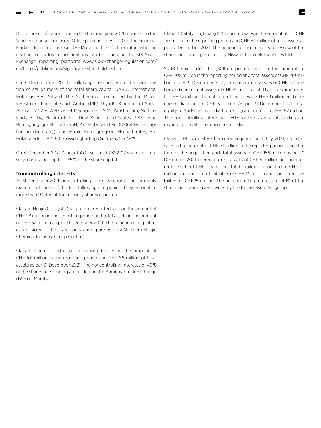Disclosure notifications during the financial year 2021 reported to the Stock Exchange Disclosure Office pursuant to Art. 120 of the Financial Markets Infrastructure Act (FMIA) as well as further information in relation to disclosure notifications can be found on the SIX Swiss Exchange reporting platform: www.six-exchange-regulation.com/ en/home/publications/significant-shareholders.html

On 31 December 2020, the following shareholders held a participation of 3 % or more of the total share capital: SABIC International Holdings B.V., Sittard, The Netherlands, controlled by the Public Investment Fund of Saudi Arabia (PIF), Riyadh, Kingdom of Saudi Arabia: 32.22 %; APG Asset Management N.V., Amsterdam, Netherlands: 5.01 %; BlackRock Inc., New York, United States: 3.8 %; Blue Beteiligungsgesellschaft mbH, Am Holzmaierfeld, 82064 Grossdingharting (Germany), and Maple Beteiligungsgesellschaft mbH, Am Holzmaierfeld, 82064 Grossdingharting (Germany): 3.49 %.

On 31 December 2021, Clariant AG itself held 2 822 712 shares in treasury, corresponding to 0.85 % of the share capital.

#### Noncontrolling interests

At 31 December 2021, noncontrolling interests reported are primarily made up of those of the five following companies. They amount to more than 94.4 % of the minority shares reported:

Clariant Huajin Catalysts (Panjin) Ltd, reported sales in the amount of CHF 28 million in the reporting period and total assets in the amount of CHF 52 million as per 31 December 2021. The noncontrolling interests of 40 % of the shares outstanding are held by Northern Huajin Chemical Industry Group Co. Ltd.

Clariant Chemicals (India) Ltd reported sales in the amount of CHF 101 million in the reporting period and CHF 86 million of total assets as per 31 December 2021. The noncontrolling interests of 49 % of the shares outstanding are traded on the Bombay Stock Exchange (BSE) in Mumbai.

Clariant Catalysts (Japan) K.K. reported sales in the amount of CHF 157 million in the reporting period and CHF 84 million of total assets as per 31 December 2021. The noncontrolling interests of 38.6 % of the shares outstanding are held by Nissan Chemicals Industries Ltd.

Süd-Chemie India Ltd (SCIL) reported sales in the amount of CHF 208 million in the reporting period and total assets of CHF 219 million as per 31 December 2021, thereof current assets of CHF 137 million and noncurrent assets of CHF 82 million. Total liabilities amounted to CHF 32 million, thereof current liabilities of CHF 29 million and noncurrent liabilities of CHF 3 million. As per 31 December 2021, total equity of Süd-Chemie India Ltd (SCIL) amounted to CHF 187 million. The noncontrolling interests of 50 % of the shares outstanding are owned by private shareholders in India.

Clariant IGL Specialty Chemicals, acquired on 1 July 2021, reported sales in the amount of CHF 71 million in the reporting period since the time of the acquisition and total assets of CHF 156 million as per 31 December 2021, thereof current assets of CHF 51 million and noncurrents assets of CHF 105 million. Total liabilities amounted to CHF 70 million, thereof current liabilities of CHF 45 million and noncurrent liabilities of CHF25 million. The noncontrolling interests of 49% of the shares outstanding are owned by the India-based IGL group.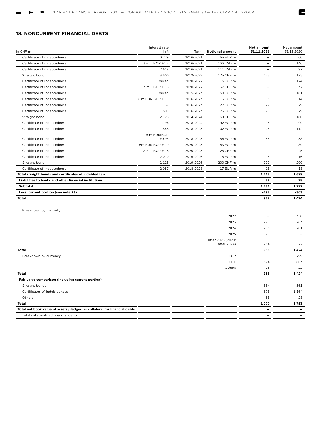E

# **18. NONCURRENT FINANCIAL DEBTS**

|                                                                          | Interest rate          |           |                        | <b>Net amount</b>        | Net amount |
|--------------------------------------------------------------------------|------------------------|-----------|------------------------|--------------------------|------------|
| in CHF m                                                                 | in %                   | Term      | <b>Notional amount</b> | 31.12.2021               | 31.12.2020 |
| Certificate of indebtedness                                              | 0.779                  | 2016-2021 | 55 EUR m               |                          | 60         |
| Certificate of indebtedness                                              | 3 m LIBOR +1.5         | 2016-2021 | 166 USD m              |                          | 146        |
| Certificate of indebtedness                                              | 2.618                  | 2016-2021 | 111 USD m              |                          | 97         |
| Straight bond                                                            | 3.500                  | 2012-2022 | 175 CHF m              | 175                      | 175        |
| Certificate of indebtedness                                              | mixed                  | 2020-2022 | 115 EUR m              | 118                      | 124        |
| Certificate of indebtedness                                              | 3 m LIBOR +1.5         | 2020-2022 | 37 CHF m               |                          | 37         |
| Certificate of indebtedness                                              | mixed                  | 2015-2023 | 150 EUR m              | 155                      | 161        |
| Certificate of indebtedness                                              | 6 m EURIBOR +1.1       | 2016-2023 | 13 EUR m               | 13                       | 14         |
| Certificate of indebtedness                                              | 1.137                  | 2016-2023 | 27 EUR m               | 27                       | 29         |
| Certificate of indebtedness                                              | 1.501                  | 2016-2023 | 73 EUR m               | 76                       | 79         |
| Straight bond                                                            | 2.125                  | 2014-2024 | 160 CHF m              | 160                      | 160        |
| Certificate of indebtedness                                              | 1.194                  | 2018-2024 | 92 EUR m               | 95                       | 99         |
| Certificate of indebtedness                                              | 1.548                  | 2018-2025 | 102 EUR m              | 106                      | 112        |
| Certificate of indebtedness                                              | 6 m EURIBOR<br>$+0.95$ | 2018-2025 | 54 EUR m               | 55                       | 58         |
| Certificate of indebtedness                                              | 6m EURIBOR +1.9        | 2020-2025 | 83 EUR m               | $\overline{\phantom{0}}$ | 89         |
| Certificate of indebtedness                                              | 3 m LIBOR +1.8         | 2020-2025 | 25 CHF m               | $\overline{\phantom{a}}$ | 25         |
| Certificate of indebtedness                                              | 2.010                  | 2016-2026 | 15 EUR m               | 15                       | 16         |
| Straight bond                                                            | 1.125                  | 2019-2026 | 200 CHF m              | 200                      | 200        |
| Certificate of indebtedness                                              | 2.087                  | 2018-2028 | 17 EUR m               | 18                       | 18         |
| Total straight bonds and certificates of indebtedness                    |                        |           |                        | 1 2 1 3                  | 1699       |
| Liabilities to banks and other financial institutions                    |                        |           |                        | 38                       | 28         |
| <b>Subtotal</b>                                                          |                        |           |                        | 1 2 5 1                  | 1727       |
| Less: current portion (see note 23)                                      |                        |           |                        | $-293$                   | $-303$     |
| <b>Total</b>                                                             |                        |           |                        | 958                      | 1424       |
|                                                                          |                        |           |                        |                          |            |
| Breakdown by maturity                                                    |                        |           |                        |                          |            |
|                                                                          |                        |           | 2022                   |                          | 358        |
|                                                                          |                        |           | 2023                   | 271                      | 283        |
|                                                                          |                        |           | 2024                   | 283                      | 261        |
|                                                                          |                        |           | 2025                   | 170                      |            |
|                                                                          |                        |           | after 2025 (2020:      |                          |            |
|                                                                          |                        |           | after 2024)            | 234                      | 522        |
| Total                                                                    |                        |           |                        | 958                      | 1424       |
| Breakdown by currency                                                    |                        |           | <b>EUR</b>             | 561                      | 799        |
|                                                                          |                        |           | CHF                    | 374                      | 603        |
|                                                                          |                        |           | Others                 | 23                       | 22         |
| Total                                                                    |                        |           |                        | 958                      | 1424       |
| Fair value comparison (including current portion)                        |                        |           |                        |                          |            |
| Straight bonds                                                           |                        |           |                        | 554                      | 561        |
| Certificates of indebtedness                                             |                        |           |                        | 678                      | 1 1 6 4    |
| Others                                                                   |                        |           |                        | 38                       | 28         |
| Total                                                                    |                        |           |                        | 1 2 7 0                  | 1753       |
| Total net book value of assets pledged as collateral for financial debts |                        |           |                        |                          |            |
| Total collateralized financial debts                                     |                        |           |                        |                          |            |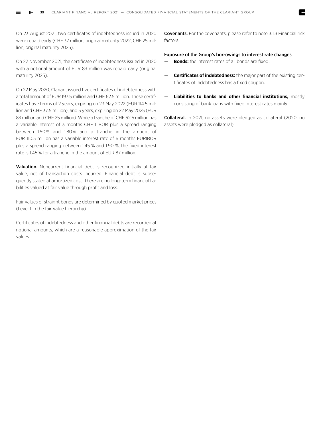On 23 August 2021, two certificates of indebtedness issued in 2020 were repaid early (CHF 37 million, original maturity 2022; CHF 25 million, original maturity 2025).

On 22 November 2021, the certificate of indebtedness issued in 2020 with a notional amount of EUR 83 million was repaid early (original maturity 2025).

On 22 May 2020, Clariant issued five certificates of indebtedness with a total amount of EUR 197.5 million and CHF 62.5 million. These certificates have terms of 2 years, expiring on 23 May 2022 (EUR 114.5 million and CHF 37.5 million), and 5 years, expiring on 22 May 2025 (EUR 83 million and CHF 25 million). While a tranche of CHF 62.5 million has a variable interest of 3 months CHF LIBOR plus a spread ranging between 1.50 % and 1.80 % and a tranche in the amount of EUR 110.5 million has a variable interest rate of 6 months EURIBOR plus a spread ranging between 1.45 % and 1.90 %, the fixed interest rate is 1.45 % for a tranche in the amount of EUR 87 million.

Valuation. Noncurrent financial debt is recognized initially at fair value, net of transaction costs incurred. Financial debt is subsequently stated at amortized cost. There are no long-term financial liabilities valued at fair value through profit and loss.

Fair values of straight bonds are determined by quoted market prices (Level 1 in the fair value hierarchy).

Certificates of indebtedness and other financial debts are recorded at notional amounts, which are a reasonable approximation of the fair values.

Covenants. For the covenants, please refer to note 3.1.3 Financial risk factors.

#### Exposure of the Group's borrowings to interest rate changes

- **Bonds:** the interest rates of all bonds are fixed.
- **Certificates of indebtedness:** the major part of the existing certificates of indebtedness has a fixed coupon.
- **Liabilities to banks and other financial institutions,** mostly consisting of bank loans with fixed interest rates mainly.

Collateral. In 2021, no assets were pledged as collateral (2020: no assets were pledged as collateral).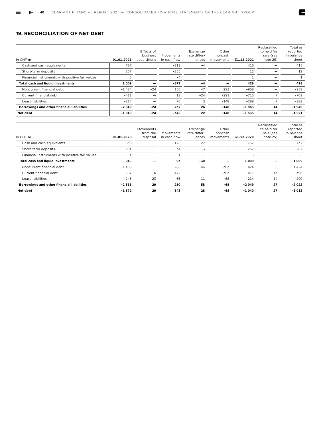# **19. RECONCILIATION OF NET DEBT**

| in CHF m                                        | 01.01.2021 | Effects of<br>business<br>acquisitions | Movements<br>in cash flow | Exchange<br>rate differ-<br>ences | Other<br>noncash<br>movements | 31.12.2021 | Reclassified<br>to held for<br>sale (see<br>note 25) | Total as<br>reported<br>in balance<br>sheet |
|-------------------------------------------------|------------|----------------------------------------|---------------------------|-----------------------------------|-------------------------------|------------|------------------------------------------------------|---------------------------------------------|
| Cash and cash equivalents                       | 737        |                                        | $-318$                    | -4                                |                               | 415        |                                                      | 415                                         |
| Short-term deposits                             | 267        |                                        | $-255$                    |                                   |                               | 12         |                                                      | 12                                          |
| Financial instruments with positive fair values | 5          |                                        | $-4$                      |                                   |                               |            |                                                      |                                             |
| Total cash and liquid investments               | 1 0 0 9    |                                        | $-577$                    | $-4$                              |                               | 428        |                                                      | 428                                         |
| Noncurrent financial debt                       | $-1424$    | $-24$                                  | 150                       | 47                                | 293                           | $-958$     |                                                      | $-958$                                      |
| Current financial debt                          | $-411$     |                                        | 12                        | $-24$                             | $-293$                        | $-716$     |                                                      | $-709$                                      |
| Lease liabilities                               | $-214$     |                                        | 70                        | 3                                 | $-148$                        | $-289$     |                                                      | $-282$                                      |
| Borrowings and other financial liabilities      | $-2049$    | $-24$                                  | 232                       | 26                                | $-148$                        | $-1963$    | 14                                                   | $-1949$                                     |
| Net debt                                        | $-1040$    | $-24$                                  | $-345$                    | 22                                | $-148$                        | $-1535$    | 14                                                   | $-1521$                                     |

E

| in CHF m                                        | 01.01.2020 | Movements<br>from the<br>disposal | Movements<br>in cash flow | Exchange<br>rate differ-<br>ences | Other<br>noncash<br>movements | 31.12.2020 | Reclassified<br>to held for<br>sale (see<br>note 25) | Total as<br>reported<br>in balance<br>sheet |
|-------------------------------------------------|------------|-----------------------------------|---------------------------|-----------------------------------|-------------------------------|------------|------------------------------------------------------|---------------------------------------------|
| Cash and cash equivalents                       | 638        |                                   | 126                       | $-27$                             |                               | 737        |                                                      | 737                                         |
| Short-term deposits                             | 304        |                                   | $-34$                     | $-3$                              |                               | 267        |                                                      | 267                                         |
| Financial instruments with positive fair values | 4          |                                   |                           | —                                 |                               | 5          | -                                                    | 5                                           |
| <b>Total cash and liquid investments</b>        | 946        |                                   | 93                        | $-30$                             |                               | 1 0 0 9    |                                                      | 1 0 0 9                                     |
| Noncurrent financial debt                       | $-1485$    |                                   | $-288$                    | 46                                | 303                           | $-1424$    |                                                      | $-1424$                                     |
| Current financial debt                          | $-587$     | 6                                 | 472                       |                                   | $-303$                        | $-411$     | 13                                                   | $-398$                                      |
| Lease liabilities                               | $-246$     | 23                                | 66                        | 11                                | $-68$                         | $-214$     | 14                                                   | $-200$                                      |
| Borrowings and other financial liabilities      | $-2318$    | 29                                | 250                       | 58                                | $-68$                         | $-2049$    | 27                                                   | $-2022$                                     |
| Net debt                                        | $-1.372$   | 29                                | 343                       | 28                                | -68                           | $-1040$    | 27                                                   | $-1013$                                     |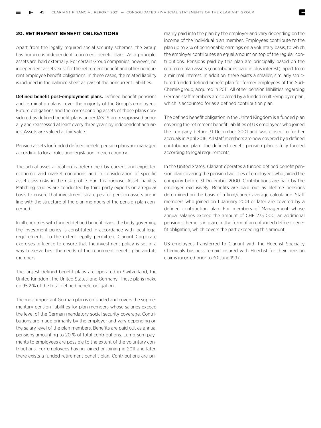# **20. RETIREMENT BENEFIT OBLIGATIONS**

Apart from the legally required social security schemes, the Group has numerous independent retirement benefit plans. As a principle, assets are held externally. For certain Group companies, however, no independent assets exist for the retirement benefit and other noncurrent employee benefit obligations. In these cases, the related liability is included in the balance sheet as part of the noncurrent liabilities.

Defined benefit post-employment plans**.** Defined benefit pensions and termination plans cover the majority of the Group's employees. Future obligations and the corresponding assets of those plans considered as defined benefit plans under IAS 19 are reappraised annually and reassessed at least every three years by independent actuaries. Assets are valued at fair value.

Pension assets for funded defined benefit pension plans are managed according to local rules and legislation in each country.

The actual asset allocation is determined by current and expected economic and market conditions and in consideration of specific asset class risks in the risk profile. For this purpose, Asset Liability Matching studies are conducted by third party experts on a regular basis to ensure that investment strategies for pension assets are in line with the structure of the plan members of the pension plan concerned.

In all countries with funded defined benefit plans, the body governing the investment policy is constituted in accordance with local legal requirements. To the extent legally permitted, Clariant Corporate exercises influence to ensure that the investment policy is set in a way to serve best the needs of the retirement benefit plan and its members.

The largest defined benefit plans are operated in Switzerland, the United Kingdom, the United States, and Germany. These plans make up 95.2 % of the total defined benefit obligation.

The most important German plan is unfunded and covers the supplementary pension liabilities for plan members whose salaries exceed the level of the German mandatory social security coverage. Contributions are made primarily by the employer and vary depending on the salary level of the plan members. Benefits are paid out as annual pensions amounting to 20 % of total contributions. Lump-sum payments to employees are possible to the extent of the voluntary contributions. For employees having joined or joining in 2011 and later, there exists a funded retirement benefit plan. Contributions are primarily paid into the plan by the employer and vary depending on the income of the individual plan member. Employees contribute to the plan up to 2 % of pensionable earnings on a voluntary basis, to which the employer contributes an equal amount on top of the regular contributions. Pensions paid by this plan are principally based on the return on plan assets (contributions paid in plus interest), apart from a minimal interest. In addition, there exists a smaller, similarly structured funded defined benefit plan for former employees of the Süd-Chemie group, acquired in 2011. All other pension liabilities regarding German staff members are covered by a funded multi-employer plan, which is accounted for as a defined contribution plan.

The defined benefit obligation in the United Kingdom is a funded plan covering the retirement benefit liabilities of UK employees who joined the company before 31 December 2001 and was closed to further accruals in April 2016. All staff members are now covered by a defined contribution plan. The defined benefit pension plan is fully funded according to legal requirements.

In the United States, Clariant operates a funded defined benefit pension plan covering the pension liabilities of employees who joined the company before 31 December 2000. Contributions are paid by the employer exclusively. Benefits are paid out as lifetime pensions determined on the basis of a final/career average calculation. Staff members who joined on 1 January 2001 or later are covered by a defined contribution plan. For members of Management whose annual salaries exceed the amount of CHF 275 000, an additional pension scheme is in place in the form of an unfunded defined benefit obligation, which covers the part exceeding this amount.

US employees transferred to Clariant with the Hoechst Specialty Chemicals business remain insured with Hoechst for their pension claims incurred prior to 30 June 1997.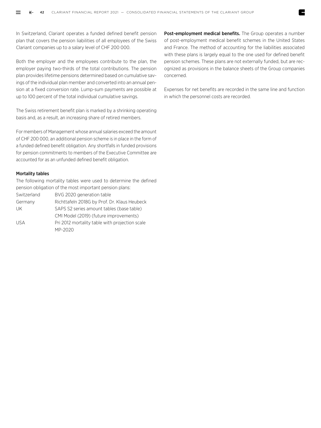In Switzerland, Clariant operates a funded defined benefit pension plan that covers the pension liabilities of all employees of the Swiss Clariant companies up to a salary level of CHF 200 000.

Both the employer and the employees contribute to the plan, the employer paying two-thirds of the total contributions. The pension plan provides lifetime pensions determined based on cumulative savings of the individual plan member and converted into an annual pension at a fixed conversion rate. Lump-sum payments are possible at up to 100 percent of the total individual cumulative savings.

The Swiss retirement benefit plan is marked by a shrinking operating basis and, as a result, an increasing share of retired members.

For members of Management whose annual salaries exceed the amount of CHF 200 000, an additional pension scheme is in place in the form of a funded defined benefit obligation. Any shortfalls in funded provisions for pension commitments to members of the Executive Committee are accounted for as an unfunded defined benefit obligation.

# Mortality tables

The following mortality tables were used to determine the defined pension obligation of the most important pension plans: Switzerland BVG 2020 generation table Germany Richttafeln 2018G by Prof. Dr. Klaus Heubeck UK SAPS S2 series amount tables (base table) CMI Model (2019) (future improvements) USA Pri 2012 mortality table with projection scale MP-2020

Post-employment medical benefits. The Group operates a number of post-employment medical benefit schemes in the United States and France. The method of accounting for the liabilities associated with these plans is largely equal to the one used for defined benefit pension schemes. These plans are not externally funded, but are recognized as provisions in the balance sheets of the Group companies concerned.

Expenses for net benefits are recorded in the same line and function in which the personnel costs are recorded.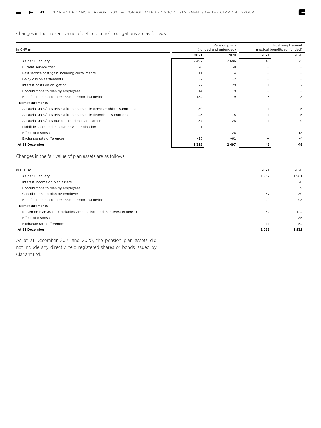Changes in the present value of defined benefit obligations are as follows:

| in CHF m                                                            |         | Pension plans<br>(funded and unfunded) | Post-employment<br>medical benefits (unfunded) |                |  |
|---------------------------------------------------------------------|---------|----------------------------------------|------------------------------------------------|----------------|--|
|                                                                     | 2021    | 2020                                   | 2021                                           | 2020           |  |
| As per 1 January                                                    | 2 4 9 7 | 2686                                   | 48                                             | 75             |  |
| Current service cost                                                | 28      | 30                                     |                                                |                |  |
| Past service cost/gain including curtailments                       | 11      | 4                                      |                                                |                |  |
| Gain/loss on settlements                                            | $-2$    | $-2$                                   |                                                |                |  |
| Interest costs on obligation                                        | 22      | 29                                     |                                                | $\overline{2}$ |  |
| Contributions to plan by employees                                  | 14      | 9                                      |                                                |                |  |
| Benefits paid out to personnel in reporting period                  | $-134$  | $-119$                                 | $-3$                                           | $-3$           |  |
| <b>Remeasurements:</b>                                              |         |                                        |                                                |                |  |
| Actuarial gain/loss arising from changes in demographic assumptions | $-39$   | $\qquad \qquad -$                      | $-1$                                           | $-5$           |  |
| Actuarial gain/loss arising from changes in financial assumptions   | $-45$   | 75                                     | $-1$                                           | 5              |  |
| Actuarial gain/loss due to experience adjustments                   | 57      | $-28$                                  |                                                | $-9$           |  |
| Liabilities acquired in a business combination                      |         |                                        |                                                |                |  |
| Effect of disposals                                                 |         | $-126$                                 |                                                | $-13$          |  |
| Exchange rate differences                                           | $-15$   | $-61$                                  |                                                | $-4$           |  |
| At 31 December                                                      | 2395    | 2497                                   | 45                                             | 48             |  |

E

Changes in the fair value of plan assets are as follows:

| in CHF m                                                              | 2021    | 2020  |
|-----------------------------------------------------------------------|---------|-------|
| As per 1 January                                                      | 1932    | 1981  |
| Interest income on plan assets                                        | 15      | 20    |
| Contributions to plan by employees                                    | 15      | 9     |
| Contributions to plan by employer                                     | 37      | 30    |
| Benefits paid out to personnel in reporting period                    | $-109$  | $-93$ |
| <b>Remeasurements:</b>                                                |         |       |
| Return on plan assets (excluding amount included in interest expense) | 152     | 124   |
| Effect of disposals                                                   |         | $-85$ |
| Exchange rate differences                                             | 11      | $-54$ |
| At 31 December                                                        | 2 0 5 3 | 1932  |

As at 31 December 2021 and 2020, the pension plan assets did not include any directly held registered shares or bonds issued by Clariant Ltd.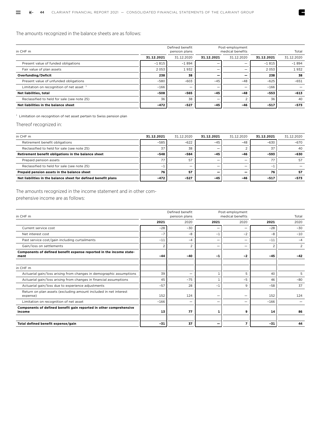# The amounts recognized in the balance sheets are as follows:

| in CHF m                                    |            | Defined benefit<br>pension plans |                          | Post-employment<br>medical benefits |            | Total      |
|---------------------------------------------|------------|----------------------------------|--------------------------|-------------------------------------|------------|------------|
|                                             | 31.12.2021 | 31.12.2020                       | 31.12.2021               | 31.12.2020                          | 31.12.2021 | 31.12.2020 |
| Present value of funded obligations         | $-1815$    | $-1894$                          |                          | -                                   | $-1815$    | $-1894$    |
| Fair value of plan assets                   | 2 0 5 3    | 1932                             | -                        | -                                   | 2 0 5 3    | 1932       |
| Overfunding/Deficit                         | 238        | 38                               | -                        | -                                   | 238        | 38         |
| Present value of unfunded obligations       | $-580$     | $-603$                           | $-45$                    | $-48$                               | $-625$     | $-651$     |
| Limitation on recognition of net asset $1$  | $-166$     | -                                | $\overline{\phantom{0}}$ |                                     | $-166$     |            |
| Net liabilities, total                      | $-508$     | $-565$                           | -45                      | $-48$                               | $-553$     | $-613$     |
| Reclassified to held for sale (see note 25) | 36         | 38                               | -                        |                                     | 36         | 40         |
| Net liabilities in the balance sheet        | $-472$     | $-527$                           | $-45$                    | $-46$                               | $-517$     | $-573$     |

E

1 Limitation on recognition of net asset pertain to Swiss pension plan

Thereof recognized in:

| in CHF m                                                       | 31.12.2021 | 31.12.2020 | 31.12.2021 | 31.12.2020 | 31.12.2021 | 31.12.2020 |
|----------------------------------------------------------------|------------|------------|------------|------------|------------|------------|
| Retirement benefit obligations                                 | $-585$     | $-622$     | $-45$      | $-48$      | $-630$     | $-670$     |
| Reclassified to held for sale (see note 25)                    | 37         | 38         | -          |            | 37         | 40         |
| Retirement benefit obligations in the balance sheet            | $-548$     | $-584$     | $-45$      | $-46$      | $-593$     | -630       |
| Prepaid pension assets                                         | 77         | 57         | -          | -          | 77         | 57         |
| Reclassified to held for sale (see note 25)                    | -          | -          | -          | -          | - 1        |            |
| Prepaid pension assets in the balance sheet                    | 76         | 57         |            |            | 76         | 57         |
| Net liabilities in the balance sheet for defined benefit plans | $-472$     | $-527$     | $-45$      | $-46$      | $-517$     | -573       |

The amounts recognized in the income statement and in other com-

prehensive income are as follows:

| in CHF m                                                                     |                | Defined benefit<br>pension plans |                          | Post-employment<br>medical benefits |        | Total          |
|------------------------------------------------------------------------------|----------------|----------------------------------|--------------------------|-------------------------------------|--------|----------------|
|                                                                              | 2021           | 2020                             | 2021                     | 2020                                | 2021   | 2020           |
| Current service cost                                                         | $-28$          | $-30$                            | -                        | -                                   | $-28$  | $-30$          |
| Net interest cost                                                            | $-7$           | $-8$                             | $-1$                     | $-2$                                | -8     | $-10$          |
| Past service cost/gain including curtailments                                | $-11$          | $-4$                             | $\overline{\phantom{0}}$ | -                                   | $-11$  | $-4$           |
| Gain/loss on settlements                                                     | $\overline{2}$ | $\overline{2}$                   | $\overline{\phantom{0}}$ | $\overline{\phantom{0}}$            |        | $\overline{2}$ |
| Components of defined benefit expense reported in the income state-<br>ment  | $-44$          | $-40$                            | $-1$                     | $-2$                                | $-45$  | $-42$          |
| in CHF m                                                                     |                |                                  |                          |                                     |        |                |
| Actuarial gain/loss arising from changes in demographic assumptions          | 39             | —                                | $\mathbf{1}$             | 5                                   | 40     | 5              |
| Actuarial gain/loss arising from changes in financial assumptions            | 45             | $-75$                            | 1                        | $-5$                                | 46     | $-80$          |
| Actuarial gain/loss due to experience adjustments                            | $-57$          | 28                               | $-1$                     | 9                                   | $-58$  | 37             |
| Return on plan assets (excluding amount included in net interest<br>expense) | 152            | 124                              |                          | —                                   | 152    | 124            |
| Limitation on recognition of net asset                                       | $-166$         | -                                | $\overline{\phantom{0}}$ | —                                   | $-166$ |                |
| Components of defined benefit gain reported in other comprehensive<br>income | 13             | 77                               | 1                        | 9                                   | 14     | 86             |
| Total defined benefit expense/gain                                           | $-31$          | 37                               | $\overline{\phantom{0}}$ | $\overline{\phantom{a}}$            | $-31$  | 44             |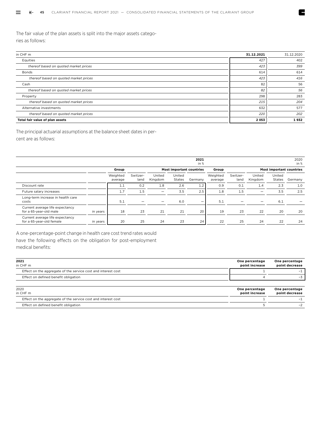The fair value of the plan assets is split into the major assets categories as follows:

| in CHF m                              | 31.12.2021 | 31.12.2020 |
|---------------------------------------|------------|------------|
| Equities                              | 427        | 402        |
| thereof based on quoted market prices | 423        | 399        |
| <b>Bonds</b>                          | 614        | 614        |
| thereof based on quoted market prices | 423        | 416        |
| Cash                                  | 82         | 56         |
| thereof based on quoted market prices | 82         | 56         |
| Property                              | 298        | 283        |
| thereof based on quoted market prices | 215        | 204        |
| Alternative investments               | 632        | 577        |
| thereof based on quoted market prices | 220        | 202        |
| Total fair value of plan assets       | 2053       | 1932       |

E

The principal actuarial assumptions at the balance sheet dates in percent are as follows:

|                                                             |          |                     |                  |                   |                                 | 2021<br>in $%$           |                     |                  |                          |                                 | 2020<br>in $%$ |
|-------------------------------------------------------------|----------|---------------------|------------------|-------------------|---------------------------------|--------------------------|---------------------|------------------|--------------------------|---------------------------------|----------------|
|                                                             |          | Group               |                  |                   | <b>Most important countries</b> |                          | Group               |                  |                          | <b>Most important countries</b> |                |
|                                                             |          | Weighted<br>average | Switzer-<br>land | United<br>Kingdom | United<br>States                | Germany                  | Weighted<br>average | Switzer-<br>land | United<br>Kingdom        | United<br>States                | Germany        |
| Discount rate                                               |          | 1.1                 | 0.2              | 1.8               | 2.6                             | 1.2                      | 0.9                 | 0.1              | 1.4                      | 2.3                             | 1.0            |
| Future salary increases                                     |          | 1.7                 | 1.5              | -                 | 3.5                             | 2.5                      | 1.8                 | 1.5              | $\overline{\phantom{m}}$ | 3.5                             | 2.5            |
| Long-term increase in health care<br>costs                  |          | 5.1                 |                  | -                 | 6.0                             | $\overline{\phantom{0}}$ | 5.1                 | -                |                          | 6.1                             |                |
| Current average life expectancy<br>for a 65-year-old male   | in years | 18                  | 23               | 21                | 21                              | 20                       | 19                  | 23               | 22                       | 20                              | 20             |
| Current average life expectancy<br>for a 65-year-old female | in years | 20                  | 25               | 24                | 23                              | 24                       | 22                  | 25               | 24                       | 22                              | 24             |

A one-percentage-point change in health care cost trend rates would have the following effects on the obligation for post-employment medical benefits:

| 2021<br>in CHF m                                              | One percentage<br>point increase | One percentage<br>point decrease |
|---------------------------------------------------------------|----------------------------------|----------------------------------|
| Effect on the aggregate of the service cost and interest cost |                                  | $-1$                             |
| Effect on defined benefit obligation                          |                                  | $-3$                             |
| 2020<br>in CHF m                                              | One percentage<br>point increase | One percentage<br>point decrease |
| Effect on the aggregate of the service cost and interest cost |                                  | -1                               |
| Effect on defined benefit obligation                          |                                  | $-2$                             |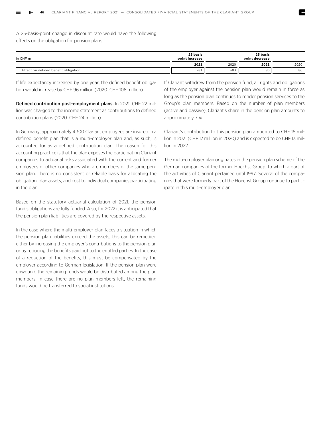A 25-basis-point change in discount rate would have the following effects on the obligation for pension plans:

| in CHF m                             | 25 basis<br>point increase | 25 basis<br>point decrease |      |      |
|--------------------------------------|----------------------------|----------------------------|------|------|
|                                      | 2021                       | 2020                       | 2021 | 2020 |
| Effect on defined benefit obligation | $-81$                      | $-83$                      | 86   | 86   |

If life expectancy increased by one year, the defined benefit obligation would increase by CHF 96 million (2020: CHF 106 million).

Defined contribution post-employment plans. In 2021, CHF 22 million was charged to the income statement as contributions to defined contribution plans (2020: CHF 24 million).

In Germany, approximately 4 300 Clariant employees are insured in a defined benefit plan that is a multi-employer plan and, as such, is accounted for as a defined contribution plan. The reason for this accounting practice is that the plan exposes the participating Clariant companies to actuarial risks associated with the current and former employees of other companies who are members of the same pension plan. There is no consistent or reliable basis for allocating the obligation, plan assets, and cost to individual companies participating in the plan.

Based on the statutory actuarial calculation of 2021, the pension fund's obligations are fully funded. Also, for 2022 it is anticipated that the pension plan liabilities are covered by the respective assets.

In the case where the multi-employer plan faces a situation in which the pension plan liabilities exceed the assets, this can be remedied either by increasing the employer's contributions to the pension plan or by reducing the benefits paid out to the entitled parties. In the case of a reduction of the benefits, this must be compensated by the employer according to German legislation. If the pension plan were unwound, the remaining funds would be distributed among the plan members. In case there are no plan members left, the remaining funds would be transferred to social institutions.

If Clariant withdrew from the pension fund, all rights and obligations of the employer against the pension plan would remain in force as long as the pension plan continues to render pension services to the Group's plan members. Based on the number of plan members (active and passive), Clariant's share in the pension plan amounts to approximately 7 %.

Clariant's contribution to this pension plan amounted to CHF 16 million in 2021 (CHF 17 million in 2020) and is expected to be CHF 13 million in 2022.

The multi-employer plan originates in the pension plan scheme of the German companies of the former Hoechst Group, to which a part of the activities of Clariant pertained until 1997. Several of the companies that were formerly part of the Hoechst Group continue to participate in this multi-employer plan.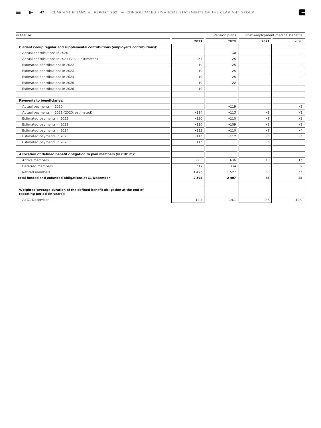| in CHF m                                                                                                  |         | Pension plans |      | Post-employment medical benefits |
|-----------------------------------------------------------------------------------------------------------|---------|---------------|------|----------------------------------|
|                                                                                                           | 2021    | 2020          | 2021 | 2020                             |
| Clariant Group regular and supplemental contributions (employer's contributions):                         |         |               |      |                                  |
| Actual contributions in 2020                                                                              |         | 30            |      |                                  |
| Actual contributions in 2021 (2020: estimated)                                                            | 37      | 25            |      |                                  |
| Estimated contributions in 2022                                                                           | 19      | 25            |      |                                  |
| Estimated contributions in 2023                                                                           | 19      | 25            |      |                                  |
| Estimated contributions in 2024                                                                           | 19      | 25            |      |                                  |
| Estimated contributions in 2025                                                                           | 19      | 22            |      |                                  |
| Estimated contributions in 2026                                                                           | 19      |               |      |                                  |
| <b>Payments to beneficiaries:</b>                                                                         |         |               |      |                                  |
| Actual payments in 2020                                                                                   |         | $-119$        |      | $-3$                             |
| Actual payments in 2021 (2020: estimated)                                                                 | $-134$  | $-113$        | $-3$ | $-3$                             |
| Estimated payments in 2022                                                                                | $-120$  | $-110$        | $-3$ | $-3$                             |
| Estimated payments in 2023                                                                                | $-110$  | $-109$        | $-3$ | $-3$                             |
| Estimated payments in 2024                                                                                | $-112$  | $-110$        | -3   | $-4$                             |
| Estimated payments in 2025                                                                                | $-113$  | $-112$        | -3   | $-3$                             |
| Estimated payments in 2026                                                                                | $-113$  |               | $-3$ |                                  |
| Allocation of defined benefit obligation to plan members (in CHF m):                                      |         |               |      |                                  |
| Active members                                                                                            | 605     | 636           | 10   | 13                               |
| Deferred members                                                                                          | 317     | 334           | 5    | $\overline{2}$                   |
| <b>Retired members</b>                                                                                    | 1473    | 1527          | 30   | 33                               |
| Total funded and unfunded obligations at 31 December                                                      | 2 3 9 5 | 2 4 9 7       | 45   | 48                               |
| Weighted-average duration of the defined benefit obligation at the end of<br>reporting period (in years): |         |               |      |                                  |
| At 31 December                                                                                            | 14.4    | 14.1          | 9.8  | 10.0                             |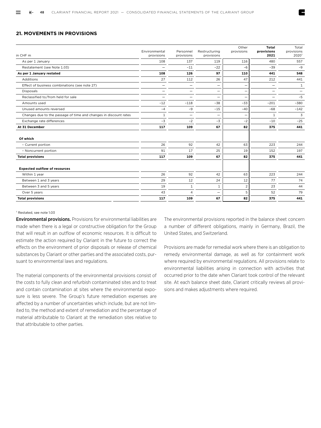# **21. MOVEMENTS IN PROVISIONS**

| in CHF m                                                         | Environmental<br>provisions | Personnel<br>provisions  | Restructuring<br>provisions | Other<br>provisions | <b>Total</b><br>provisions<br>2021 | Total<br>provisions<br>2020 |
|------------------------------------------------------------------|-----------------------------|--------------------------|-----------------------------|---------------------|------------------------------------|-----------------------------|
| As per 1 January                                                 | 108                         | 137                      | 119                         | 116                 | 480                                | 557                         |
| Restatement (see Note 1.03)                                      |                             | $-11$                    | $-22$                       | $-6$                | $-39$                              | $-9$                        |
| As per 1 January restated                                        | 108                         | 126                      | 97                          | 110                 | 441                                | 548                         |
| Additions                                                        | 27                          | 112                      | 26                          | 47                  | 212                                | 441                         |
| Effect of business combinations (see note 27)                    | $\qquad \qquad -$           | -                        | -                           |                     | -                                  | 1                           |
| <b>Disposals</b>                                                 | $\overline{\phantom{0}}$    | -                        |                             | -                   | -                                  | $\qquad \qquad -$           |
| Reclassified to/from held for sale                               |                             |                          | $\qquad \qquad -$           |                     |                                    | $-5$                        |
| Amounts used                                                     | $-12$                       | $-118$                   | $-38$                       | $-33$               | $-201$                             | $-380$                      |
| Unused amounts reversed                                          | $-4$                        | $-9$                     | $-15$                       | $-40$               | $-68$                              | $-142$                      |
| Changes due to the passage of time and changes in discount rates | 1                           | $\overline{\phantom{0}}$ | -                           |                     | $\mathbf{1}$                       | 3                           |
| Exchange rate differences                                        | $-3$                        | $-2$                     | $-3$                        | $-2$                | $-10$                              | $-25$                       |
| At 31 December                                                   | 117                         | 109                      | 67                          | 82                  | 375                                | 441                         |
| Of which                                                         |                             |                          |                             |                     |                                    |                             |
| - Current portion                                                | 26                          | 92                       | 42                          | 63                  | 223                                | 244                         |
| - Noncurrent portion                                             | 91                          | 17                       | 25                          | 19                  | 152                                | 197                         |
| <b>Total provisions</b>                                          | 117                         | 109                      | 67                          | 82                  | 375                                | 441                         |
| <b>Expected outflow of resources</b>                             |                             |                          |                             |                     |                                    |                             |
| Within 1 year                                                    | 26                          | 92                       | 42                          | 63                  | 223                                | 244                         |
| Between 1 and 3 years                                            | 29                          | 12                       | 24                          | 12                  | 77                                 | 74                          |
| Between 3 and 5 years                                            | 19                          | $\mathbf{1}$             | $\mathbf{1}$                | $\overline{2}$      | 23                                 | 44                          |
| Over 5 years                                                     | 43                          | 4                        | $\overline{\phantom{0}}$    | 5                   | 52                                 | 79                          |
| <b>Total provisions</b>                                          | 117                         | 109                      | 67                          | 82                  | 375                                | 441                         |

#### 1 Restated, see note 1.03

Environmental provisions. Provisions for environmental liabilities are made when there is a legal or constructive obligation for the Group that will result in an outflow of economic resources. It is difficult to estimate the action required by Clariant in the future to correct the effects on the environment of prior disposals or release of chemical substances by Clariant or other parties and the associated costs, pursuant to environmental laws and regulations.

The material components of the environmental provisions consist of the costs to fully clean and refurbish contaminated sites and to treat and contain contamination at sites where the environmental exposure is less severe. The Group's future remediation expenses are affected by a number of uncertainties which include, but are not limited to, the method and extent of remediation and the percentage of material attributable to Clariant at the remediation sites relative to that attributable to other parties.

The environmental provisions reported in the balance sheet concern a number of different obligations, mainly in Germany, Brazil, the United States, and Switzerland.

Provisions are made for remedial work where there is an obligation to remedy environmental damage, as well as for containment work where required by environmental regulations. All provisions relate to environmental liabilities arising in connection with activities that occurred prior to the date when Clariant took control of the relevant site. At each balance sheet date, Clariant critically reviews all provisions and makes adjustments where required.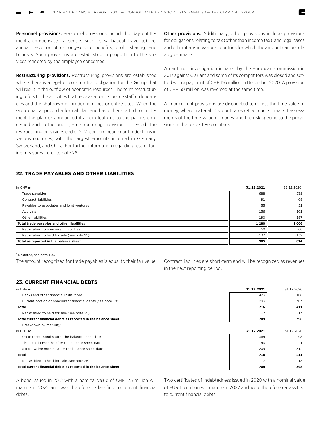Personnel provisions. Personnel provisions include holiday entitlements, compensated absences such as sabbatical leave, jubilee, annual leave or other long-service benefits, profit sharing, and bonuses. Such provisions are established in proportion to the services rendered by the employee concerned.

Restructuring provisions. Restructuring provisions are established where there is a legal or constructive obligation for the Group that will result in the outflow of economic resources. The term restructuring refers to the activities that have as a consequence staff redundancies and the shutdown of production lines or entire sites. When the Group has approved a formal plan and has either started to implement the plan or announced its main features to the parties concerned and to the public, a restructuring provision is created. The restructuring provisions end of 2021 concern head count reductions in various countries, with the largest amounts incurred in Germany, Switzerland, and China. For further information regarding restructuring measures, refer to note 28.

Other provisions. Additionally, other provisions include provisions for obligations relating to tax (other than income tax) and legal cases and other items in various countries for which the amount can be reliably estimated.

An antitrust investigation initiated by the European Commission in 2017 against Clariant and some of its competitors was closed and settled with a payment of CHF 156 million in December 2020. A provision of CHF 50 million was reversed at the same time.

All noncurrent provisions are discounted to reflect the time value of money, where material. Discount rates reflect current market assessments of the time value of money and the risk specific to the provisions in the respective countries.

# **22. TRADE PAYABLES AND OTHER LIABILITIES**

| 31.12.2021 | 31.12.2020 |
|------------|------------|
| 688        | 539        |
| 91         | 68         |
| 55         | 51         |
| 156        | 161        |
| 190        | 187        |
| 1 1 8 0    | 1 0 0 6    |
| $-58$      | $-60$      |
| $-137$     | $-132$     |
| 985        | 814        |
|            |            |

1 Restated, see note 1.03

The amount recognized for trade payables is equal to their fair value.

Contract liabilities are short-term and will be recognized as revenues in the next reporting period.

# **23. CURRENT FINANCIAL DEBTS**

| in CHF m                                                       | 31.12.2021 | 31.12.2020 |
|----------------------------------------------------------------|------------|------------|
| Banks and other financial institutions                         | 423        | 108        |
| Current portion of noncurrent financial debts (see note 18)    | 293        | 303        |
| Total                                                          | 716        | 411        |
| Reclassified to held for sale (see note 25)                    | $-7$       | $-13$      |
| Total current financial debts as reported in the balance sheet | 709        | 398        |
| Breakdown by maturity:                                         |            |            |
| in CHF m                                                       | 31.12.2021 | 31.12.2020 |
| Up to three months after the balance sheet date                | 364        | 98         |
| Three to six months after the balance sheet date               | 143        |            |
| Six to twelve months after the balance sheet date              | 209        | 312        |
| Total                                                          | 716        | 411        |
| Reclassified to held for sale (see note 25)                    | $-7$       | $-13$      |
| Total current financial debts as reported in the balance sheet | 709        | 398        |

A bond issued in 2012 with a nominal value of CHF 175 million will mature in 2022 and was therefore reclassified to current financial debts.

Two certificates of indebtedness issued in 2020 with a nominal value of EUR 115 million will mature in 2022 and were therefore reclassified to current financial debts.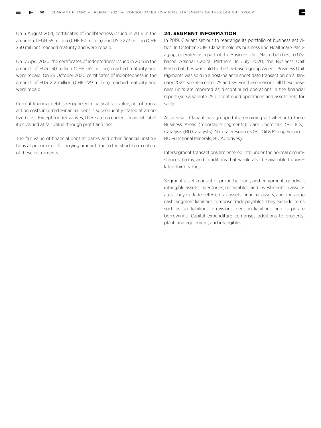On 5 August 2021, certificates of indebtedness issued in 2016 in the amount of EUR 55 million (CHF 60 million) and USD 277 million (CHF 250 million) reached maturity and were repaid.

On 17 April 2020, the certificates of indebtedness issued in 2015 in the amount of EUR 150 million (CHF 162 million) reached maturity and were repaid. On 26 October 2020 certificates of indebtedness in the amount of EUR 212 million (CHF 229 million) reached maturity and were repaid.

Current financial debt is recognized initially at fair value, net of transaction costs incurred. Financial debt is subsequently stated at amortized cost. Except for derivatives, there are no current financial liabilities valued at fair value through profit and loss.

The fair value of financial debt at banks and other financial institutions approximates its carrying amount due to the short-term nature of these instruments.

# **24. SEGMENT INFORMATION**

In 2019, Clariant set out to rearrange its portfolio of business activities. In October 2019, Clariant sold its business line Healthcare Packaging, operated as a part of the Business Unit Masterbatches, to USbased Arsenal Capital Partners. In July 2020, the Business Unit Masterbatches was sold to the US-based group Avient. Business Unit Pigments was sold in a post-balance sheet date transaction on 3 January 2022; see also notes 25 and 38. For these reasons, all these business units are reported as discontinued operations in the financial report (see also note 25 discontinued operations and assets held for sale).

As a result Clariant has grouped its remaining activities into three Business Areas (reportable segments): Care Chemicals (BU ICS), Catalysis (BU Catalysts), Natural Resources (BU Oil & Mining Services, BU Functional Minerals, BU Additives).

Intersegment transactions are entered into under the normal circumstances, terms, and conditions that would also be available to unrelated third parties.

Segment assets consist of property, plant, and equipment, goodwill, intangible assets, inventories, receivables, and investments in associates. They exclude deferred tax assets, financial assets, and operating cash. Segment liabilities comprise trade payables. They exclude items such as tax liabilities, provisions, pension liabilities, and corporate borrowings. Capital expenditure comprises additions to property, plant, and equipment, and intangibles.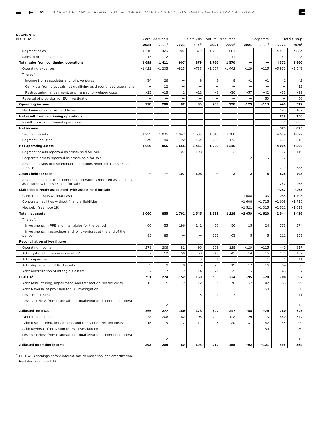E

| <b>SEGMENTS</b><br>in CHF m                                                                                    |                          |                                     |                                            |                                   |                                  |                          |                          |                          |                 |                    |
|----------------------------------------------------------------------------------------------------------------|--------------------------|-------------------------------------|--------------------------------------------|-----------------------------------|----------------------------------|--------------------------|--------------------------|--------------------------|-----------------|--------------------|
|                                                                                                                | 2021                     | Care Chemicals<br>2020 <sup>2</sup> |                                            | Catalysis<br>2020 <sup>2</sup>    | <b>Natural Resources</b>         | 2020 <sup>2</sup>        |                          | Corporate<br>$2020^2$    |                 | <b>Total Group</b> |
|                                                                                                                | 1716                     |                                     | 2021<br>907                                | 879                               | 2021<br>1790                     | 1581                     | 2021                     | $\overline{\phantom{0}}$ | 2021<br>4 4 1 3 | $2020^2$<br>3883   |
| Segment sales                                                                                                  |                          | 1 4 2 3                             |                                            | $\overline{\phantom{0}}$          |                                  |                          |                          |                          |                 |                    |
| Sales to other segments                                                                                        | $-17$                    | $-12$<br>1411                       | 907                                        | 879                               | $-24$<br>1766                    | $-11$<br>1570            | Ξ                        | $\overline{\phantom{0}}$ | $-41$           | $-23$              |
| <b>Total sales from continuing operations</b>                                                                  | 1699<br>$-1421$          | $-1205$                             | $-825$                                     | $-783$                            | $-1557$                          | -1 442                   | $-129$                   | —<br>$-113$              | 4372<br>-3 932  | 3860<br>-3 543     |
| Operating expenses                                                                                             |                          |                                     |                                            |                                   |                                  |                          |                          |                          |                 |                    |
| Thereof:                                                                                                       | 34                       | 26                                  |                                            | 9                                 | 8                                |                          | $-1$                     |                          |                 |                    |
| Income from associates and joint ventures                                                                      |                          |                                     |                                            |                                   |                                  | 8                        |                          | $-1$                     | 41              | 42                 |
| Gain/loss from disposals not qualifying as discontinued operations                                             | -                        | 12                                  | $\overline{\phantom{0}}$<br>$\overline{2}$ | $\overline{\phantom{0}}$          | $\overline{\phantom{0}}$<br>$-3$ | —                        | $\overline{a}$           | $\overline{\phantom{0}}$ |                 | 12                 |
| Restructuring, impairment, and transaction-related costs                                                       | $-15$                    | $-15$                               |                                            | $-12$<br>$\overline{\phantom{0}}$ |                                  | $-30$<br>-               | $-37$                    | -42                      | $-53$           | -99                |
| Reversal of provision for EU investigation                                                                     | 278                      | 206                                 | 82                                         | 96                                | 209                              |                          | $-129$                   | 50<br>-113               | 440             | 50<br>317          |
| <b>Operating income</b>                                                                                        |                          |                                     |                                            |                                   |                                  | 128                      |                          |                          | $-148$          | $-187$             |
| Net financial expenses and taxes                                                                               |                          |                                     |                                            |                                   |                                  |                          |                          |                          |                 |                    |
| Net result from continuing operations                                                                          |                          |                                     |                                            |                                   |                                  |                          |                          |                          | 292             | 130                |
| Result from discontinued operations                                                                            |                          |                                     |                                            |                                   |                                  |                          |                          |                          | 81              | 695                |
| Net income                                                                                                     |                          |                                     |                                            |                                   |                                  |                          |                          |                          | 373             | 825                |
| Segment assets                                                                                                 | 1 2 9 9                  | 1035                                | 1847                                       | 1599                              | 1548                             | 1 3 8 8                  |                          | $\overline{\phantom{0}}$ | 4694            | 4 0 2 2            |
| Segment liabilities                                                                                            | $-239$                   | $-180$                              | $-192$                                     | $-164$                            | $-259$                           | $-172$                   | $\overline{\phantom{0}}$ | $\overline{\phantom{0}}$ | $-690$          | $-516$             |
| <b>Net operating assets</b>                                                                                    | 1 0 6 0                  | 855                                 | 1655                                       | 1435                              | 1 2 8 9                          | 1 2 1 6                  | $\overline{\phantom{0}}$ | —                        | 4 0 0 4         | 3 5 0 6            |
| Segment assets reported as assets held for sale                                                                |                          | $\overline{\phantom{0}}$            | 107                                        | 108                               |                                  | 2                        |                          |                          | 107             | 110                |
| Corporate assets reported as assets held for sale                                                              | -                        |                                     |                                            | $\overline{\phantom{0}}$          | -                                | —                        | $\overline{c}$           | 5                        | $\overline{2}$  | 5                  |
| Segment assets of discontinued operations reported as assets held<br>for sale                                  |                          |                                     |                                            |                                   |                                  | -                        |                          |                          | 719             | 683                |
| Assets held for sale                                                                                           | —                        |                                     | 107                                        | 108                               | $\overline{\phantom{0}}$         | $\overline{\mathbf{2}}$  | 2                        | 5                        | 828             | 798                |
| Segment liabilities of discontinued operations reported as liabilities<br>associated with assets held for sale |                          |                                     |                                            |                                   |                                  |                          |                          |                          | $-247$          | $-263$             |
| Liabilities directly associated with assets held for sale                                                      |                          |                                     |                                            |                                   |                                  |                          |                          |                          | $-247$          | -263               |
| Corporate assets without cash                                                                                  |                          |                                     |                                            |                                   |                                  |                          | 1 0 8 8                  | 1 1 0 3                  | 1 0 8 8         | 1 1 0 3            |
| Corporate liabilities without financial liabilities                                                            |                          |                                     |                                            |                                   |                                  |                          | $-1608$                  | $-1715$                  | $-1608$         | -1 715             |
| Net debt (see note 19)                                                                                         |                          |                                     |                                            |                                   |                                  |                          | $-1521$                  | $-1013$                  | $-1521$         | -1 013             |
| <b>Total net assets</b>                                                                                        | 1 0 6 0                  | 855                                 | 1762                                       | 1543                              | 1 2 8 9                          | 1 2 1 8                  | $-2039$                  | $-1620$                  | 2 5 4 4         | 2 4 1 6            |
| Thereof:                                                                                                       |                          |                                     |                                            |                                   |                                  |                          |                          |                          |                 |                    |
| Investments in PPE and intangibles for the period                                                              | 66                       | 53                                  | 196                                        | 141                               | 56                               | 56                       | 15                       | 24                       | 333             | 274                |
| Investments in associates and joint ventures at the end of the                                                 | 85                       | 85                                  | $\overline{\phantom{0}}$                   | $\overline{\phantom{0}}$          | 121                              | 63                       | 5                        | 5                        | 211             | 153                |
| period<br><b>Reconciliation of key figures</b>                                                                 |                          |                                     |                                            |                                   |                                  |                          |                          |                          |                 |                    |
| Operating income                                                                                               | 278                      | 206                                 | 82                                         | 96                                | 209                              | 128                      | $-129$                   | $-113$                   | 440             | 317                |
| Add: systematic depreciation of PPE                                                                            | 57                       | 52                                  | 50                                         | 50                                | 49                               | 45                       | 14                       | 15                       | 170             | 162                |
| Add: impairment                                                                                                | -                        | $\qquad \qquad -$                   | $\overline{\phantom{0}}$                   | 3                                 | $\mathbf{1}$                     | $\overline{7}$           |                          | $\mathbf{1}$             | $\mathbf{1}$    | 11                 |
| Add: depreciation of RoU assets                                                                                | 9                        | 9                                   | 8                                          | 6                                 | 20                               | 19                       | 17                       | 16                       | 54              | 50                 |
| Add: amortization of intangible assets                                                                         | $\overline{7}$           | 7                                   | 12                                         | 14                                | 21                               | 25                       | 3                        | 11                       | 43              | 57                 |
| EBITDA <sup>1</sup>                                                                                            |                          | 274                                 |                                            | 169                               |                                  | 224                      |                          | -70                      |                 | 597                |
| Add: restructuring, impairment, and transaction-related costs                                                  | 351<br>15                | 15                                  | 152<br>$-2$                                | 12                                | 300<br>3                         | 30                       | -95<br>37                | 42                       | 708<br>53       | 99                 |
| Add: Reversal of provision for EU investigation                                                                |                          |                                     |                                            |                                   |                                  |                          |                          | -50                      |                 | -50                |
| Less: impairment                                                                                               | $\overline{\phantom{0}}$ | $\overline{\phantom{0}}$            |                                            | $-3$                              | $-1$                             | $-7$                     | $\overline{a}$           | $-1$                     | $-1$            | $-11$              |
| Less: gain/loss from disposals not qualifying as discontinued opera-                                           |                          |                                     |                                            |                                   |                                  |                          |                          |                          |                 |                    |
| tions                                                                                                          | -                        | $-12$                               |                                            | -                                 |                                  | $\overline{\phantom{0}}$ | $\overline{\phantom{a}}$ | $\overline{\phantom{0}}$ |                 | $-12$              |
| <b>Adjusted EBITDA</b>                                                                                         | 366                      | 277                                 | 150                                        | 178                               | 302                              | 247                      | -58                      | -79                      | 760             | 623                |
| Operating income                                                                                               | 278                      | 206                                 | 82                                         | 96                                | 209                              | 128                      | $-129$                   | $-113$                   | 440             | 317                |
| Add: restructuring, impairment, and transaction-related costs                                                  | 15                       | 15                                  | $-2$                                       | 12                                | 3                                | 30                       | 37                       | 42                       | 53              | 99                 |
| Add: Reversal of provision for EU investigation                                                                |                          |                                     |                                            |                                   |                                  |                          | -                        | $-50$                    |                 | $-50$              |
| Less: gain/loss from disposals not qualifying as discontinued opera-<br>tions                                  | -                        | $-12$                               |                                            | —                                 |                                  | -                        |                          |                          |                 | $-12$              |
| <b>Adjusted operating income</b>                                                                               | 293                      | 209                                 | 80                                         | 108                               | 212                              | 158                      | -92                      | $-121$                   | 493             | 354                |
|                                                                                                                |                          |                                     |                                            |                                   |                                  |                          |                          |                          |                 |                    |

<sup>1</sup> EBITDA is earnings before interest, tax, depreciation, and amortization.

2 Restated, see note 1.03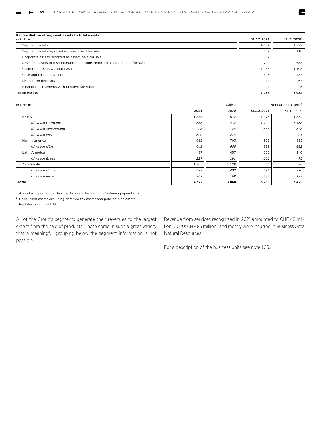| Reconciliation of segment assets to total assets                           |            |                         |
|----------------------------------------------------------------------------|------------|-------------------------|
| in CHF m                                                                   | 31.12.2021 | 31.12.2020 <sup>3</sup> |
| Segment assets                                                             | 4694       | 4 0 2 2                 |
| Segment assets reported as assets held for sale                            | 107        | 110                     |
| Corporate assets reported as assets held for sale                          |            |                         |
| Segment assets of discontinued operations reported as assets held for sale | 719        | 683                     |
| Corporate assets without cash                                              | 1088       | 1 1 0 3                 |
| Cash and cash equivalents                                                  | 415        | 737                     |
| Short-term deposits                                                        | 12         | 267                     |
| Financial instruments with positive fair values                            |            |                         |
| <b>Total Assets</b>                                                        | 7038       | 6932                    |

| in CHF m             |         | Sales <sup>1</sup> |            | Noncurrent assets <sup>2</sup> |
|----------------------|---------|--------------------|------------|--------------------------------|
|                      | 2021    | 2020               | 31.12.2021 | 31.12.2020                     |
| EMEA                 | 1888    | 1572               | 1975       | 1854                           |
| of which Germany     | 533     | 432                | 1 1 2 2    | 1 138                          |
| of which Switzerland | 28      | 24                 | 355        | 378                            |
| of which MEA         | 320     | 274                | 22         | 21                             |
| North America        | 692     | 703                | 903        | 895                            |
| of which USA         | 649     | 656                | 889        | 882                            |
| Latin America        | 487     | 457                | 171        | 140                            |
| of which Brazil      | 227     | 191                | 101        | 75                             |
| Asia-Pacific         | 1 3 0 5 | 1 1 2 8            | 711        | 536                            |
| of which China       | 479     | 402                | 291        | 216                            |
| of which India       | 262     | 168                | 232        | 123                            |
| Total                | 4372    | 3860               | 3760       | 3 4 2 5                        |

<sup>1</sup> Allocated by region of third-party sale's destination. Continuing operations

2 Noncurrent assets excluding deferred tax assets and pension plan assets

3 Restated, see note 1.03.

All of the Group's segments generate their revenues to the largest extent from the sale of products. These come in such a great variety that a meaningful grouping below the segment information is not possible.

Revenue from services recognized in 2021 amounted to CHF 48 million (2020: CHF 83 million) and mostly were incurred in Business Area Natural Resources.

E

For a description of the business units see note 1.26.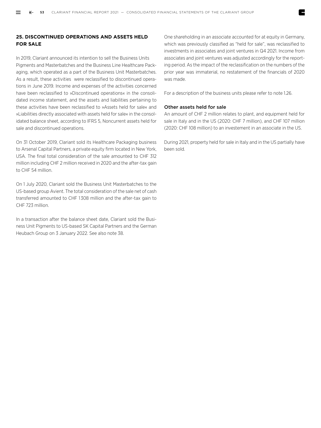# **25. DISCONTINUED OPERATIONS AND ASSETS HELD FOR SALE**

In 2019, Clariant announced its intention to sell the Business Units Pigments and Masterbatches and the Business Line Healthcare Packaging, which operated as a part of the Business Unit Masterbatches. As a result, these activities were reclassified to discontinued operations in June 2019. Income and expenses of the activities concerned have been reclassified to »Discontinued operations« in the consolidated income statement, and the assets and liabilities pertaining to these activities have been reclassified to »Assets held for sale« and »Liabilities directly associated with assets held for sale« in the consolidated balance sheet, according to IFRS 5, Noncurrent assets held for sale and discontinued operations.

On 31 October 2019, Clariant sold its Healthcare Packaging business to Arsenal Capital Partners, a private equity firm located in New York, USA. The final total consideration of the sale amounted to CHF 312 million including CHF 2 million received in 2020 and the after-tax gain to CHF 54 million.

On 1 July 2020, Clariant sold the Business Unit Masterbatches to the US-based group Avient. The total consideration of the sale net of cash transferred amounted to CHF 1 308 million and the after-tax gain to CHF 723 million.

In a transaction after the balance sheet date, Clariant sold the Business Unit Pigments to US-based SK Capital Partners and the German Heubach Group on 3 January 2022. See also note 38.

One shareholding in an associate accounted for at equity in Germany, which was previously classified as "held for sale", was reclassified to investments in associates and joint ventures in Q4 2021. Income from associates and joint ventures was adjusted accordingly for the reporting period. As the impact of the reclassification on the numbers of the prior year was immaterial, no restatement of the financials of 2020 was made.

For a description of the business units please refer to note 1.26.

# Other assets held for sale

An amount of CHF 2 million relates to plant, and equipment held for sale in Italy and in the US (2020: CHF 7 million), and CHF 107 million (2020: CHF 108 million) to an investement in an associate in the US.

During 2021, property held for sale in Italy and in the US partially have been sold.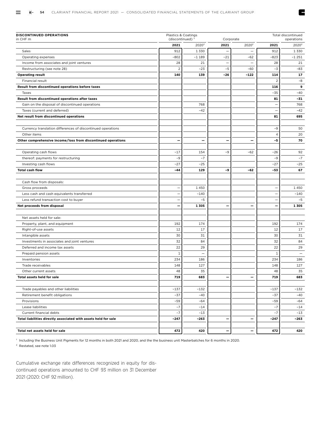| <b>DISCONTINUED OPERATIONS</b><br>in CHF m                      |                          | Plastics & Coatings<br>(discontinued) $1$<br>Corporate |                          |                          | Total discontinued<br>operations |                   |  |
|-----------------------------------------------------------------|--------------------------|--------------------------------------------------------|--------------------------|--------------------------|----------------------------------|-------------------|--|
|                                                                 | 2021                     | 2020 <sup>2</sup>                                      | 2021                     | 2020 <sup>2</sup>        | 2021                             | 2020 <sup>2</sup> |  |
| Sales                                                           | 912                      | 1 3 3 0                                                | $\overline{\phantom{0}}$ | $\overline{\phantom{0}}$ | 912                              | 1 3 3 0           |  |
| Operating expenses                                              | $-802$                   | $-1189$                                                | $-21$                    | $-62$                    | $-823$                           | $-1251$           |  |
| Income from associates and joint ventures                       | 28                       | 21                                                     |                          | $\overline{\phantom{0}}$ | 28                               | 21                |  |
| Restructuring (see note 28)                                     | $\overline{2}$           | $-23$                                                  | $-5$                     | $-60$                    | $-3$                             | $-83$             |  |
| <b>Operating result</b>                                         | 140                      | 139                                                    | $-26$                    | $-122$                   | 114                              | 17                |  |
| Financial result                                                |                          |                                                        |                          |                          | $\overline{2}$                   | -8                |  |
| Result from discontinued operations before taxes                |                          |                                                        |                          |                          | 116                              | 9                 |  |
| Taxes                                                           |                          |                                                        |                          |                          | $-35$                            | $-40$             |  |
| Result from discontinued operations after taxes                 |                          |                                                        |                          |                          | 81                               | $-31$             |  |
| Gain on the disposal of discontinued operations                 |                          | 768                                                    |                          |                          |                                  | 768               |  |
| Taxes (current and deferred)                                    |                          | $-42$                                                  |                          |                          |                                  | $-42$             |  |
| Net result from discontinued operations                         |                          |                                                        |                          |                          | 81                               | 695               |  |
| Currency translation differences of discontinued operations     |                          |                                                        |                          |                          | -9                               | 50                |  |
| Other items                                                     |                          |                                                        |                          |                          | $\overline{4}$                   | 20                |  |
| Other comprehensive income/loss from discontinued operations    | -                        | —                                                      |                          | —                        | -5                               | 70                |  |
|                                                                 |                          |                                                        |                          |                          |                                  |                   |  |
| Operating cash flows                                            | $-17$                    | 154                                                    | $-9$                     | $-62$                    | $-26$                            | 92                |  |
| thereof: payments for restructuring                             | $-9$                     | $-7$                                                   |                          |                          | -9                               | $-7$              |  |
| Investing cash flows                                            | $-27$                    | $-25$                                                  |                          |                          | $-27$                            | $-25$             |  |
| <b>Total cash flow</b>                                          | $-44$                    | 129                                                    | -9                       | $-62$                    | $-53$                            | 67                |  |
|                                                                 |                          |                                                        |                          |                          |                                  |                   |  |
| Cash flow from disposals:                                       |                          |                                                        |                          |                          |                                  |                   |  |
| Gross proceeds                                                  | -                        | 1450                                                   |                          |                          |                                  | 1450              |  |
| Less cash and cash equivalents transferred                      | -                        | $-140$                                                 |                          |                          |                                  | $-140$            |  |
| Less refund transaction cost to buyer                           | $\overline{\phantom{0}}$ | $-5$                                                   |                          |                          |                                  | $-5$              |  |
| Net proceeds from disposal                                      | -                        | 1305                                                   | $\overline{\phantom{0}}$ | -                        |                                  | 1305              |  |
|                                                                 |                          |                                                        |                          |                          |                                  |                   |  |
| Net assets held for sale:                                       |                          |                                                        |                          |                          |                                  |                   |  |
| Property, plant, and equipment                                  | 192                      | 174                                                    |                          |                          | 192                              | 174               |  |
| Right-of-use assets                                             | 12                       | 17                                                     |                          |                          | 12                               | 17                |  |
| Intangible assets                                               | 30                       | 31                                                     |                          |                          | 30                               | 31                |  |
| Investments in associates and joint ventures                    | 32                       | 84                                                     |                          |                          | 32                               | 84                |  |
| Deferred and income tax assets                                  | 22                       | 29                                                     |                          |                          | 22                               | 29                |  |
| Prepaid pension assets                                          | $\mathbf{1}$             | $\overline{\phantom{0}}$                               |                          |                          | $\mathbf{1}$                     |                   |  |
| Inventories                                                     | 234                      | 186                                                    |                          |                          | 234                              | 186               |  |
| Trade receivables                                               | 148                      | 127                                                    |                          |                          | 148                              | 127               |  |
| Other current assets                                            | 48                       | 35                                                     |                          |                          | 48                               | 35                |  |
| Total assets held for sale                                      | 719                      | 683                                                    | -                        | -                        | 719                              | 683               |  |
|                                                                 |                          |                                                        |                          |                          |                                  |                   |  |
| Trade payables and other liabilities                            | $-137$                   | $-132$                                                 |                          |                          | -137                             | -132              |  |
| Retirement benefit obligations                                  | $-37$                    | $-40$                                                  |                          |                          | $-37$                            | $-40$             |  |
| Provisions                                                      | $-59$                    | $-64$                                                  |                          |                          | $-59$                            | -64               |  |
| Lease liabilities                                               | $-7$                     | $-14$                                                  |                          |                          | $-7$                             | $-14$             |  |
| Current financial debts                                         | $-7$                     | $-13$                                                  |                          |                          | $-7$                             | $-13$             |  |
| Total liabilities directly associated with assets held for sale | $-247$                   | -263                                                   |                          | -                        | $-247$                           | -263              |  |
|                                                                 |                          |                                                        |                          |                          |                                  |                   |  |
| Total net assets held for sale                                  | 472                      | 420                                                    |                          | -                        | 472                              | 420               |  |

1 Including the Business Unit Pigments for 12 months in both 2021 and 2020, and the the business unit Masterbatches for 6 months in 2020.

2 Restated, see note 1.03

Cumulative exchange rate differences recognized in equity for discontinued operations amounted to CHF 93 million on 31 December 2021 (2020: CHF 92 million).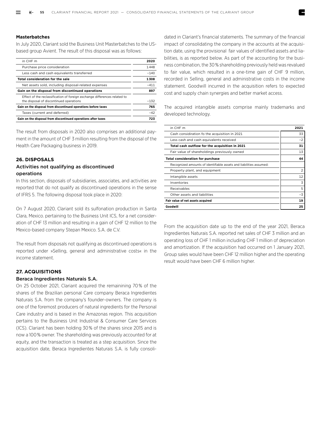# **Masterbatches**

In July 2020, Clariant sold the Business Unit Masterbatches to the USbased group Avient. The result of this disposal was as follows:

| in CHF m                                                                                                             | 2020   |
|----------------------------------------------------------------------------------------------------------------------|--------|
| Purchase price consideration                                                                                         | 1448   |
| Less cash and cash equivalents transferred                                                                           | $-140$ |
| Total consideration for the sale                                                                                     | 1308   |
| Net assets sold, including disposal-related expenses                                                                 | $-411$ |
| Gain on the disposal from discontinued operations                                                                    | 897    |
| Effect of the reclassification of foreign exchange differences related to<br>the disposal of discontinued operations | $-132$ |
| Gain on the disposal from discontinued operations before taxes                                                       | 765    |
| Taxes (current and deferred)                                                                                         | $-42$  |
| Gain on the disposal from discontinued operations after taxes                                                        | 723    |

The result from disposals in 2020 also comprises an additional payment in the amount of CHF 3 million resulting from the disposal of the Health Care Packaging business in 2019.

# **26. DISPOSALS**

# Activities not qualifying as discontinued operations

In this section, disposals of subsidiaries, associates, and activities are reported that do not qualify as discontinued operations in the sense of IFRS 5. The following disposal took place in 2020:

On 7 August 2020, Clariant sold its sulfonation production in Santa Clara, Mexico. pertaining to the Business Unit ICS, for a net consideration of CHF 13 million and resulting in a gain of CHF 12 million to the Mexico-based company Stepan Mexico. S.A. de C.V.

The result from disposals not qualifying as discontinued operations is reported under »Selling, general and administrative costs« in the income statement.

# **27. ACQUISITIONS**

# Beraca Ingredientes Naturais S.A.

On 25 October 2021, Clariant acquired the remainining 70 % of the shares of the Brazilian personal Care company Beraca Ingredientes Naturais S.A. from the company's founder-owners. The company is one of the foremost producers of natural ingredients for the Personal Care industry and is based in the Amazonas region. This acquisition pertains to the Business Unit Industrial & Consumer Care Services (ICS). Clariant has been holding 30 % of the shares since 2015 and is now a 100 % owner. The shareholding was previously accounted for at equity, and the transaction is treated as a step acquisition. Since the acquisition date, Beraca Ingredientes Naturais S.A. is fully consolidated in Clariant's financial statements. The summary of the financial impact of consolidating the company in the accounts at the acquisition date, using the provisional fair values of identified assets and liabilities, is as reported below. As part of the accounting for the business combination, the 30 % shareholding previously held was revalued to fair value, which resulted in a one-time gain of CHF 9 million, recorded in Selling, general and administrative costs in the income statement. Goodwill incurred in the acquisition refers to expected cost and supply chain synergies and better market access.

The acquired intangible assets comprise mainly trademarks and developed technology.

| in CHF m                                                           | 2021           |
|--------------------------------------------------------------------|----------------|
| Cash considiration fo the acquisition in 2021                      | 33             |
| Less cash and cash equivalents received                            | $-2$           |
| Total cash outflow for the acquisition in 2021                     | 31             |
| Fair value of shareholdings previously owned                       | 13             |
| <b>Total consideration for purchase</b>                            | 44             |
| Recognized amounts of identifiable assets and liabilities assumed: |                |
| Property plant, and equipment                                      | $\overline{2}$ |
| Intangible assets                                                  | 12             |
| Inventories                                                        | 3              |
| Receivables                                                        | 5              |
| Other assets and liabilities                                       | $-3$           |
| Fair value of net assets acquired                                  | 19             |
| Goodwill                                                           | 25             |

From the acquisition date up to the end of the year 2021, Beraca Ingredientes Naturais S.A. reported net sales of CHF 3 million and an operating loss of CHF 1 million including CHF 1 million of depreciation and amortization. If the acquisition had occurred on 1 January 2021, Group sales would have been CHF 12 million higher and the operating result would have been CHF 6 million higher.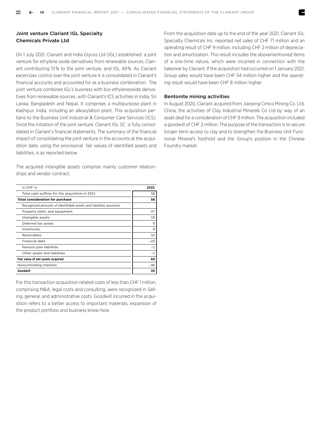# Joint venture Clariant IGL Specialty Chemicals Private Ltd

On 1 July 2021, Clariant and India Glycos Ltd (IGL) established a joint venture for ethylene oxide derivatives from renewable sources, Clariant contributing 51 % to the joint venture, and IGL 49 %. As Clariant excercises control over the joint venture it is consolidated in Clariant's financial accounts and accounted for as a business combination. The joint venture combines IGL's business with bio-ethyleneoxide derivatives from renewable sources, with Clariant's ICS activities in India, Sri Lanka, Bangladesh and Nepal. It comprises a multipurpose plant in Kashipur, India, including an alkoxylation plant. This acquisition pertains to the Business Unit Industrial & Consumer Care Services (ICS). Since the initiation of the joint venture, Clariant IGL SC is fully consolidated in Clariant's financial statements. The summary of the financial impact of consolidating the joint venture in the accounts at the acquisition date, using the provisional fair values of identified assets and liabilities, is as reported below.

The acquired intangible assets comprise mainly customer relationships and vendor contract.

| in CHF m                                                           | 2021  |
|--------------------------------------------------------------------|-------|
| Total cash outflow for the acquisition in 2021                     | 58    |
| <b>Total consideration for purchase</b>                            | 58    |
| Recognized amounts of identifiable assets and liabilities assumed: |       |
| Property plant, and equipment                                      | 47    |
| Intangible assets                                                  | 19    |
| Deferred tax assets                                                | 9     |
| Inventories                                                        | 9     |
| Receivables                                                        | 10    |
| Financial debt                                                     | $-23$ |
| Pension plan liabilities                                           | $-1$  |
| Other assets and liabilities                                       | $-1$  |
| Fair value of net assets acquired                                  | 69    |
| Noncontrolling interests                                           | $-46$ |
| Goodwill                                                           | 35    |

For this transaction acquisition related costs of less than CHF 1 million, comprising M&A, legal costs and consulting, were recognized in Selling, general, and administrative costs. Goodwill incurred in the acquisition refers to a better access to important materials, expansion of the product portfolio and business know-how.

From the acquisition date up to the end of the year 2021, Clariant IGL Specialty Chemicals Inc. reported net sales of CHF 71 million and an operating result of CHF 9 million, including CHF 2 million of depreciation and amortization. This result includes the abovementioned items of a one-time nature, which were incurred in connection with the takeover by Clariant. If the acquisition had occurred on 1 January 2021, Group sales would have been CHF 54 million higher and the operating result would have been CHF 8 million higher.

# Bentonite mining activities

In August 2020, Clariant acquired from Jianping Cimco Mining Co. Ltd, China, the activities of Clay Industrial Minerals Co Ltd by way of an asset deal for a consideration of CHF 9 million. The acquisition included a goodwill of CHF 2 million. The purpose of the transaction is to secure longer-term access to clay and to strengthen the Business Unit Functional Mineral's foothold and the Group's position in the Chinese Foundry market.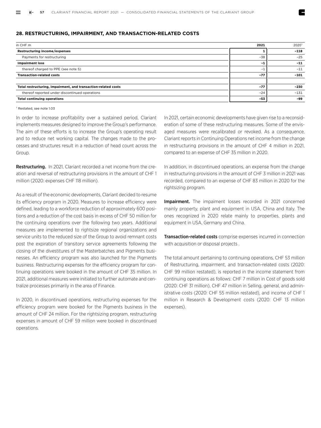# **28. RESTRUCTURING, IMPAIRMENT, AND TRANSACTION-RELATED COSTS**

| in CHF m                                                       | 2021  | 2020 <sup>1</sup> |
|----------------------------------------------------------------|-------|-------------------|
| Restructuring income/expenses                                  |       | $-118$            |
| Payments for restructuring                                     | $-38$ | $-25$             |
| <b>Impairment loss</b>                                         | $-1$  | $-11$             |
| thereof charged to PPE (see note 5)                            | $-1$  | $-11$             |
| <b>Transaction-related costs</b>                               | $-77$ | $-101$            |
|                                                                |       |                   |
| Total restructuring, impairment, and transaction-related costs | $-77$ | $-230$            |
| thereof reported under discontinued operations                 | $-24$ | $-131$            |
| <b>Total continuing operations</b>                             | $-53$ | -99               |

#### 1 Restated, see note 1.03

In order to increase profitability over a sustained period, Clariant implements measures designed to improve the Group's performance. The aim of these efforts is to increase the Group's operating result and to reduce net working capital. The changes made to the processes and structures result in a reduction of head count across the Group.

Restructuring. In 2021, Clariant recorded a net income from the creation and reversal of restructuring provisions in the amount of CHF 1 million (2020: expenses CHF 118 million).

As a result of the economic developments, Clariant decided to resume its efficiency program in 2020. Measures to increase efficiency were defined, leading to a workforce reduction of approximately 600 positions and a reduction of the cost basis in excess of CHF 50 million for the continuing operations over the following two years. Additional measures are implemented to rightsize regional organizations and service units to the reduced size of the Group to avoid remnant costs post the expiration of transitory service agreements following the closing of the divestitures of the Masterbatches and Pigments businesses. An efficiency program was also launched for the Pigments business. Restructuring expenses for the efficiency program for continuing operations were booked in the amount of CHF 35 million. In 2021, additional measures were initiated to further automate and centralize processes primarily in the area of Finance.

In 2020, in discontinued operations, restructuring expenses for the efficiency program were booked for the Pigments business in the amount of CHF 24 million. For the rightsizing program, restructuring expenses in amount of CHF 59 million were booked in discontinued operations.

In 2021, certain economic developments have given rise to a reconsideration of some of these restructuring measures. Some of the envisaged measures were recalibrated or revoked. As a consequence, Clariant reports in Continuing Operations net income from the change in restructuring provisions in the amount of CHF 4 million in 2021, compared to an expense of CHF 35 million in 2020.

In addition, in discontinued operations, an expense from the change in restructuring provisions in the amount of CHF 3 million in 2021 was recorded, compared to an expense of CHF 83 million in 2020 for the rightsizing program.

**Impairment.** The impaiment losses recorded in 2021 concerned mainly property, plant and equipment in USA, China and Italy. The ones recognized in 2020 relate mainly to properties, plants and equipment in USA, Germany and China.

**Transaction-related costs** comprise expenses incurred in connection with acquisition or disposal projects .

The total amount pertaining to continuing operations, CHF 53 million of Restructuring, impairment, and transaction-related costs (2020: CHF 99 million restated), is reported in the income statement from continuing operations as follows: CHF 7 million in Cost of goods sold (2020: CHF 31 million), CHF 47 million in Selling, general, and administrative costs (2020: CHF 55 million restated), and income of CHF 1 million in Research & Development costs (2020: CHF 13 million expenses).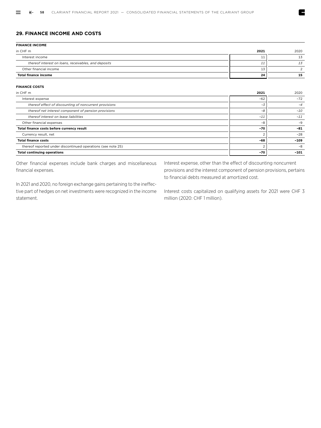# **29. FINANCE INCOME AND COSTS**

| <b>FINANCE INCOME</b>                                |      |      |
|------------------------------------------------------|------|------|
| in CHF m                                             | 2021 | 2020 |
| Interest income                                      | 11   | 13   |
| thereof interest on loans, receivables, and deposits | 11   | 13   |
| Other financial income                               | 13   |      |
| <b>Total finance income</b>                          | 24   | 15   |

#### **FINANCE COSTS**

| in CHF m                                                     | 2021  | 2020   |
|--------------------------------------------------------------|-------|--------|
| Interest expense                                             | $-62$ | $-72$  |
| thereof effect of discounting of noncurrent provisions       | $-3$  | $-4$   |
| thereof net interest component of pension provisions         | -8    | $-10$  |
| thereof interest on lease liabilities                        | $-11$ | $-11$  |
| Other financial expenses                                     | -8    | $-9$   |
| Total finance costs before currency result                   | $-70$ | $-81$  |
| Currency result, net                                         |       | $-28$  |
| <b>Total finance costs</b>                                   | -68   | $-109$ |
| thereof reported under discontinued operations (see note 25) |       | $-8$   |
| <b>Total continuing operations</b>                           | $-70$ | $-101$ |

Other financial expenses include bank charges and miscellaneous financial expenses.

In 2021 and 2020, no foreign exchange gains pertaining to the ineffective part of hedges on net investments were recognized in the income statement.

Interest expense, other than the effect of discounting noncurrent provisions and the interest component of pension provisions, pertains to financial debts measured at amortized cost.

Z

Interest costs capitalized on qualifying assets for 2021 were CHF 3 million (2020: CHF 1 million).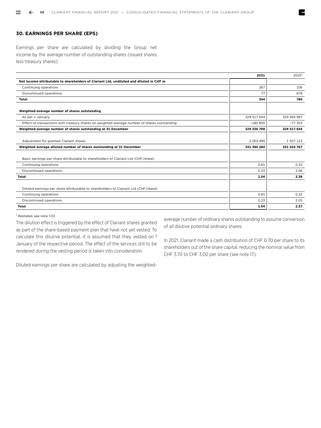# **30. EARNINGS PER SHARE (EPS)**

Earnings per share are calculated by dividing the Group net income by the average number of outstanding shares (issued shares less treasury shares).

|                                                                                              | 2021          | 2020        |
|----------------------------------------------------------------------------------------------|---------------|-------------|
| Net income attributable to shareholders of Clariant Ltd, undiluted and diluted in CHF m      |               |             |
| Continuing operations                                                                        | 267           | 106         |
| Discontinued operations                                                                      | 77            | 678         |
| <b>Total</b>                                                                                 | 344           | 784         |
|                                                                                              |               |             |
| Weighted-average number of shares outstanding                                                |               |             |
| As per 1 January                                                                             | 329 517 644   | 329 594 997 |
| Effect of transactions with treasury shares on weighted-average number of shares outstanding | $-180855$     | $-77353$    |
| Weighted-average number of shares outstanding at 31 December                                 | 329 336 789   | 329 517 644 |
|                                                                                              |               |             |
| Adjustment for granted Clariant shares                                                       | 2 0 5 3 4 9 5 | 1 507 123   |
| Weighted average diluted number of shares outstanding at 31 December                         | 331 390 284   | 331 024 767 |
|                                                                                              |               |             |
| Basic earnings per share attributable to shareholders of Clariant Ltd (CHF/share)            |               |             |
| Continuing operations                                                                        | 0.81          | 0.32        |
| Discontinued operations                                                                      | 0.23          | 2.06        |
| <b>Total</b>                                                                                 | 1.04          | 2.38        |
|                                                                                              |               |             |
| Diluted earnings per share attributable to shareholders of Clariant Ltd (CHF/share)          |               |             |
| Continuing operations                                                                        | 0.81          | 0.32        |
| Discontinued operations                                                                      | 0.23          | 2.05        |
| Total                                                                                        | 1.04          | 2.37        |

#### 1 Restated, see note 1.03

The dilution effect is triggered by the effect of Clariant shares granted as part of the share-based payment plan that have not yet vested. To calculate this dilutive potential, it is assumed that they vested on 1 January of the respective period. The effect of the services still to be rendered during the vesting period is taken into consideration.

average number of ordinary shares outstanding to assume conversion of all dilutive potential ordinary shares.

In 2021, Clariant made a cash distribution of CHF 0.70 per share to its shareholders out of the share capital, reducing the nominal value from CHF 3.70 to CHF 3.00 per share (see note 17).

Diluted earnings per share are calculated by adjusting the weighted-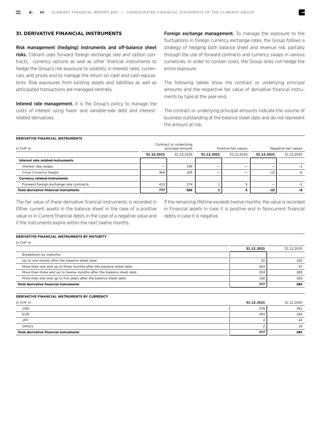# **31. DERIVATIVE FINANCIAL INSTRUMENTS**

Risk management (hedging) instruments and off-balance sheet risks. Clariant uses forward foreign exchange rate and option contracts, currency options as well as other financial instruments to hedge the Group's risk exposure to volatility in interest rates, currencies, and prices and to manage the return on cash and cash equivalents. Risk exposures from existing assets and liabilities as well as anticipated transactions are managed centrally.

Interest rate management. It is the Group's policy to manage the costs of interest using fixed- and variable-rate debt and interestrelated derivatives.

Foreign exchange management. To manage the exposure to the fluctuations in foreign currency exchange rates, the Group follows a strategy of hedging both balance sheet and revenue risk, partially through the use of forward contracts and currency swaps in various currencies. In order to contain costs, the Group does not hedge the entire exposure.

The following tables show the contract or underlying principal amounts and the respective fair value of derivative financial instruments by type at the year-end.

The contract or underlying principal amounts indicate the volume of business outstanding at the balance sheet date and do not represent the amount at risk.

#### **DERIVATIVE FINANCIAL INSTRUMENTS**

| in CHF m                                      | Contract or underlying<br>principal amount |            | Positive fair values     | Negative fair values |                          |            |
|-----------------------------------------------|--------------------------------------------|------------|--------------------------|----------------------|--------------------------|------------|
|                                               | 31.12.2021                                 | 31.12.2020 | 31.12.2021               | 31.12.2020           | 31.12.2021               | 31.12.2020 |
| Interest rate related-instruments             |                                            |            |                          |                      |                          |            |
| Interest rate swaps                           | $\overline{\phantom{a}}$                   | 146        | $\overline{\phantom{a}}$ | -                    | $\overline{\phantom{a}}$ | $-1$       |
| Cross Currency Swaps                          | 364                                        | 165        |                          | -                    | $-22$                    | $-6$       |
| <b>Currency related-instruments</b>           |                                            |            |                          |                      |                          |            |
| Forward foreign exchange rate contracts       | 413                                        | 274        |                          |                      |                          | -1         |
| <b>Total derivative financial instruments</b> | 777                                        | 585        |                          |                      | $-22$                    | -8         |

The fair value of these derivative financial instruments is recorded in Other current assets in the balance sheet in the case of a positive value or in Current financial debts in the case of a negative value and if the instruments expire within the next twelve months.

If the remaining lifetime exceeds twelve months, the value is recorded in Financial assets in case it is positive and in Noncurrent financial debts in case it is negative.

#### **DERIVATIVE FINANCIAL INSTRUMENTS BY MATURITY**

in CHF m

|                                                                      | 31.12.2021 | 31.12.2020 |
|----------------------------------------------------------------------|------------|------------|
| Breakdown by maturity:                                               |            |            |
| Up to one month after the balance sheet date                         | 32         | 100        |
| More than one and up to three months after the balance sheet date    | 263        | 37         |
| More than three and up to twelve months after the balance sheet date | 324        | 283        |
| More than one and up to five years after the balance sheet date      | 158        | 165        |
| Total derivative financial instruments                               | 777        | 585        |

#### **DERIVATIVE FINANCIAL INSTRUMENTS BY CURRENCY**

| in CHF m                                      | 31.12.2021 | 31.12.2020 |
|-----------------------------------------------|------------|------------|
| USD                                           | 278        | 361        |
| <b>EUR</b>                                    | 493        | 164        |
| <b>JPY</b>                                    |            | 44         |
| Others                                        |            | 16         |
| <b>Total derivative financial instruments</b> | 777        | 585        |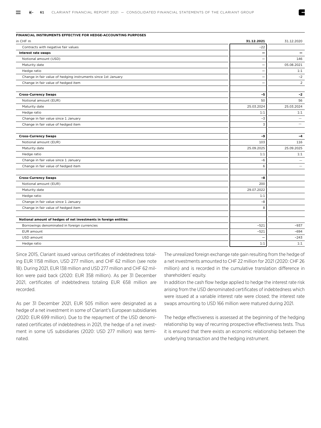| FINANCIAL INSTRUMENTS EFFECTIVE FOR HEDGE-ACCOUNTING PURPOSES     |                          |                          |
|-------------------------------------------------------------------|--------------------------|--------------------------|
| in CHF m                                                          | 31.12.2021               | 31.12.2020               |
| Contracts with negative fair values                               | $-22$                    |                          |
| Interest rate swaps                                               |                          |                          |
| Notional amount (USD)                                             | $\overline{\phantom{0}}$ | 146                      |
| Maturity date                                                     | $\equiv$                 | 05.08.2021               |
| Hedge ratio                                                       |                          | 1:1                      |
| Change in fair value of hedging instruments since 1st January     |                          | $-2$                     |
| Change in fair value of hedged item                               | $\overline{\phantom{0}}$ | $\overline{2}$           |
| <b>Cross-Currency Swaps</b>                                       | $-5$                     | $-2$                     |
| Notional amount (EUR)                                             | 50                       | 56                       |
| Maturity date                                                     | 25.03.2024               | 25.03.2024               |
| Hedge ratio                                                       | 1:1                      | 1:1                      |
| Change in fair value since 1 January                              | $-3$                     |                          |
| Change in fair value of hedged item                               | 3                        | $\overline{\phantom{0}}$ |
| <b>Cross-Currency Swaps</b>                                       | -9                       | $-4$                     |
| Notional amount (EUR)                                             | 103                      | 116                      |
| Maturity date                                                     | 25.09.2025               | 25.09.2025               |
| Hedge ratio                                                       | 1:1                      | 1:1                      |
| Change in fair value since 1 January                              | $-6$                     | $\overline{\phantom{0}}$ |
| Change in fair value of hedged item                               | 6                        |                          |
| <b>Cross-Currency Swaps</b>                                       | -8                       |                          |
| Notional amount (EUR)                                             | 200                      |                          |
| Maturity date                                                     | 29.07.2022               |                          |
| Hedge ratio                                                       | 1:1                      |                          |
| Change in fair value since 1 January                              | -8                       |                          |
| Change in fair value of hedged item                               | 8                        |                          |
| Notional amount of hedges of net investments in foreign entities: |                          |                          |
| Borrowings denominated in foreign currencies                      | $-521$                   | $-937$                   |
| EUR amount                                                        | $-521$                   | -694                     |
| USD amount                                                        |                          | $-243$                   |
| Hedge ratio                                                       | 1:1                      | 1:1                      |
|                                                                   |                          |                          |

Since 2015, Clariant issued various certificates of indebtedness totaling EUR 1 158 million, USD 277 million, and CHF 62 million (see note 18). During 2021, EUR 138 million and USD 277 million and CHF 62 million were paid back (2020: EUR 358 million). As per 31 December 2021, certificates of indebtedness totaling EUR 658 million are recorded.

As per 31 December 2021, EUR 505 million were designated as a hedge of a net investment in some of Clariant's European subsidiaries (2020: EUR 699 million). Due to the repayment of the USD denominated certificates of indebtedness in 2021, the hedge of a net investment in some US subsidiaries (2020: USD 277 million) was terminated.

The unrealized foreign exchange rate gain resulting from the hedge of a net investments amounted to CHF 22 million for 2021 (2020: CHF 26 million) and is recorded in the cumulative translation difference in shareholders' equity.

In addition the cash flow hedge applied to hedge the interest rate risk arising from the USD denominated certificates of indebtedness which were issued at a variable interest rate were closed; the interest rate swaps amounting to USD 166 million were matured during 2021.

The hedge effectiveness is assessed at the beginning of the hedging relationship by way of recurring prospective effectiveness tests. Thus it is ensured that there exists an economic relationship between the underlying transaction and the hedging instrument.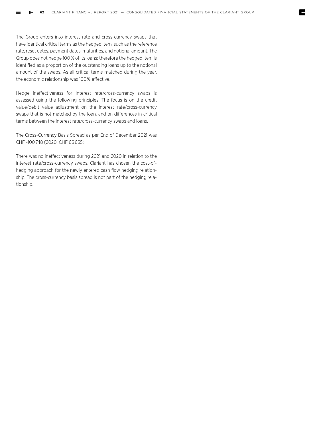The Group enters into interest rate and cross-currency swaps that have identical critical terms as the hedged item, such as the reference rate, reset dates, payment dates, maturities, and notional amount. The Group does not hedge 100 % of its loans; therefore the hedged item is identified as a proportion of the outstanding loans up to the notional amount of the swaps. As all critical terms matched during the year, the economic relationship was 100 % effective.

Hedge ineffectiveness for interest rate/cross-currency swaps is assessed using the following principles: The focus is on the credit value/debit value adjustment on the interest rate/cross-currency swaps that is not matched by the loan, and on differences in critical terms between the interest rate/cross-currency swaps and loans.

The Cross-Currency Basis Spread as per End of December 2021 was CHF -100 748 (2020: CHF 66 665).

There was no ineffectiveness during 2021 and 2020 in relation to the interest rate/cross-currency swaps. Clariant has chosen the cost-ofhedging approach for the newly entered cash flow hedging relationship. The cross-currency basis spread is not part of the hedging relationship.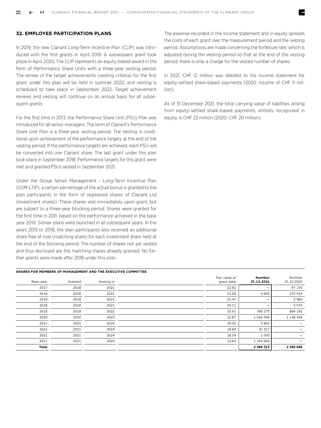# **32. EMPLOYEE PARTICIPATION PLANS**

In 2019, the new Clariant Long-Term Incentive Plan (CLIP) was introduced with the first grants in April 2019. A subsequent grant took place in April 2020. The CLIP represents an equity-based award in the form of Performance Share Units with a three-year vesting period. The review of the target achievements (vesting criteria) for the first grant under this plan will be held in summer 2022, and vesting is scheduled to take place in September 2022. Target achievement reviews and vesting will continue on an annual basis for all subsequent grants.

For the first time in 2013, the Performance Share Unit (PSU) Plan was introduced for all senior managers. The term of Clariant's Performance Share Unit Plan is a three-year vesting period. The vesting is conditional upon achievement of the performance targets at the end of the vesting period. If the performance targets are achieved, each PSU will be converted into one Clariant share. The last grant under this plan took place in September 2018. Performance targets for this grant were met and granted PSUs vested in September 2021.

Under the Group Senior Management – Long-Term Incentive Plan (GSM-LTIP), a certain percentage of the actual bonus is granted to the plan participants in the form of registered shares of Clariant Ltd (investment shares). These shares vest immediately upon grant, but are subject to a three-year blocking period. Shares were granted for the first time in 2011, based on the performance achieved in the base year 2010. Similar plans were launched in all subsequent years. In the years 2013 to 2018, the plan participants also received an additional share free of cost (matching share) for each investment share held at the end of the blocking period. The number of shares not yet vested and thus disclosed are the matching shares already granted. No further grants were made after 2018 under this plan.

# **SHARES FOR MEMBERS OF MANAGEMENT AND THE EXECUTIVE COMMITTEE**

The expense recorded in the income statement and in equity spreads the costs of each grant over the measurement period and the vesting period. Assumptions are made concerning the forfeiture rate, which is adjusted during the vesting period so that at the end of the vesting period, there is only a charge for the vested number of shares.

In 2021, CHF 12 million was debited to the income statement for equity-settled share-based payments (2020: income of CHF 11 million).

As of 31 December 2021, the total carrying value of liabilities arising from equity-settled share-based payments, entirely recognized in equity, is CHF 22 million (2020: CHF 20 million).

| Number<br>Number<br>31.12.2020<br>31.12.2021 | Fair value at<br>grant date | Vesting in | Granted | Base year    |
|----------------------------------------------|-----------------------------|------------|---------|--------------|
| 97 100                                       | 22.82                       | 2021       | 2018    | 2017         |
| 4 6 6 5<br>270 024                           | 23.58                       | 2021       | 2018    | 2018         |
| 3 9 6 0                                      | 21.47                       | 2021       | 2018    | 2018         |
| 2074                                         | 24.11                       | 2021       | 2018    | 2018         |
| 884 192<br>785 275                           | 15.91                       | 2022       | 2019    | 2019         |
| 1 1 38 3 48<br>1 025 099                     | 12.87                       | 2023       | 2020    | 2020         |
| 3891<br>$\qquad \qquad -$                    | 19.20                       | 2024       | 2021    | 2021         |
| 20 317<br>$\qquad \qquad -$                  | 18.84                       | 2024       | 2021    | 2021         |
| 1 0 0 0<br>-                                 | 18.34                       | 2024       | 2021    | 2021         |
| 1 154 066                                    | 13.64                       | 2024       | 2021    | 2021         |
| 2 994 313<br>2 395 698                       |                             |            |         | <b>Total</b> |
|                                              |                             |            |         |              |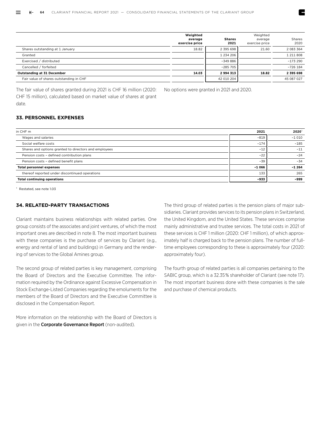|                                         | Weighted<br>average<br>exercise price | <b>Shares</b><br>2021 | Weighted<br>average<br>exercise price | Shares<br>2020 |
|-----------------------------------------|---------------------------------------|-----------------------|---------------------------------------|----------------|
| Shares outstanding at 1 January         | 18.82                                 | 2 395 698             | 21.60                                 | 2 083 364      |
| Granted                                 |                                       | 1 2 3 4 2 0 6         |                                       | 1 211 808      |
| Exercised / distributed                 |                                       | -349 886              |                                       | $-173290$      |
| Cancelled / forfeited                   |                                       | $-285705$             |                                       | $-726$ 184     |
| <b>Outstanding at 31 December</b>       | 14.03                                 | 2994313               | 18.82                                 | 2 395 698      |
| Fair value of shares outstanding in CHF |                                       | 42 010 204            |                                       | 45 087 027     |

The fair value of shares granted during 2021 is CHF 16 million (2020: CHF 15 million), calculated based on market value of shares at grant date.

No options were granted in 2021 and 2020.

# **33. PERSONNEL EXPENSES**

| in CHF m                                              | 2021    | 2020    |
|-------------------------------------------------------|---------|---------|
| Wages and salaries                                    | $-819$  | $-1010$ |
| Social welfare costs                                  | $-174$  | $-185$  |
| Shares and options granted to directors and employees | $-12$   | $-11$   |
| Pension costs - defined contribution plans            | $-22$   | $-24$   |
| Pension costs - defined benefit plans                 | $-39$   | $-34$   |
| <b>Total personnel expenses</b>                       | $-1066$ | $-1264$ |
| thereof reported under discontinued operations        | 133     | 265     |
| <b>Total continuing operations</b>                    | $-933$  | -999    |

1 Restated, see note 1.03

# **34. RELATED-PARTY TRANSACTIONS**

Clariant maintains business relationships with related parties. One group consists of the associates and joint ventures, of which the most important ones are described in note 8. The most important business with these companies is the purchase of services by Clariant (e.g., energy and rental of land and buildings) in Germany and the rendering of services to the Global Amines group.

The second group of related parties is key management, comprising the Board of Directors and the Executive Committee. The information required by the Ordinance against Excessive Compensation in Stock Exchange-Listed Companies regarding the emoluments for the members of the Board of Directors and the Executive Committee is disclosed in the Compensation Report.

More information on the relationship with the Board of Directors is given in the Corporate Governance Report (non-audited).

The third group of related parties is the pension plans of major subsidiaries. Clariant provides services to its pension plans in Switzerland, the United Kingdom, and the United States. These services comprise mainly administrative and trustee services. The total costs in 2021 of these services is CHF 1 million (2020: CHF 1 million), of which approximately half is charged back to the pension plans. The number of fulltime employees corresponding to these is approximately four (2020: approximately four).

The fourth group of related parties is all companies pertaining to the SABIC group, which is a 32.35 % shareholder of Clariant (see note 17). The most important business done with these companies is the sale and purchase of chemical products.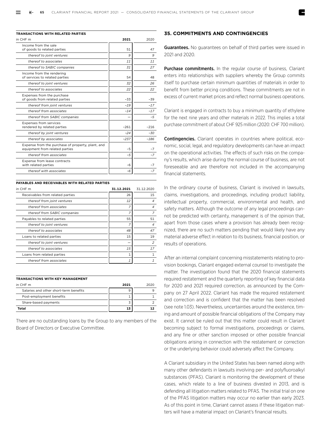| in CHF m                                                                            | 2021   | 2020   |
|-------------------------------------------------------------------------------------|--------|--------|
| Income from the sale<br>of goods to related parties                                 | 51     | 47     |
| thereof to joint ventures                                                           | 9      | 9      |
| thereof to associates                                                               | 11     | 11     |
| thereof to SABIC companies                                                          | 31     | 27     |
| Income from the rendering<br>of services to related parties                         | 54     | 48     |
| thereof to joint ventures                                                           | 32     | 26     |
| thereof to associates                                                               | 22     | 22     |
| Expenses from the purchase<br>of goods from related parties                         | $-33$  | $-39$  |
| thereof from joint ventures                                                         | $-19$  | $-17$  |
| thereof from associates                                                             | $-14$  | $-17$  |
| thereof from SABIC companies                                                        |        | $-5$   |
| <b>Expenses from services</b><br>rendered by related parties                        | $-261$ | $-216$ |
| thereof by joint ventures                                                           | $-24$  | $-30$  |
| thereof by associates                                                               | $-237$ | $-186$ |
| Expense from the purchase of property, plant, and<br>equipment from related parties | $-5$   | $-7$   |
| thereof from associates                                                             | $-5$   | $-7$   |
| Expense from lease contracts<br>with related parties                                | $-6$   | $-7$   |
| thereof with associates                                                             | -6     | -7     |

| in CHF m                         | 31.12.2021     | 31.12.2020     |
|----------------------------------|----------------|----------------|
| Receivables from related parties | 26             | 15             |
| thereof from joint ventures      | 12             |                |
| thereof from associates          | $\overline{z}$ |                |
| thereof from SABIC companies     | 7              | 7              |
| Payables to related parties      | 55             | 51             |
| thereof to joint ventures        | 7              | $\overline{4}$ |
| thereof to associates            | 48             | 47             |
| Loans to related parties         | 15             | 19             |
| thereof to joint ventures        |                | $\overline{z}$ |
| thereof to associates            | 15             | 17             |
| Loans from related parties       | 1              |                |
| thereof from associates          | 1              |                |

#### **TRANSACTIONS WITH KEY MANAGEMENT**

| in CHF m                               | 2021 | วกวก |
|----------------------------------------|------|------|
| Salaries and other short-term benefits |      |      |
| Post-employment benefits               |      |      |
| Share-based payments                   |      |      |
| Total                                  | 13   |      |

There are no outstanding loans by the Group to any members of the Board of Directors or Executive Committee.

# **35. COMMITMENTS AND CONTINGENCIES**

Guarantees. No guarantees on behalf of third parties were issued in 2021 and 2020.

Purchase commitments. In the regular course of business, Clariant enters into relationships with suppliers whereby the Group commits itself to purchase certain minimum quantities of materials in order to benefit from better pricing conditions. These commitments are not in excess of current market prices and reflect normal business operations.

Clariant is engaged in contracts to buy a minimum quantity of ethylene for the next nine years and other materials in 2022. This implies a total purchase commitment of about CHF 925 million (2020: CHF 700 million).

Contingencies. Clariant operates in countries where political, economic, social, legal, and regulatory developments can have an impact on the operational activities. The effects of such risks on the company's results, which arise during the normal course of business, are not foreseeable and are therefore not included in the accompanying financial statements.

In the ordinary course of business, Clariant is involved in lawsuits, claims, investigations, and proceedings, including product liability, intellectual property, commercial, environmental and health, and safety matters. Although the outcome of any legal proceedings cannot be predicted with certainty, management is of the opinion that, apart from those cases where a provision has already been recognized, there are no such matters pending that would likely have any material adverse effect in relation to its business, financial position, or results of operations.

After an internal complaint concerning misstatements relating to provision bookings, Clariant engaged external counsel to investigate the matter. The investigation found that the 2020 financial statements required restatement and the quarterly reporting of key financial data for 2020 and 2021 required correction, as announced by the Company on 27 April 2022. Clariant has made the required restatement and correction and is confident that the matter has been resolved (see note 1.03). Nevertheless, uncertainties around the existence, timing and amount of possible financial obligations of the Company may exist. It cannot be ruled out that this matter could result in Clariant becoming subject to formal investigations, proceedings or claims, and any fine or other sanction imposed or other possible financial obligations arising in connection with the restatement or correction or the underlying behavior could adversely affect the Company.

A Clariant subsidiary in the United States has been named along with many other defendants in lawsuits involving per- and polyfluoroalkyl substances (PFAS). Clariant is monitoring the development of these cases, which relate to a line of business divested in 2013, and is defending all litigation matters related to PFAS. The initial trial on one of the PFAS litigation matters may occur no earlier than early 2023. As of this point in time, Clariant cannot assess if these litigation matters will have a material impact on Clariant's financial results.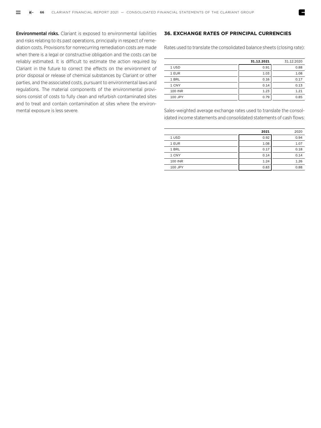Environmental risks. Clariant is exposed to environmental liabilities and risks relating to its past operations, principally in respect of remediation costs. Provisions for nonrecurring remediation costs are made when there is a legal or constructive obligation and the costs can be reliably estimated. It is difficult to estimate the action required by Clariant in the future to correct the effects on the environment of prior disposal or release of chemical substances by Clariant or other parties, and the associated costs, pursuant to environmental laws and regulations. The material components of the environmental provisions consist of costs to fully clean and refurbish contaminated sites and to treat and contain contamination at sites where the environmental exposure is less severe.

# **36. EXCHANGE RATES OF PRINCIPAL CURRENCIES**

Rates used to translate the consolidated balance sheets (closing rate):

|         | 31.12.2021 | 31.12.2020 |
|---------|------------|------------|
| 1 USD   | 0.91       | 0.88       |
| 1 EUR   | 1.03       | 1.08       |
| 1 BRL   | 0.16       | 0.17       |
| 1 CNY   | 0.14       | 0.13       |
| 100 INR | 1.23       | 1.21       |
| 100 JPY | 0.79       | 0.85       |

Sales-weighted average exchange rates used to translate the consolidated income statements and consolidated statements of cash flows:

|         | 2021 | 2020 |
|---------|------|------|
| 1 USD   | 0.92 | 0.94 |
| 1 EUR   | 1.08 | 1.07 |
| 1 BRL   | 0.17 | 0.18 |
| 1 CNY   | 0.14 | 0.14 |
| 100 INR | 1.24 | 1.26 |
| 100 JPY | 0.83 | 0.88 |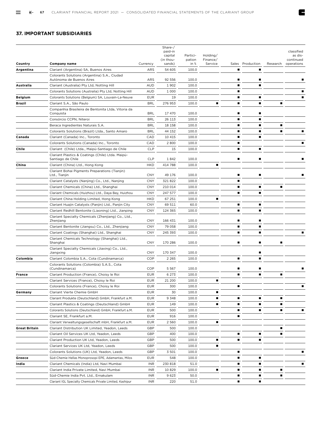E

# **37. IMPORTANT SUBSIDIARIES**

|                |                                                                          |            | Share-/<br>paid-in<br>capital<br>(in thou- | Partici-<br>pation | Holding/<br>Finance/ |   |                  |          | classified<br>as dis-<br>continued |
|----------------|--------------------------------------------------------------------------|------------|--------------------------------------------|--------------------|----------------------|---|------------------|----------|------------------------------------|
| Country        | Company name                                                             | Currency   | sands)                                     | in %               | Service              |   | Sales Production | Research | operations                         |
| Argentina      | Clariant (Argentina) SA, Buenos Aires                                    | ARS        | 54 605                                     | 100.0              |                      |   | ٠                |          |                                    |
|                | Colorants Solutions (Argentina) S.A., Ciudad<br>Autónoma de Buenos Aires | ARS        | 92 556                                     | 100.0              |                      |   |                  |          |                                    |
| Australia      | Clariant (Australia) Pty Ltd, Notting Hill                               | AUD        | 1902                                       | 100.0              |                      |   | п                |          |                                    |
|                | Colorants Solutions (Australia) Pty Ltd, Notting Hill                    | <b>AUD</b> | 1 0 0 0                                    | 100.0              |                      | ■ |                  |          |                                    |
| <b>Belgium</b> | Colorants Solutions (Belgium) SA, Louvain-La-Neuve                       | <b>EUR</b> | 19                                         | 100.0              |                      | ■ | ٠                |          |                                    |
| Brazil         | Clariant S.A., São Paulo                                                 | <b>BRL</b> | 276 953                                    | 100.0              | ■                    | ■ | ٠                |          |                                    |
|                | Companhia Brasileira de Bentonita Ltda, Vitoria da<br>Conquista          | <b>BRL</b> | 17 470                                     | 100.0              |                      |   | ▪                |          |                                    |
|                | Consórcio CCPN, Niteroi                                                  | <b>BRL</b> | 26 113                                     | 100.0              |                      |   | ▪                |          |                                    |
|                | Beraca Ingredientes Naturais S.A.                                        | <b>BRL</b> | 18 158                                     | 100.0              |                      |   | п                |          |                                    |
|                | Colorants Solutions (Brazil) Ltda., Santo Amaro                          | <b>BRL</b> | 44 152                                     | 100.0              |                      | ■ | ٠                |          |                                    |
| Canada         | Clariant (Canada) Inc., Toronto                                          | CAD        | 10 415                                     | 100.0              |                      | ■ | ٠                |          |                                    |
|                | Colorants Solutions (Canada) Inc., Toronto                               | CAD        | 2800                                       | 100.0              |                      | ■ |                  |          |                                    |
| Chile          | Clariant (Chile) Ltda., Maipú-Santiago de Chile                          | <b>CLP</b> | 15                                         | 100.0              |                      |   | ٠                |          |                                    |
|                | Clariant Plastics & Coatings (Chile) Ltda. Maipú-<br>Santiago de Chile   | <b>CLP</b> | 1842                                       | 100.0              |                      |   |                  |          |                                    |
| China          | Clariant (China) Ltd., Hong Kong                                         | <b>HKD</b> | 414 788                                    | 100.0              | ■                    |   |                  |          |                                    |
|                | Clariant Bohai Pigments Preparations (Tianjin)<br>Ltd., Tianjin          | <b>CNY</b> | 49 176                                     | 100.0              |                      |   |                  |          |                                    |
|                | Clariant Catalysts (Nanjing) Co., Ltd., Nanjing                          | <b>CNY</b> | 321 822                                    | 100.0              |                      |   |                  |          |                                    |
|                | Clariant Chemicals (China) Ltd., Shanghai                                | <b>CNY</b> | 210 014                                    | 100.0              |                      |   | ٠                |          |                                    |
|                | Clariant Chemicals (Huizhou) Ltd., Daya Bay, Huizhou                     | <b>CNY</b> | 247 577                                    | 100.0              |                      |   | ٠                |          |                                    |
|                | Clariant China Holding Limited, Hong Kong                                | <b>HKD</b> | 67 251                                     | 100.0              | Ë                    |   |                  |          |                                    |
|                | Clariant Huajin Catalysts (Panjin) Ltd., Panjin City                     | <b>CNY</b> | 69 511                                     | 60.0               |                      | ■ | ٠                |          |                                    |
|                | Clariant Redhill Bentonite (Liaoning) Ltd., Jianping                     | <b>CNY</b> | 124 365                                    | 100.0              |                      | ■ | ٠                |          |                                    |
|                | Clariant Specialty Chemicals (Zhenjiang) Co., Ltd.,<br>Zhenjiang         | <b>CNY</b> | 166 431                                    | 100.0              |                      |   |                  |          |                                    |
|                | Clariant Bentonite (Jiangsu) Co., Ltd., Zhenjiang                        | <b>CNY</b> | 79 058                                     | 100.0              |                      |   | ٠                |          |                                    |
|                | Clariant Coatings (Shanghai) Ltd., Shanghai                              | <b>CNY</b> | 245 393                                    | 100.0              |                      | ■ | ٠                |          |                                    |
|                | Clariant Chemicals Technology (Shanghai) Ltd.,<br>Shanghai               | <b>CNY</b> | 170 286                                    | 100.0              |                      |   |                  |          |                                    |
|                | Clariant Specialty Chemicals (Jiaxing) Co., Ltd.,<br>Jiangxing           | <b>CNY</b> | 170 347                                    | 100.0              |                      |   | ٠                |          |                                    |
| Colombia       | Clariant Colombia S.A., Cota (Cundinamarca)                              | COP        | 2 2 6 5                                    | 100.0              |                      | ▪ | ٠                |          |                                    |
|                | Colorants Solutions (Colombia) S.A.S., Cota<br>(Cundinamarca)            | COP        | 5 5 6 7                                    | 100.0              |                      |   |                  |          |                                    |
| <b>France</b>  | Clariant Production (France), Choisy le Roi                              | <b>EUR</b> | 6 2 7 3                                    | 100.0              |                      |   | ▪                |          |                                    |
|                | Clariant Services (France), Choisy le Roi                                | <b>EUR</b> | 21 200                                     | 100.0              | ■                    |   |                  |          |                                    |
|                | Colorants Solutions (France), Choisy le Roi                              | <b>EUR</b> | 300                                        | T00.0              |                      |   |                  |          |                                    |
| Germany        | Clariant Vierte Chemie GmbH                                              | <b>EUR</b> | 30                                         | 100.0              | ٠                    |   |                  |          |                                    |
|                | Clariant Produkte (Deutschland) GmbH, Frankfurt a.M.                     | <b>EUR</b> | 9 3 4 8                                    | 100.0              | ■                    |   | ▪                |          |                                    |
|                | Clariant Plastics & Coatings (Deutschland) GmbH                          | <b>EUR</b> | 149                                        | 100.0              | ٠                    | ■ | ٠                |          |                                    |
|                | Colorants Solutions (Deutschland) GmbH, Frankfurt a.M.                   | <b>EUR</b> | 500                                        | 100.0              |                      | ■ | ▪                |          |                                    |
|                | Clariant SE, Frankfurt a.M.                                              | <b>EUR</b> | 916                                        | 100.0              |                      |   |                  |          |                                    |
|                | Clariant Verwaltungsgesellschaft mbH, Frankfurt a.M.                     | <b>EUR</b> | 2 5 6 0                                    | 100.0              | Ë                    |   |                  |          |                                    |
| Great Britain  | Clariant Distribution UK Limited, Yeadon, Leeds                          | GBP        | 500                                        | 100.0              |                      |   |                  |          |                                    |
|                | Clariant Oil Services UK Ltd, Yeadon, Leeds                              | GBP        | 400                                        | 100.0              |                      | ■ | ٠                |          |                                    |
|                | Clariant Production UK Ltd, Yeadon, Leeds                                | GBP        | 500                                        | 100.0              | ٠                    | ■ | ٠                |          |                                    |
|                | Clariant Services UK Ltd, Yeadon, Leeds                                  | GBP        | 500                                        | 100.0              | ٠                    |   |                  |          |                                    |
|                | Colorants Solutions (UK) Ltd, Yeadon, Leeds                              | GBP        | 3 5 0 1                                    | 100.0              |                      |   |                  |          |                                    |
| Greece         | Süd-Chemie Hellas Monoprosopi EPE, Adamantas, Milos                      | <b>EUR</b> | 548                                        | 100.0              |                      |   |                  |          |                                    |
| India          | Clariant Chemicals (India) Ltd, Navi Mumbai                              | <b>INR</b> | 230 818                                    | 51.0               |                      |   | ▪                |          |                                    |
|                | Clariant India Private Limited, Navi Mumbai                              | <b>INR</b> | 10 829                                     | 100.0              | ٠                    | п | ٠                | ٠        |                                    |
|                | Süd-Chemie India Pvt. Ltd., Ernakulam                                    | <b>INR</b> | 9623                                       | 50.0               |                      |   | ▪                |          |                                    |
|                | Clariant IGL Specialty Chemicals Private Limited, Kashipur               | <b>INR</b> | 220                                        | 51.0               |                      |   | ■                |          |                                    |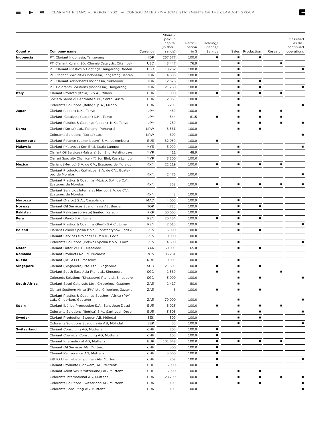|              |                                                                                |            | Share-/<br>paid-in<br>capital<br>(in thou- | Partici-<br>pation | Holding/<br>Finance/ |                |                  |          | classified<br>as dis-<br>continued |
|--------------|--------------------------------------------------------------------------------|------------|--------------------------------------------|--------------------|----------------------|----------------|------------------|----------|------------------------------------|
| Country      | Company name                                                                   | Currency   | sands)                                     | in %               | Service              |                | Sales Production | Research | operations                         |
| Indonesia    | PT. Clariant Indonesia, Tangerang                                              | <b>IDR</b> | 267 577                                    | 100.0              | ■                    |                | ▪                |          |                                    |
|              | PT. Clariant Kujang Süd-Chemie Catalysts, Cikampek                             | <b>USD</b> | 3 4 4 7                                    | 76.9               |                      |                |                  |          |                                    |
|              | PT. Clariant Plastics & Coatings, Tangerang Banten                             | <b>USD</b> | 10 282                                     | 100.0              |                      |                |                  |          |                                    |
|              | PT. Clariant Specialties Indonesia, Tangerang Banten                           | <b>IDR</b> | 4803                                       | 100.0              |                      |                |                  |          |                                    |
|              | PT. Clariant Adsorbents Indonesia, Sukabumi                                    | IDR        | 12 375                                     | 100.0              |                      |                | ■                |          |                                    |
|              | P.T. Colorants Solutions (Indonesia), Tangerang                                | IDR        | 21 750                                     | 100.0              |                      |                | ■                |          |                                    |
| Italy        | Clariant Prodotti (Italia) S.p.A., Milano                                      | <b>EUR</b> | 1 0 0 0                                    | 100.0              | ■                    | ■              |                  |          |                                    |
|              | Società Sarda di Bentonite S.r.l., Santa Giusta                                | <b>EUR</b> | 2 0 5 0                                    | 100.0              |                      |                |                  |          |                                    |
|              | Colorants Solutions (Italia) S.p.A., Milano                                    | <b>EUR</b> | 5 200                                      | 100.0              |                      |                |                  |          |                                    |
| Japan        | Clariant (Japan) K.K., Tokyo                                                   | <b>JPY</b> | 450                                        | 100.0              |                      |                | ■                | п        |                                    |
|              | Clariant Catalysts (Japan) K.K., Tokyo                                         | <b>JPY</b> | 544                                        | 61.5               | ■                    | п              | ■                | п        |                                    |
|              | Clariant Plastics & Coatings (Japan) K.K., Tokyo                               | <b>JPY</b> | 250                                        | 100.0              |                      | ■              | ■                | п        |                                    |
| Korea        | Clariant (Korea) Ltd., Pohang, Pohang-Si                                       | <b>KRW</b> | 6 3 6 1                                    | 100.0              |                      | ■              | ■                |          |                                    |
|              | Colorants Solutions (Korea) Ltd.                                               | <b>KRW</b> | 600                                        | 100.0              |                      |                |                  |          |                                    |
| Luxemburg    | Clariant Finance (Luxembourg) S.A., Luxemburg                                  | <b>EUR</b> | 82 030                                     | 100.0              |                      |                |                  |          |                                    |
| Malaysia     | Clariant (Malaysia) Sdn Bhd, Kuala Lumpur                                      | MYR        | 5 0 0 0                                    | 100.0              |                      |                |                  |          |                                    |
|              | Clariant Oil Services (Malaysia) Sdn Bhd, Petaling Jaya                        | <b>MYR</b> | 411                                        | 48.9               |                      | $\blacksquare$ |                  |          |                                    |
|              | Clariant Specialty Chemical (M) Sdn Bhd, Kuala Lumpur                          | MYR        | 3 3 0 0                                    | 100.0              |                      |                |                  |          |                                    |
| Mexico       | Clariant (Mexico) S.A. de C.V., Ecatepec de Morelos                            | <b>MXN</b> | 22 219                                     | 100.0              |                      |                |                  |          |                                    |
|              | Clariant Productos Químicos, S.A. de C.V., Ecate-<br>pec de Morelos            | <b>MXN</b> | 2 4 7 5                                    | 100.0              |                      |                |                  |          |                                    |
|              | Clariant Plastics & Coatings México, S.A. de C.V.,<br>Ecatepec de Morelos      | MXN        | 358                                        | 100.0              |                      |                |                  |          |                                    |
|              | Clariant Servicios Integrales México, S.A. de C.V.,<br>Ecatepec de Morelos     | <b>MXN</b> | 3                                          | 100.0              |                      |                |                  |          |                                    |
| Morocco      | Clariant (Maroc) S.A., Casablanca                                              | MAD        | 4 0 0 0                                    | 100.0              |                      | ■              |                  |          |                                    |
| Norway       | Clariant Oil Services Scandinavia AS, Bergen                                   | <b>NOK</b> | 4 7 2 5                                    | 100.0              |                      |                |                  |          |                                    |
| Pakistan     | Clariant Pakistan (private) limited, Karachi                                   | <b>PKR</b> | 50 000                                     | 100.0              |                      |                |                  |          |                                    |
| Peru         | Clariant (Perú) S.A., Lima                                                     | PEN        | 20 454                                     | 100.0              |                      |                |                  |          |                                    |
|              | Clariant Plastics & Coatings (Perú) S.A.C., Lima                               | PEN        | 2 0 1 0                                    | 100.0              |                      | г              |                  |          |                                    |
| Poland       | Clariant Poland Spolka z.o.o., Konstantynów Łódzki                             | PLN        | 3 0 0 0                                    | 100.0              |                      | п              | ■                |          |                                    |
|              | Clariant Services (Poland) SP. z o.o., Łódź                                    | <b>PLN</b> | 10 000                                     | 100.0              |                      |                |                  |          |                                    |
|              | Colorants Solutions (Polska) Spolka z o.o., Łódź                               | <b>PLN</b> | 4 500                                      | 100.0              |                      |                |                  |          |                                    |
| Qatar        | Clariant Qatar W.L.L., Mesaieed                                                | QAR        | 30 000                                     | 65.0               |                      | ■              |                  |          |                                    |
| Romania      | Clariant Products Ro Srl, Bucarest                                             | <b>RON</b> | 105 261                                    | 100.0              |                      |                |                  |          |                                    |
| Russia       | Clariant (RUS) LLC, Moscow                                                     | <b>RUB</b> | 19 000                                     | 100.0              |                      |                |                  |          |                                    |
| Singapore    | Clariant (Singapore) Pte. Ltd., Singapore                                      | SGD        | 21 500                                     | 100.0              | п                    | Ξ              | п                |          |                                    |
|              | Clariant South East Asia Pte. Ltd., Singapore                                  | SGD        | 1 5 6 0                                    | 100.0              |                      |                |                  |          |                                    |
|              | Colorants Solutions (Singapore) Pte. Ltd., Singapore                           | SGD        | 3 0 0 0                                    | 100.0              |                      | ■              |                  |          |                                    |
| South Africa | Clariant Sasol Catalysts Ltd., Chloorkop, Gauteng                              | ZAR        | 1417                                       | 80.0               |                      |                |                  |          |                                    |
|              | Clariant Southern Africa (Pty) Ltd. Chloorkop, Gauteng                         | ZAR        | 6                                          | 100.0              |                      | ■              |                  |          |                                    |
|              | Clariant Plastics & Coatings Southern Africa (Pty)<br>Ltd., Chloorkop, Gauteng | ZAR        | 70 000                                     | 100.0              |                      |                |                  |          |                                    |
| Spain        | Clariant Ibérica Producción S.A., Sant Joan Despi                              | <b>EUR</b> | 6 0 2 3                                    | 100.0              |                      |                |                  |          |                                    |
|              | Colorants Solutions (Ibérica) S.A., Sant Joan Despi                            | EUR        | 3 5 0 3                                    | 100.0              |                      |                | ■                |          |                                    |
| Sweden       | Clariant Production Sweden AB, Mölndal                                         | SEK        | 500                                        | 100.0              |                      | ■              | ■                |          |                                    |
|              | Colorants Solutions Scandinavia AB, Mölndal                                    | SEK        | 50                                         | 100.0              |                      |                |                  |          |                                    |
| Switzerland  | Clariant Consulting AG, Muttenz                                                | CHF        | 200                                        | 100.0              | ■                    |                |                  |          |                                    |
|              | Clariant Chemical Consulting AG, Muttenz                                       | CHF        | 100                                        | 100.0              | ■                    |                |                  |          |                                    |
|              | Clariant International AG, Muttenz                                             | <b>EUR</b> | 101 648                                    | 100.0              |                      |                |                  |          |                                    |
|              | Clariant Oil Services AG, Muttenz                                              | CHF        | 300                                        | 100.0              |                      |                |                  |          |                                    |
|              | Clariant Reinsurance AG, Muttenz                                               | CHF        | 3 0 0 0                                    | 100.0              | ■                    |                |                  |          |                                    |
|              | EBITO Chemiebeteiligungen AG, Muttenz                                          | <b>CHF</b> | 202                                        | 100.0              | ■                    |                |                  |          |                                    |
|              | Clariant Produkte (Schweiz) AG, Muttenz                                        | CHF        | 5 0 0 0                                    | 100.0              | ■                    |                |                  |          |                                    |
|              | Clariant Additives (Switzerland) AG, Muttenz                                   | CHF        | 5 0 0 0                                    | 100.0              |                      | п              | ■                |          |                                    |
|              | Colorants International AG, Muttenz                                            | <b>EUR</b> | 28 799                                     | 100.0              | ■                    | г              | ■                |          |                                    |
|              | Colorants Solutions Switzerland AG, Muttenz                                    | <b>EUR</b> | 100                                        | 100.0              |                      | ■              | ■                |          |                                    |
|              | Colorants Consulting AG, Muttenz                                               | <b>EUR</b> | 100                                        | 100.0              |                      |                |                  |          |                                    |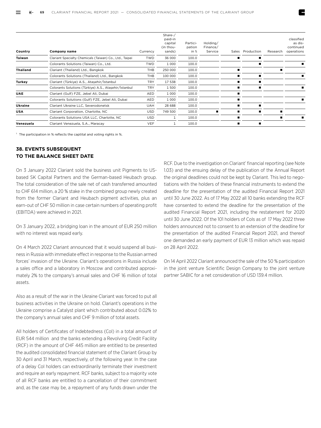| Country         | Company name                                            | Currency   | Share-/<br>paid-in<br>capital<br>(in thou-<br>sands) | Partici-<br>pation<br>in % | Holding/<br>Finance/<br>Service | Sales | Production | Research | classified<br>as dis-<br>continued<br>operations |
|-----------------|---------------------------------------------------------|------------|------------------------------------------------------|----------------------------|---------------------------------|-------|------------|----------|--------------------------------------------------|
| Taiwan          | Clariant Specialty Chemicals (Taiwan) Co., Ltd., Taipei | <b>TWD</b> | 36 000                                               | 100.0                      |                                 |       |            |          |                                                  |
|                 | Colorants Solutions (Taiwan) Co., Ltd.                  | <b>TWD</b> | 1 0 0 0                                              | 100.0                      |                                 |       |            |          |                                                  |
| <b>Thailand</b> | Clariant (Thailand) Ltd., Bangkok                       | THB        | 250 000                                              | 100.0                      |                                 |       |            |          |                                                  |
|                 | Colorants Solutions (Thailand) Ltd., Bangkok            | THB        | 100 000                                              | 100.0                      |                                 |       |            |          |                                                  |
| <b>Turkey</b>   | Clariant (Türkiye) A.S., Ataşehir/İstanbul              | <b>TRY</b> | 17 538                                               | 100.0                      |                                 |       |            |          |                                                  |
|                 | Colorants Solutions (Türkiye) A.S., Ataşehir/İstanbul   | <b>TRY</b> | 1500                                                 | 100.0                      |                                 |       |            |          |                                                  |
| <b>UAE</b>      | Clariant (Gulf) FZE, Jebel Ali, Dubai                   | AED        | 1 0 0 0                                              | 100.0                      |                                 |       |            |          |                                                  |
|                 | Colorants Solutions (Gulf) FZE, Jebel Ali, Dubai        | AED        | 1 0 0 0                                              | 100.0                      |                                 |       |            |          |                                                  |
| Ukraine         | Clariant Ukraine LLC, Severodonetsk                     | UAH        | 28 688                                               | 100.0                      |                                 |       |            |          |                                                  |
| <b>USA</b>      | Clariant Corporation, Charlotte, NC                     | <b>USD</b> | 749 500                                              | 100.0                      |                                 |       |            |          |                                                  |
|                 | Colorants Solutions USA LLC, Charlotte, NC              | <b>USD</b> | 1                                                    | 100.0                      |                                 |       |            |          |                                                  |
| Venezuela       | Clariant Venezuela, S.A., Maracay                       | <b>VEF</b> |                                                      | 100.0                      |                                 |       |            |          |                                                  |

<sup>1</sup> The participation in % reflects the captital and voting rights in %.

# **38. EVENTS SUBSEQUENT TO THE BALANCE SHEET DATE**

On 3 January 2022 Clariant sold the business unit Pigments to USbased SK Capital Partners and the German-based Heubach group. The total consideration of the sale net of cash transferred amounted to CHF 614 million, a 20 % stake in the combined group newly created from the former Clariant and Heubach pigment activities, plus an earn-out of CHF 50 million in case certain numbers of operating profit (EBITDA) were achieved in 2021.

On 3 January 2022, a bridging loan in the amount of EUR 250 million with no interest was repaid early.

On 4 March 2022 Clariant announced that it would suspend all business in Russia with immediate effect in response to the Russian armed forces' invasion of the Ukraine. Clariant's operations in Russia include a sales office and a laboratory in Moscow and contributed approximately 2% to the company's annual sales and CHF 16 million of total assets.

Also as a result of the war in the Ukraine Clariant was forced to put all business activities in the Ukraine on hold. Clariant's operations in the Ukraine comprise a Catalyst plant which contributed about 0.02% to the company's annual sales and CHF 9 million of total assets.

All holders of Certificates of Indebtedness (CoI) in a total amount of EUR 544 million and the banks extending a Revolving Credit Facility (RCF) in the amount of CHF 445 million are entitled to be presented the audited consolidated financial statement of the Clariant Group by 30 April and 31 March, respectively, of the following year. In the case of a delay CoI holders can extraordinarily terminate their investment and require an early repayment. RCF banks, subject to a majority vote of all RCF banks are entitled to a cancellation of their commitment and, as the case may be, a repayment of any funds drawn under the

RCF. Due to the investigation on Clariant' financial reporting (see Note 1.03) and the ensuing delay of the publication of the Annual Report the original deadlines could not be kept by Clariant. This led to negotiations with the holders of these financial instruments to extend the deadline for the presentation of the audited Financial Report 2021 until 30 June 2022. As of 17 May 2022 all 10 banks extending the RCF have consented to extend the deadline for the presentation of the audited Financial Report 2021, including the restatement for 2020 until 30 June 2022. Of the 101 holders of CoIs as of 17 May 2022 three holders announced not to consent to an extension of the deadline for the presentation of the audited Financial Report 2021, and thereof one demanded an early payment of EUR 13 million which was repaid on 28 April 2022.

On 14 April 2022 Clariant announced the sale of the 50 % participation in the joint venture Scientific Design Company to the joint venture partner SABIC for a net consideration of USD 139.4 million.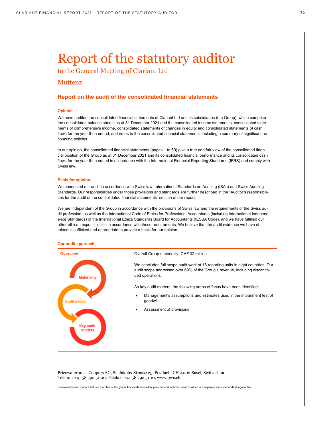# Report of the statutory auditor

to the General Meeting of Clariant Ltd

# Muttenz

# **Report on the audit of the consolidated financial statements**

### **Opinion**

We have audited the consolidated financial statements of Clariant Ltd and its subsidiaries (the Group), which comprise the consolidated balance sheets as at 31 December 2021 and the consolidated income statements, consolidated statements of comprehensive income, consolidated statements of changes in equity and consolidated statements of cash flows for the year then ended, and notes to the consolidated financial statements, including a summary of significant accounting policies.

In our opinion, the consolidated financial statements (pages 1 to 69) give a true and fair view of the consolidated financial position of the Group as at 31 December 2021 and its consolidated financial performance and its consolidated cash flows for the year then ended in accordance with the International Financial Reporting Standards (IFRS) and comply with Swiss law.

#### **Basis for opinion**

We conducted our audit in accordance with Swiss law, International Standards on Auditing (ISAs) and Swiss Auditing Standards. Our responsibilities under those provisions and standards are further described in the "Auditor's responsibilities for the audit of the consolidated financial statements" section of our report.

We are independent of the Group in accordance with the provisions of Swiss law and the requirements of the Swiss audit profession, as well as the International Code of Ethics for Professional Accountants (including International Independence Standards) of the International Ethics Standards Board for Accountants (IESBA Code), and we have fulfilled our other ethical responsibilities in accordance with these requirements. We believe that the audit evidence we have obtained is sufficient and appropriate to provide a basis for our opinion.

#### **Our audit approach**



PricewaterhouseCoopers AG, St. Jakobs-Strasse 25, Postfach, CH-4002 Basel, Switzerland Telefon: +41 58 792 51 00, Telefax: +41 58 792 51 10, www.pwc.ch

PricewaterhouseCoopers AG is a member of the global PricewaterhouseCoopers network of firms, each of which is a separate and independent legal entity.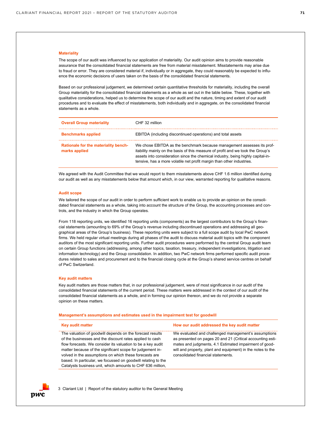#### **Materiality**

The scope of our audit was influenced by our application of materiality. Our audit opinion aims to provide reasonable assurance that the consolidated financial statements are free from material misstatement. Misstatements may arise due to fraud or error. They are considered material if, individually or in aggregate, they could reasonably be expected to influence the economic decisions of users taken on the basis of the consolidated financial statements.

Based on our professional judgement, we determined certain quantitative thresholds for materiality, including the overall Group materiality for the consolidated financial statements as a whole as set out in the table below. These, together with qualitative considerations, helped us to determine the scope of our audit and the nature, timing and extent of our audit procedures and to evaluate the effect of misstatements, both individually and in aggregate, on the consolidated financial statements as a whole.

| <b>Overall Group materiality</b>                      | CHF 32 million                                                                                                                                                                                                                                                                                                        |
|-------------------------------------------------------|-----------------------------------------------------------------------------------------------------------------------------------------------------------------------------------------------------------------------------------------------------------------------------------------------------------------------|
| <b>Benchmarks applied</b>                             | EBITDA (including discontinued operations) and total assets                                                                                                                                                                                                                                                           |
| Rationale for the materiality bench-<br>marks applied | We chose EBITDA as the benchmark because management assesses its prof-<br>itability mainly on the basis of this measure of profit and we took the Group's<br>assets into consideration since the chemical industry, being highly capital-in-<br>tensive, has a more volatile net profit margin than other industries. |

We agreed with the Audit Committee that we would report to them misstatements above CHF 1.6 million identified during our audit as well as any misstatements below that amount which, in our view, warranted reporting for qualitative reasons.

#### **Audit scope**

We tailored the scope of our audit in order to perform sufficient work to enable us to provide an opinion on the consolidated financial statements as a whole, taking into account the structure of the Group, the accounting processes and controls, and the industry in which the Group operates.

From 118 reporting units, we identified 16 reporting units (components) as the largest contributors to the Group's financial statements (amounting to 69% of the Group's revenue including discontinued operations and addressing all geographical areas of the Group's business). These reporting units were subject to a full scope audit by local PwC network firms. We held regular virtual meetings during all phases of the audit to discuss material audit topics with the component auditors of the most significant reporting units. Further audit procedures were performed by the central Group audit team on certain Group functions (addressing, among other topics, taxation, treasury, independent investigations, litigation and information technology) and the Group consolidation. In addition, two PwC network firms performed specific audit procedures related to sales and procurement and to the financial closing cycle at the Group's shared service centres on behalf of PwC Switzerland.

#### **Key audit matters**

Key audit matters are those matters that, in our professional judgement, were of most significance in our audit of the consolidated financial statements of the current period. These matters were addressed in the context of our audit of the consolidated financial statements as a whole, and in forming our opinion thereon, and we do not provide a separate opinion on these matters.

#### **Management's assumptions and estimates used in the impairment test for goodwill**

| <b>Key audit matter</b>                                                                                                                                                                                                                                                                                                                                                                                                                    | How our audit addressed the key audit matter                                                                                                                                                                                                                                      |
|--------------------------------------------------------------------------------------------------------------------------------------------------------------------------------------------------------------------------------------------------------------------------------------------------------------------------------------------------------------------------------------------------------------------------------------------|-----------------------------------------------------------------------------------------------------------------------------------------------------------------------------------------------------------------------------------------------------------------------------------|
| The valuation of goodwill depends on the forecast results<br>of the businesses and the discount rates applied to cash<br>flow forecasts. We consider its valuation to be a key audit<br>matter because of the significant scope for judgement in-<br>volved in the assumptions on which these forecasts are<br>based. In particular, we focussed on goodwill relating to the<br>Catalysts business unit, which amounts to CHF 636 million, | We evaluated and challenged management's assumptions<br>as presented on pages 20 and 21 (Critical accounting esti-<br>mates and judgments, 4.1 Estimated impairment of good-<br>will and property, plant and equipment) in the notes to the<br>consolidated financial statements. |

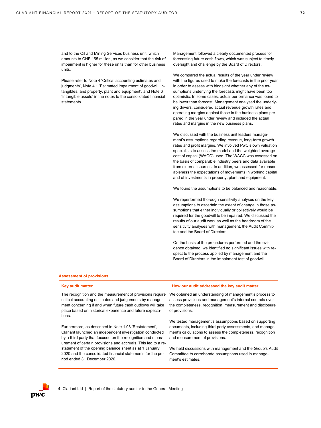and to the Oil and Mining Services business unit, which amounts to CHF 155 million, as we consider that the risk of impairment is higher for these units than for other business units.

Please refer to Note 4 'Critical accounting estimates and judgments', Note 4.1 'Estimated impairment of goodwill, intangibles, and property, plant and equipment', and Note 6 'Intangible assets' in the notes to the consolidated financial statements.

Management followed a clearly documented process for forecasting future cash flows, which was subject to timely oversight and challenge by the Board of Directors.

We compared the actual results of the year under review with the figures used to make the forecasts in the prior year in order to assess with hindsight whether any of the assumptions underlying the forecasts might have been too optimistic. In some cases, actual performance was found to be lower than forecast. Management analysed the underlying drivers, considered actual revenue growth rates and operating margins against those in the business plans prepared in the year under review and included the actual rates and margins in the new business plans.

We discussed with the business unit leaders management's assumptions regarding revenue, long-term growth rates and profit margins. We involved PwC's own valuation specialists to assess the model and the weighted average cost of capital (WACC) used. The WACC was assessed on the basis of comparable industry peers and data available from external sources. In addition, we assessed for reasonableness the expectations of movements in working capital and of investments in property, plant and equipment.

We found the assumptions to be balanced and reasonable.

We reperformed thorough sensitivity analyses on the key assumptions to ascertain the extent of change in those assumptions that either individually or collectively would be required for the goodwill to be impaired. We discussed the results of our audit work as well as the headroom of the sensitivity analyses with management, the Audit Committee and the Board of Directors.

On the basis of the procedures performed and the evidence obtained, we identified no significant issues with respect to the process applied by management and the Board of Directors in the impairment test of goodwill.

#### **Assessment of provisions**

| Key audit matter                                                                                                                                                                                                                                         | How our audit addressed the key audit matter                                                                                                                                                        |
|----------------------------------------------------------------------------------------------------------------------------------------------------------------------------------------------------------------------------------------------------------|-----------------------------------------------------------------------------------------------------------------------------------------------------------------------------------------------------|
| The recognition and the measurement of provisions require<br>critical accounting estimates and judgements by manage-<br>ment concerning if and when future cash outflows will take<br>place based on historical experience and future expecta-<br>tions. | We obtained an understanding of management's process to<br>assess provisions and management's internal controls over<br>the completeness, recognition, measurement and disclosure<br>of provisions. |
| Furthermore, as described in Note 1.03 'Restatement',                                                                                                                                                                                                    | We tested management's assumptions based on supporting                                                                                                                                              |
| Clariant launched an independent investigation conducted                                                                                                                                                                                                 | documents, including third-party assessments, and manage-                                                                                                                                           |
| by a third party that focused on the recognition and meas-                                                                                                                                                                                               | ment's calculations to assess the completeness, recognition                                                                                                                                         |
| urement of certain provisions and accruals. This led to a re-                                                                                                                                                                                            | and measurement of provisions.                                                                                                                                                                      |
| statement of the opening balance sheet as at 1 January                                                                                                                                                                                                   | We held discussions with management and the Group's Audit                                                                                                                                           |
| 2020 and the consolidated financial statements for the pe-                                                                                                                                                                                               | Committee to corroborate assumptions used in manage-                                                                                                                                                |
| riod ended 31 December 2020.                                                                                                                                                                                                                             | ment's estimates.                                                                                                                                                                                   |

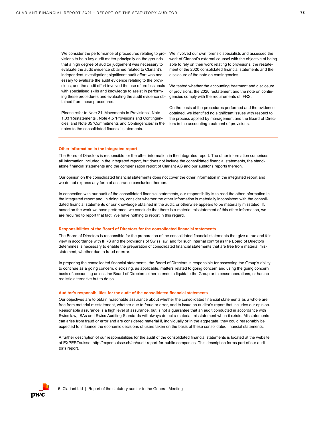visions to be a key audit matter principally on the grounds that a high degree of auditor judgement was necessary to evaluate the audit evidence obtained related to Clariant's independent investigation; significant audit effort was necessary to evaluate the audit evidence relating to the provisions; and the audit effort involved the use of professionals with specialised skills and knowledge to assist in performing these procedures and evaluating the audit evidence obtained from these procedures.

Please refer to Note 21 'Movements in Provisions', Note 1.03 'Restatements', Note 4.5 'Provisions and Contingencies' and Note 35 'Commitments and Contingencies' in the notes to the consolidated financial statements.

We consider the performance of procedures relating to pro- We involved our own forensic specialists and assessed the work of Clariant's external counsel with the objective of being able to rely on their work relating to provisions, the restatement of the 2020 consolidated financial statements and the disclosure of the note on contingencies.

> We tested whether the accounting treatment and disclosure of provisions, the 2020 restatement and the note on contingencies comply with the requirements of IFRS.

On the basis of the procedures performed and the evidence obtained, we identified no significant issues with respect to the process applied by management and the Board of Directors in the accounting treatment of provisions.

#### **Other information in the integrated report**

The Board of Directors is responsible for the other information in the integrated report. The other information comprises all information included in the integrated report, but does not include the consolidated financial statements, the standalone financial statements and the compensation report of Clariant AG and our auditor's reports thereon.

Our opinion on the consolidated financial statements does not cover the other information in the integrated report and we do not express any form of assurance conclusion thereon.

In connection with our audit of the consolidated financial statements, our responsibility is to read the other information in the integrated report and, in doing so, consider whether the other information is materially inconsistent with the consolidated financial statements or our knowledge obtained in the audit, or otherwise appears to be materially misstated. If, based on the work we have performed, we conclude that there is a material misstatement of this other information, we are required to report that fact. We have nothing to report in this regard.

#### **Responsibilities of the Board of Directors for the consolidated financial statements**

The Board of Directors is responsible for the preparation of the consolidated financial statements that give a true and fair view in accordance with IFRS and the provisions of Swiss law, and for such internal control as the Board of Directors determines is necessary to enable the preparation of consolidated financial statements that are free from material misstatement, whether due to fraud or error.

In preparing the consolidated financial statements, the Board of Directors is responsible for assessing the Group's ability to continue as a going concern, disclosing, as applicable, matters related to going concern and using the going concern basis of accounting unless the Board of Directors either intends to liquidate the Group or to cease operations, or has no realistic alternative but to do so.

#### **Auditor's responsibilities for the audit of the consolidated financial statements**

Our objectives are to obtain reasonable assurance about whether the consolidated financial statements as a whole are free from material misstatement, whether due to fraud or error, and to issue an auditor's report that includes our opinion. Reasonable assurance is a high level of assurance, but is not a guarantee that an audit conducted in accordance with Swiss law, ISAs and Swiss Auditing Standards will always detect a material misstatement when it exists. Misstatements can arise from fraud or error and are considered material if, individually or in the aggregate, they could reasonably be expected to influence the economic decisions of users taken on the basis of these consolidated financial statements.

A further description of our responsibilities for the audit of the consolidated financial statements is located at the website of EXPERTsuisse: http://expertsuisse.ch/en/audit-report-for-public-companies. This description forms part of our auditor's report.

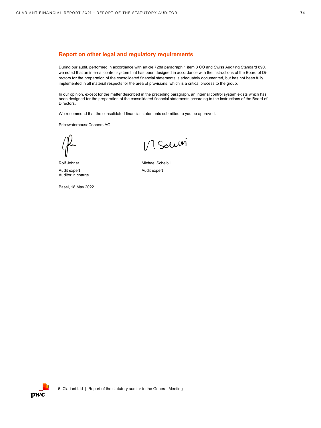## **Report on other legal and regulatory requirements**

During our audit, performed in accordance with article 728a paragraph 1 item 3 CO and Swiss Auditing Standard 890, we noted that an internal control system that has been designed in accordance with the instructions of the Board of Directors for the preparation of the consolidated financial statements is adequately documented, but has not been fully implemented in all material respects for the area of provisions, which is a critical process to the group.

In our opinion, except for the matter described in the preceding paragraph, an internal control system exists which has been designed for the preparation of the consolidated financial statements according to the instructions of the Board of Directors.

We recommend that the consolidated financial statements submitted to you be approved.

PricewaterhouseCoopers AG

Audit expert Auditor in charge

Basel, 18 May 2022

V Saum

Rolf Johner Michael Scheibli Audit expert

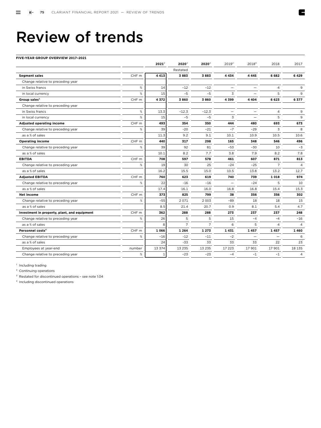## Review of trends

#### **FIVE-YEAR GROUP OVERVIEW 2017–2021**

|                                              |                  | $2021^2$     | 2020 <sup>2</sup> | $2020^2$       | $2019^2$                 | 2018 <sup>3</sup>        | 2018           | 2017           |
|----------------------------------------------|------------------|--------------|-------------------|----------------|--------------------------|--------------------------|----------------|----------------|
|                                              |                  |              | Restated          |                |                          |                          |                |                |
| <b>Segment sales</b>                         | CHF <sub>m</sub> | 4 4 1 3      | 3883              | 3883           | 4 4 3 4                  | 4 4 4 5                  | 6 6 8 2        | 6429           |
| Change relative to preceding year            |                  |              |                   |                |                          |                          |                |                |
| in Swiss francs                              | %                | 14           | $-12$             | $-12$          | $\overline{\phantom{0}}$ |                          | $\overline{4}$ | 9              |
| in local currency                            | %                | 15           | $-5$              | $-5$           | $\overline{3}$           |                          | 5              | 9              |
| Group sales <sup>1</sup>                     | CHF m            | 4372         | 3860              | 3860           | 4399                     | 4 4 0 4                  | 6 6 2 3        | 6377           |
| Change relative to preceding year            |                  |              |                   |                |                          |                          |                |                |
| in Swiss francs                              | %                | 13.3         | $-12.3$           | $-12.3$        |                          | $\overline{\phantom{0}}$ | $\overline{4}$ | 9              |
| in local currency                            | %                | 15           | $-5$              | $-5$           | 3                        |                          | 5              | 9              |
| <b>Adjusted operating income</b>             | CHF m            | 493          | 354               | 350            | 444                      | 480                      | 693            | 673            |
| Change relative to preceding year            | %                | 39           | $-20$             | $-21$          | $-7$                     | $-29$                    | 3              | 8              |
| as a % of sales                              |                  | 11.3         | 9.2               | 9.1            | 10.1                     | 10.9                     | 10.5           | 10.6           |
| <b>Operating income</b>                      | CHF m            | 440          | 317               | 298            | 165                      | 348                      | 546            | 496            |
| Change relative to preceding year            | %                | 39           | 92                | 81             | $-53$                    | $-30$                    | 10             | $-3$           |
| as a % of sales                              |                  | 10.1         | 8.2               | 7.7            | 3.8                      | 7.9                      | 8.2            | 7.8            |
| <b>EBITDA</b>                                | CHF <sub>m</sub> | 708          | 597               | 578            | 461                      | 607                      | 871            | 813            |
| Change relative to preceding year            | %                | 19           | 30                | 25             | $-24$                    | $-25$                    | $\overline{7}$ | $\overline{4}$ |
| as a % of sales                              |                  | 16.2         | 15.5              | 15.0           | 10.5                     | 13.8                     | 13.2           | 12.7           |
| <b>Adjusted EBITDA</b>                       | CHF m            | 760          | 623               | 619            | 740                      | 739                      | 1 0 18         | 974            |
| Change relative to preceding year            | %                | 22           | $-16$             | $-16$          | ۰                        | $-24$                    | 5              | 10             |
| as a % of sales                              |                  | 17.4         | 16.1              | 16.0           | 16.8                     | 16.8                     | 15.4           | 15.3           |
| Net income                                   | CHF <sub>m</sub> | 373          | 825               | 799            | 38                       | 356                      | 356            | 302            |
| Change relative to preceding year            | %                | $-55$        | 2071              | 2 0 0 3        | $-89$                    | 18                       | 18             | 15             |
| as a % of sales                              |                  | 8.5          | 21.4              | 20.7           | 0.9                      | 8.1                      | 5.4            | 4.7            |
| Investment in property, plant, and equipment | CHF m            | 362          | 288               | 288            | 273                      | 237                      | 237            | 248            |
| Change relative to preceding year            | %                | 26           | 5                 | 5              | 15                       | $-4$                     | $-4$           | $-16$          |
| as a % of sales                              |                  | $\mathsf{R}$ | $\overline{7}$    | $\overline{7}$ | 6                        | 5                        | $\overline{4}$ | $\overline{4}$ |
| Personnel costs <sup>4</sup>                 | CHF m            | 1 0 6 6      | 1 2 6 4           | 1 2 7 3        | 1431                     | 1457                     | 1457           | 1460           |
| Change relative to preceding year            | %                | $-16$        | $-12$             | $-11$          | $-2$                     | $\overline{\phantom{a}}$ |                | 6              |
| as a % of sales                              |                  | 24           | $-33$             | 33             | 33                       | 33                       | 22             | 23             |
| Employees at year-end                        | number           | 13 374       | 13 2 3 5          | 13 235         | 17 223                   | 17 901                   | 17 901         | 18 135         |
| Change relative to preceding year            | %                | $\mathbf{1}$ | $-23$             | $-23$          | $-4$                     | $-1$                     | $-1$           | 4              |
|                                              |                  |              |                   |                |                          |                          |                |                |

<sup>1</sup> Including trading

<sup>2</sup> Continuing operations

3 Restated for discontinued operations – see note 1.04

4 Including discontinued operations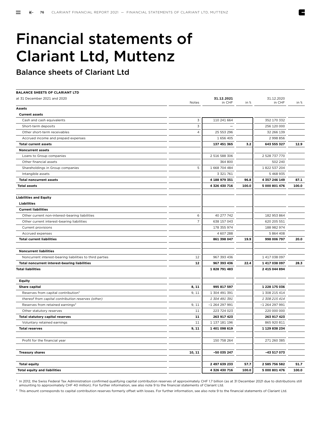# Financial statements of Clariant Ltd, Muttenz

Balance sheets of Clariant Ltd

| <b>BALANCE SHEETS OF CLARIANT LTD</b>                    |                |                      |       |                      |       |
|----------------------------------------------------------|----------------|----------------------|-------|----------------------|-------|
| at 31 December 2021 and 2020                             | Notes          | 31.12.2021<br>in CHF | in %  | 31.12.2020<br>in CHF | in %  |
| <b>Assets</b>                                            |                |                      |       |                      |       |
| <b>Current assets</b>                                    |                |                      |       |                      |       |
| Cash and cash equivalents                                | 3              | 110 241 664          |       | 352 170 332          |       |
| Short-term deposits                                      | 3              |                      |       | 256 120 000          |       |
| Other short-term receivables                             | $\overline{4}$ | 25 553 296           |       | 32 266 139           |       |
| Accrued income and prepaid expenses                      |                | 1 656 405            |       | 2 998 856            |       |
| <b>Total current assets</b>                              |                | 137 451 365          | 3.2   | 643 555 327          | 12.9  |
| <b>Noncurrent assets</b>                                 |                |                      |       |                      |       |
| Loans to Group companies                                 |                | 2 516 588 306        |       | 2 528 737 770        |       |
| Other financial assets                                   |                | 364 800              |       | 502 240              |       |
| Shareholdings in Group companies                         | 5              | 1 668 704 484        |       | 1 822 537 204        |       |
| Intangible assets                                        |                | 3 321 761            |       | 5 4 68 9 35          |       |
| <b>Total noncurrent assets</b>                           |                | 4 188 979 351        | 96.8  | 4 357 246 149        | 87.1  |
| <b>Total assets</b>                                      |                | 4 326 430 716        | 100.0 | 5 000 801 476        | 100.0 |
| <b>Liabilities and Equity</b>                            |                |                      |       |                      |       |
| <b>Liabilities</b>                                       |                |                      |       |                      |       |
| <b>Current liabilities</b>                               |                |                      |       |                      |       |
| Other current non-interest-bearing liabilities           | 6              | 40 277 742           |       | 182 953 864          |       |
| Other current interest-bearing liabilities               | $\overline{7}$ | 638 157 043          |       | 620 205 551          |       |
| Current provisions                                       |                | 178 355 974          |       | 188 982 974          |       |
| Accrued expenses                                         |                | 4 607 288            |       | 5 864 408            |       |
| <b>Total current liabilities</b>                         |                | 861 398 047          | 19.9  | 998 006 797          | 20.0  |
| <b>Noncurrent liabilities</b>                            |                |                      |       |                      |       |
| Noncurrent interest-bearing liabilities to third parties | 12             | 967 393 436          |       | 1 417 038 097        |       |
| Total noncurrent interest-bearing liabilities            | 12             | 967 393 436          | 22.4  | 1417038097           | 28.3  |
| <b>Total liabilities</b>                                 |                | 1828 791 483         |       | 2 415 044 894        |       |
| <b>Equity</b>                                            |                |                      |       |                      |       |
| <b>Share capital</b>                                     | 8, 11          | 995 817 597          |       | 1 228 175 036        |       |
| Reserves from capital contribution <sup>1</sup>          | 9, 11          | 1 304 491 391        |       | 1 308 215 414        |       |
| thereof from capital contribution reserves (other)       |                | 1 304 491 391        |       | 1 308 215 414        |       |
| Reserves from retained earnings <sup>2</sup>             | 9, 11          | $-1264297991$        |       | $-1264297991$        |       |
| Other statutory reserves                                 | 11             | 223 724 023          |       | 220 000 000          |       |
| <b>Total statutory capital reserves</b>                  | 11             | 263 917 423          |       | 263 917 423          |       |
| Voluntary retained earnings                              | 11             | 1 137 181 196        |       | 865 920 811          |       |
| <b>Total reserves</b>                                    | 9, 11          | 1 401 098 619        |       | 1 129 838 234        |       |
| Profit for the financial year                            |                | 150 758 264          |       | 271 260 385          |       |
| <b>Treasury shares</b>                                   | 10, 11         | -50 035 247          |       | -43 517 073          |       |
| <b>Total equity</b>                                      |                | 2 497 639 233        | 57.7  | 2 585 756 582        | 51.7  |
| <b>Total equity and liabilities</b>                      |                | 4 326 430 716        | 100.0 | 5 000 801 476        | 100.0 |
|                                                          |                |                      |       |                      |       |

<sup>1</sup> In 2012, the Swiss Federal Tax Administration confirmed qualifying capital contribution reserves of approximately CHF 1.7 billion (as at 31 December 2021 due to distributions still amounting to approximately CHF 40 million). For further information, see also note 9 to the financial statements of Clariant Ltd.

<sup>2</sup> This amount corresponds to capital contribution reserves formerly offset with losses. For further information, see also note 9 to the financial statements of Clariant Ltd.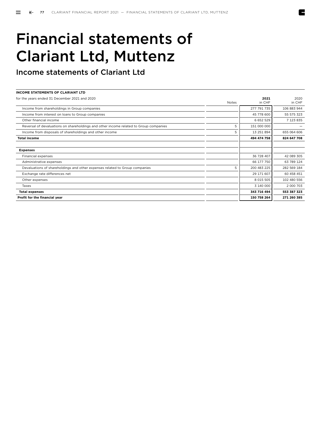# Financial statements of Clariant Ltd, Muttenz

Income statements of Clariant Ltd

| <b>INCOME STATEMENTS OF CLARIANT LTD</b>                                              |              |               |             |
|---------------------------------------------------------------------------------------|--------------|---------------|-------------|
| for the years ended 31 December 2021 and 2020                                         |              | 2021          | 2020        |
|                                                                                       | <b>Notes</b> | in CHF        | in CHF      |
| Income from shareholdings in Group companies                                          |              | 277 791 735   | 106 883 944 |
| Income from interest on loans to Group companies                                      |              | 45 778 600    | 55 575 323  |
| Other financial income                                                                |              | 6 6 5 2 5 2 9 | 7 123 835   |
| Reversal of devaluations on shareholdings and other income related to Group companies | 5            | 151 000 000   |             |
| Income from disposals of shareholdings and other income                               | 5            | 13 251 894    | 655 064 606 |
| <b>Total income</b>                                                                   |              | 494 474 758   | 824 647 708 |
|                                                                                       |              |               |             |
| <b>Expenses</b>                                                                       |              |               |             |
| Financial expenses                                                                    |              | 36 728 407    | 42 089 305  |
| Administrative expenses                                                               |              | 66 177 750    | 63 789 124  |
| Devaluations of shareholdings and other expenses related to Group companies           | 5            | 200 483 225   | 282 569 184 |
| Exchange rate differences net                                                         |              | 29 171 607    | 60 458 451  |
| Other expenses                                                                        |              | 8 0 15 5 05   | 102 480 556 |
| Taxes                                                                                 |              | 3 140 000     | 2 000 703   |
| <b>Total expenses</b>                                                                 |              | 343 716 494   | 553 387 323 |
| Profit for the financial year                                                         |              | 150 758 264   | 271 260 385 |
|                                                                                       |              |               |             |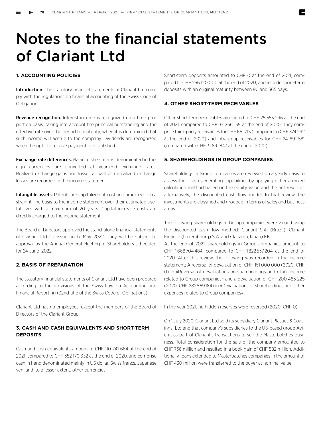# Notes to the financial statements of Clariant Ltd

#### **1. ACCOUNTING POLICIES**

**Introduction.** The statutory financial statements of Clariant Ltd comply with the regulations on financial accounting of the Swiss Code of Obligations.

Revenue recognition. Interest income is recognized on a time proportion basis, taking into account the principal outstanding and the effective rate over the period to maturity, when it is determined that such income will accrue to the company. Dividends are recognized when the right to receive payment is established.

**Exchange rate differences.** Balance sheet items denominated in foreign currencies are converted at year-end exchange rates. Realized exchange gains and losses as well as unrealized exchange losses are recorded in the income statement.

Intangible assets. Patents are capitalized at cost and amortized on a straight-line basis to the income statement over their estimated useful lives with a maximum of 20 years. Capital increase costs are directly charged to the income statement.

The Board of Directors approved the stand-alone financial statements of Clariant Ltd for issue on 17 May 2022. They will be subject to approval by the Annual General Meeting of Shareholders scheduled for 24 June 2022.

#### **2. BASIS OF PREPARATION**

The statutory financial statements of Clariant Ltd have been prepared according to the provisions of the Swiss Law on Accounting and Financial Reporting (32nd title of the Swiss Code of Obligations).

Clariant Ltd has no employees, except the members of the Board of Directors of the Clariant Group.

## **3. CASH AND CASH EQUIVALENTS AND SHORT-TERM DEPOSITS**

Cash and cash equivalents amount to CHF 110 241 664 at the end of 2021, compared to CHF 352 170 332 at the end of 2020, and comprise cash in hand denominated mainly in US dollar, Swiss francs, Japanese yen, and, to a lesser extent, other currencies.

Short-term deposits amounted to CHF 0 at the end of 2021, compared to CHF 256 120 000 at the end of 2020, and include short-term deposits with an original maturity between 90 and 365 days.

#### **4. OTHER SHORT-TERM RECEIVABLES**

Other short-term receivables amounted to CHF 25 553 296 at the end of 2021, compared to CHF 32 266 139 at the end of 2020. They comprise third-party receivables for CHF 661 715 (compared to CHF 374 292 at the end of 2020) and intragroup receivables for CHF 24 891 581 (compared with CHF 31 891 847 at the end of 2020).

#### **5. SHAREHOLDINGS IN GROUP COMPANIES**

Shareholdings in Group companies are reviewed on a yearly basis to assess their cash-generating capabilities by applying either a mixed calculation method based on the equity value and the net result or, alternatively, the discounted cash flow model. In that review, the investments are classified and grouped in terms of sales and business areas.

The following shareholdings in Group companies were valued using the discounted cash flow method: Clariant S.A. (Brazil), Clariant Finance (Luxembourg) S.A. and Clariant (Japan) KK.

At the end of 2021, shareholdings in Group companies amount to CHF 1 668 704 484, compared to CHF 1 822 537 204 at the end of 2020. After this review, the following was recorded in the income statement: A reversal of devaluation of CHF  151 000 000 (2020: CHF 0) in »Reversal of devaluations on shareholdings and other income related to Group companies« and a devaluation of CHF 200 483 225 (2020: CHF 282 569 184) in »Devaluations of shareholdings and other expenses related to Group companies«.

In the year 2021, no hidden reserves were reversed (2020: CHF 0).

On 1 July 2020, Clariant Ltd sold its subsidiary Clariant Plastics & Coatings Ltd and that company's subsidiaries to the US-based group Avient, as part of Clariant's transactions to sell the Masterbatches business. Total consideration for the sale of the company amounted to CHF 736 million and resulted in a book gain of CHF 582 million. Additionally, loans extended to Masterbatches companies in the amount of CHF 430 million were transferred to the buyer at nominal value.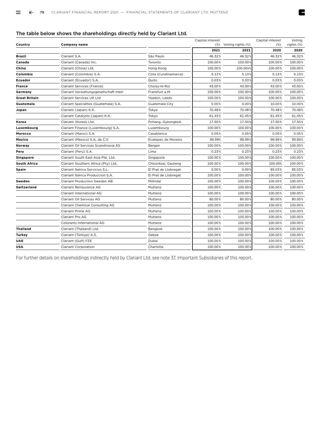### The table below shows the shareholdings directly held by Clariant Ltd.

| Country              | Company name                           |                      | Capital interest<br>$(\%)$ | Voting rights (%) | Capital interest<br>(%) | Voting<br>rights (%) |
|----------------------|----------------------------------------|----------------------|----------------------------|-------------------|-------------------------|----------------------|
|                      |                                        |                      | 2021                       | 2021              | 2020                    | 2020                 |
| Brazil               | Clariant S.A.                          | São Paulo            | 46.32%                     | 46.32%            | 46.32%                  | 46.32%               |
| Canada               | Clariant (Canada) Inc.                 | Toronto              | 100.00%                    | 100.00%           | 100.00%                 | 100.00%              |
| China                | Clariant (China) Ltd.                  | Hong Kong            | 100.00%                    | 100.00v%          | 100.00%                 | 100.00%              |
| Colombia             | Clariant (Colombia) S.A.               | Cota (Cundinamarca)  | 5.13%                      | 5.13%             | 5.13%                   | 5.13%                |
| Ecuador              | Clariant (Ecuador) S.A.                | Quito                | 0.03%                      | 0.03%             | 0.03%                   | 0.03%                |
| France               | Clariant Services (France)             | Choisy-le-Roi        | 43.00%                     | 43.00%            | 43.00%                  | 43.00%               |
| Germany              | Clariant Verwaltungsgesellschaft mbH   | Frankfurt a.M.       | 100.00%                    | 100.00%           | 100.00%                 | 100.00%              |
| <b>Great Britain</b> | Clariant Services UK Ltd               | Yeadon, Leeds        | 100.00%                    | 100.00%           | 100.00%                 | 100.00%              |
| Guatemala            | Clariant Specialties (Guatemala) S.A.  | Guatemala City       | 0.00%                      | 0.00%             | 10.00%                  | 10.00%               |
| Japan                | Clariant (Japan) K.K.                  | Tokyo                | 70.48%                     | 70.48%            | 70.48%                  | 70.48%               |
|                      | Clariant Catalysts (Japan) K.K.        | Tokyo                | 61.45%                     | 61.45%            | 61.45%                  | 61.45%               |
| Korea                | Clariant (Korea) Ltd.                  | Pohang, Gyeongbuk    | 17.50%                     | 17.50%            | 17.50%                  | 17.50%               |
| Luxembourg           | Clariant Finance (Luxembourg) S.A.     | Luxembourg           | 100.00%                    | 100.00%           | 100.00%                 | 100.00%              |
| Morocco              | Clariant (Maroc) S.A.                  | Casablanca           | 0.05%                      | 0.05%             | 0.05%                   | 0.05%                |
| Mexico               | Clariant (Mexico) S.A. de C.V.         | Ecatepec de Morelos  | 99.99%                     | 99.99%            | 99.99%                  | 99.99%               |
| Norway               | Clariant Oil Services Scandinavia AS   | Bergen               | 100.00%                    | 100.00%           | 100.00%                 | 100.00%              |
| Peru                 | Clariant (Perú) S.A.                   | Lima                 | 0.23%                      | 0.23%             | 0.23%                   | 0.23%                |
| <b>Singapore</b>     | Clariant South East Asia Pte. Ltd.     | Singapore            | 100.00%                    | 100.00%           | 100.00%                 | 100.00%              |
| <b>South Africa</b>  | Clariant Southern Africa (Pty) Ltd.    | Chloorkop, Gauteng   | 100.00%                    | 100.00%           | 100.00%                 | 100.00%              |
| Spain                | Clariant Ibérica Servicios S.L.        | El Prat de Llobregat | 0.00%                      | 0.00%             | 85.03%                  | 85.03%               |
|                      | Clariant Ibérica Produccion S.A.       | El Prat de Llobregat | 100.00%                    | 100.00%           | 100.00%                 | 100.00%              |
| Sweden               | <b>Clariant Production Sweden AB</b>   | Mölndal              | 100.00%                    | 100.00%           | 100.00%                 | 100.00%              |
| Switzerland          | <b>Clariant Reinsurance AG</b>         | Muttenz              | 100.00%                    | 100.00%           | 100.00%                 | 100.00%              |
|                      | Clariant International AG              | Muttenz              | 100.00%                    | 100.00%           | 100.00%                 | 100.00%              |
|                      | Clariant Oil Services AG               | Muttenz              | 80.00%                     | 80.00%            | 80.00%                  | 80.00%               |
|                      | <b>Clariant Chemical Consulting AG</b> | Muttenz              | 100.00%                    | 100.00%           | 100.00%                 | 100.00%              |
|                      | Clariant Prime AG                      | Muttenz              | 100.00%                    | 100.00%           | 100.00%                 | 100.00%              |
|                      | Clariant Pro AG                        | Muttenz              | 100.00%                    | 100.00%           | 100.00%                 | 100.00%              |
|                      | Colorants International AG             | Muttenz              | 100.00%                    | 100.00%           | 100.00%                 | 100.00%              |
| <b>Thailand</b>      | Clariant (Thailand) Ltd.               | Bangkok              | 100.00%                    | 100.00%           | 100.00%                 | 100.00%              |
| Turkey               | Clariant (Türkiye) A.S.                | Gebze                | 100.00%                    | 100.00%           | 100.00%                 | 100.00%              |
| <b>UAE</b>           | Clariant (Gulf) FZE                    | Dubai                | 100.00%                    | 100.00%           | 100.00%                 | 100.00%              |
| <b>USA</b>           | <b>Clariant Corporation</b>            | Charlotte            | 100.00%                    | 100.00%           | 100.00%                 | 100.00%              |
|                      |                                        |                      |                            |                   |                         |                      |

E

For further details on shareholdings indirectly held by Clariant Ltd, see note 37, Important Subsidiaries of this report.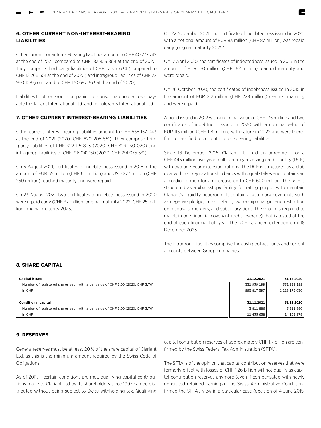## **6. OTHER CURRENT NON-INTEREST-BEARING LIABILITIES**

Other current non-interest-bearing liabilities amount to CHF 40 277 742 at the end of 2021, compared to CHF 182 953 864 at the end of 2020. They comprise third party liabilities of CHF 17 317 634 (compared to CHF 12 266 501 at the end of 2020) and intragroup liabilities of CHF 22 960 108 (compared to CHF 170 687 363 at the end of 2020).

Liabilities to other Group companies comprise shareholder costs payable to Clariant International Ltd. and to Colorants International Ltd.

#### **7. OTHER CURRENT INTEREST-BEARING LIABILITIES**

Other current interest-bearing liabilities amount to CHF 638 157 043 at the end of 2021 (2020: CHF 620 205 551). They comprise third -party liabilities of CHF 322 115 893 (2020: CHF 329 130 020) and intragroup liabilities of CHF 316 041 150 (2020: CHF 291 075 531).

On 5 August 2021, certificates of indebtedness issued in 2016 in the amount of EUR 55 million (CHF 60 million) and USD 277 million (CHF 250 million) reached maturity and were repaid.

On 23 August 2021, two certificates of indebtedness issued in 2020 were repaid early (CHF 37 million, original maturity 2022; CHF 25 million, original maturity 2025).

On 22 November 2021, the certificate of indebtedness issued in 2020 with a notional amount of EUR 83 million (CHF 87 million) was repaid early (original maturity 2025).

On 17 April 2020, the certificates of indebtedness issued in 2015 in the amount of EUR 150 million (CHF 162 million) reached maturity and were repaid.

On 26 October 2020, the certificates of indebtness issued in 2015 in the amount of EUR 212 million (CHF 229 million) reached maturity and were repaid.

A bond issued in 2012 with a nominal value of CHF 175 million and two certificates of indebtness issued in 2020 with a nominal value of EUR 115 million (CHF 118 million) will mature in 2022 and were therefore reclassified to current interest-bearing liabilities.

Since 16 December 2016, Clariant Ltd had an agreement for a CHF 445 million five-year multicurrency revolving credit facility (RCF) with two one-year extension options. The RCF is structured as a club deal with ten key relationship banks with equal stakes and contains an accordion option for an increase up to CHF 600 million. The RCF is structured as a »backstop« facility for rating purposes to maintain Clariant's liquidity headroom. It contains customary covenants such as negative pledge, cross default, ownership change, and restriction on disposals, mergers, and subsidiary debt. The Group is required to maintain one financial covenant (debt leverage) that is tested at the end of each financial half year. The RCF has been extended until 16 December 2023.

The intragroup liabilities comprise the cash pool accounts and current accounts between Group companies.

#### **8. SHARE CAPITAL**

| <b>Capital issued</b>                                                          | 31.12.2021  | 31.12.2020    |
|--------------------------------------------------------------------------------|-------------|---------------|
| Number of registered shares each with a par value of CHF 3.00 (2020: CHF 3.70) | 331 939 199 | 331 939 199   |
| In CHF                                                                         | 995 817 597 | 1 228 175 036 |
|                                                                                |             |               |
| <b>Conditional capital</b>                                                     | 31.12.2021  | 31.12.2020    |
| Number of registered shares each with a par value of CHF 3.00 (2020: CHF 3.70) | 3 811 886   | 3811886       |
| In CHF                                                                         | 11 435 658  | 14 103 978    |
|                                                                                |             |               |

#### **9. RESERVES**

General reserves must be at least 20 % of the share capital of Clariant Ltd, as this is the minimum amount required by the Swiss Code of Obligations.

As of 2011, if certain conditions are met, qualifying capital contributions made to Clariant Ltd by its shareholders since 1997 can be distributed without being subject to Swiss withholding tax. Qualifying capital contribution reserves of approximately CHF 1.7 billion are confirmed by the Swiss Federal Tax Administration (SFTA).

The SFTA is of the opinion that capital contribution reserves that were formerly offset with losses of CHF 1.26 billion will not qualify as capital contribution reserves anymore (even if compensated with newly generated retained earnings). The Swiss Administrative Court confirmed the SFTA's view in a particular case (decision of 4 June 2015,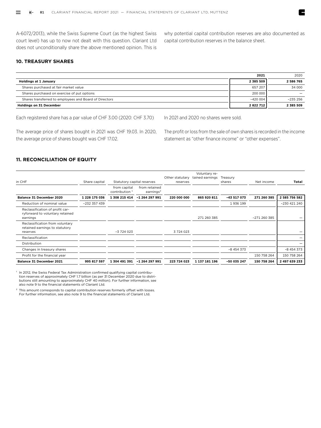A-6072/2013), while the Swiss Supreme Court (as the highest Swiss court level) has up to now not dealt with this question. Clariant Ltd does not unconditionally share the above mentioned opinion. This is

why potential capital contribution reserves are also documented as capital contribution reserves in the balance sheet.

E

#### **10. TREASURY SHARES**

|                                                        | 2021      | 2020      |
|--------------------------------------------------------|-----------|-----------|
| <b>Holdings at 1 January</b>                           | 2 385 509 | 2 586 765 |
| Shares purchased at fair market value                  | 657 207   | 34 000    |
| Shares purchased on exercise of put options            | 200 000   |           |
| Shares transferred to employees and Board of Directors | $-420004$ | $-235256$ |
| <b>Holdings on 31 December</b>                         | 2822712   | 2 385 509 |

Each registered share has a par value of CHF 3.00 (2020: CHF 3.70)

The average price of shares bought in 2021 was CHF 19.03. In 2020, the average price of shares bought was CHF 17.02.

In 2021 and 2020 no shares were sold.

The profit or loss from the sale of own shares is recorded in the income statement as "other finance income" or "other expenses".

#### **11. RECONCILIATION OF EQUITY**

| in CHF                                                                         | Share capital  | Statutory capital reserves                |                                        | Other statutary<br>reserves | Voluntary re-<br>tained earnings | Treasury<br>shares | Net income   | Total          |
|--------------------------------------------------------------------------------|----------------|-------------------------------------------|----------------------------------------|-----------------------------|----------------------------------|--------------------|--------------|----------------|
|                                                                                |                | from capital<br>contribution <sup>1</sup> | from retained<br>earnings <sup>2</sup> |                             |                                  |                    |              |                |
| Balance 31 December 2020                                                       | 1 228 175 036  | 1 308 215 414                             | $-1264297991$                          | 220 000 000                 | 865 920 811                      | $-43517073$        | 271 260 385  | 2 585 756 582  |
| Reduction of nominal value                                                     | $-232$ 357 439 |                                           |                                        |                             |                                  | 1936 199           |              | $-230$ 421 240 |
| Reclassification of profit car-<br>ryforward to voluntary retained<br>earnings |                |                                           |                                        |                             | 271 260 385                      |                    | -271 260 385 |                |
| Reclassification from voluntary<br>retained earnings to statutory<br>reserves  |                | $-3724023$                                |                                        | 3724023                     |                                  |                    |              |                |
| Reclassification                                                               |                |                                           |                                        |                             |                                  |                    |              |                |
| Distribution                                                                   |                |                                           |                                        |                             |                                  |                    |              |                |
| Changes in treasury shares                                                     |                |                                           |                                        |                             |                                  | $-8454373$         |              | $-8454373$     |
| Profit for the financial year                                                  |                |                                           |                                        |                             |                                  |                    | 150 758 264  | 150 758 264    |
| Balance 31 December 2021                                                       | 995 817 597    | 1 304 491 391                             | -1 264 297 991                         | 223 724 023                 | 1 137 181 196                    | -50 035 247        | 150 758 264  | 2 497 639 233  |

<sup>1</sup> In 2012, the Swiss Federal Tax Administration confirmed qualifying capital contribution reserves of approximately CHF 1.7 billion (as per 31 December 2020 due to distributions still amounting to approximately CHF 40 million). For further information, see also note 9 to the financial statements of Clariant Ltd.

<sup>2</sup> This amount corresponds to capital contribution reserves formerly offset with losses. For further information, see also note 9 to the financial statements of Clariant Ltd.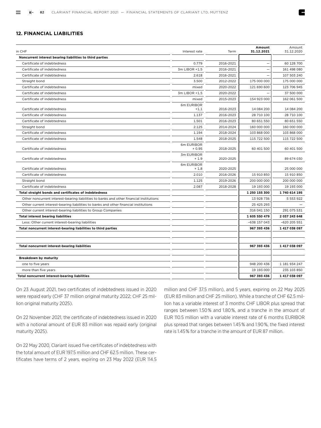#### **12. FINANCIAL LIABILITIES**

| in CHF                                                                                  | Interest rate         | Term      | Amount<br>31.12.2021 | Amount<br>31.12.2020 |
|-----------------------------------------------------------------------------------------|-----------------------|-----------|----------------------|----------------------|
| Noncurrent interest bearing liabilities to third parties                                |                       |           |                      |                      |
| Certificate of indebtedness                                                             | 0.779                 | 2016-2021 |                      | 60 128 700           |
| Certificate of indebtedness                                                             | 3m LIBOR +1.5         | 2016-2021 |                      | 161 498 080          |
| Certificate of indebtedness                                                             | 2.618                 | 2016-2021 |                      | 107 503 240          |
| Straight bond                                                                           | 3.500                 | 2012-2022 | 175 000 000          | 175 000 000          |
| Certificate of indebtedness                                                             | mixed                 | 2020-2022 | 121 690 600          | 123 706 945          |
| Certificate of indebtedness                                                             | 3m LIBOR +1.5         | 2020-2022 |                      | 37 500 000           |
| Certificate of indebtedness                                                             | mixed                 | 2015-2023 | 154 923 000          | 162 061 500          |
| Certificate of indebtedness                                                             | 6m EURIBOR<br>$+1.1$  | 2016-2023 | 14 084 200           | 14 084 200           |
| Certificate of indebtedness                                                             | 1.137                 | 2016-2023 | 28 710 100           | 28 710 100           |
| Certificate of indebtedness                                                             | 1.501                 | 2016-2023 | 80 651 550           | 80 651 550           |
| Straight bond                                                                           | 2.125                 | 2014-2024 | 160 000 000          | 160 000 000          |
| Certificate of indebtedness                                                             | 1.194                 | 2018-2024 | 103 868 000          | 103 868 000          |
| Certificate of indebtedness                                                             | 1.548                 | 2018-2025 | 115 722 500          | 115 722 500          |
| Certificate of indebtedness                                                             | 6m EURIBOR<br>$+0.95$ | 2018-2025 | 60 401 500           | 60 401 500           |
| Certificate of indebtedness                                                             | 3m EURIBOR<br>$+1.9$  | 2020-2025 |                      | 89 674 030           |
| Certificate of indebtedness                                                             | 6m EURIBOR<br>$+1.8$  | 2020-2025 |                      | 25 000 000           |
| Certificate of indebtedness                                                             | 2.010                 | 2016-2026 | 15 910 850           | 15 910 850           |
| Straight bond                                                                           | 1.125                 | 2019-2026 | 200 000 000          | 200 000 000          |
| Certificate of indebtedness                                                             | 2.087                 | 2018-2028 | 19 193 000           | 19 193 000           |
| Total straight bonds and certificates of indebtedness                                   |                       |           | 1 250 155 300        | 1740 614 195         |
| Other noncurrent interest-bearing liabilities to banks and other financial institutions |                       |           | 13 928 736           | 5 5 5 3 9 2 2        |
| Other current interest-bearing liabilities to banks and other financial institutions    |                       |           | 25 425 293           |                      |
| Other current interest-bearing liabilities to Group Companies                           |                       |           | 316 041 150          | 291 075 531          |
| <b>Total interest bearing liabilities</b>                                               |                       |           | 1 605 550 479        | 2037243648           |
| Less: Other current interest-bearing liabilities                                        |                       |           | $-638$ 157 043       | -620 205 551         |
| Total noncurrent interest-bearing liabilities to third parties                          |                       |           | 967 393 436          | 1417038097           |
|                                                                                         |                       |           |                      |                      |
| <b>Total noncurrent interest-bearing liabilities</b>                                    |                       |           | 967 393 436          | 1417038097           |
| <b>Breakdown by maturity</b>                                                            |                       |           |                      |                      |
| one to five years                                                                       |                       |           | 948 200 436          | 1 181 934 247        |
| more than five years                                                                    |                       |           | 19 193 000           | 235 103 850          |
| <b>Total noncurrent interest-bearing liabilities</b>                                    |                       |           | 967 393 436          | 1 417 038 097        |

On 23 August 2021, two certificates of indebtedness issued in 2020 were repaid early (CHF 37 million original maturity 2022; CHF 25 million original maturity 2025).

On 22 November 2021, the certificate of indebtedness issued in 2020 with a notional amount of EUR 83 million was repaid early (original maturity 2025).

On 22 May 2020, Clariant issued five certificates of indebtedness with the total amount of EUR 197.5 million and CHF 62.5 million. These certificates have terms of 2 years, expiring on 23 May 2022 (EUR 114.5 million and CHF 37.5 million), and 5 years, expiring on 22 May 2025 (EUR 83 million and CHF 25 million). While a tranche of CHF 62.5 million has a variable interest of 3 months CHF LIBOR plus spread that ranges between 1.50 % and 1.80 %, and a tranche in the amount of EUR 110.5 million with a variable interest rate of 6 months EURIBOR plus spread that ranges between 1.45 % and 1.90 %, the fixed interest rate is 1.45 % for a tranche in the amount of EUR 87 million.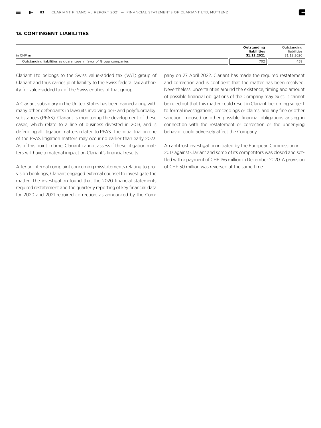#### **13. CONTINGENT LIABILITIES**

| in CHF m                                                          | Outstanding<br>liabilities<br>31.12.2021 | Outstanding<br>liabilities<br>31.12.2020 |
|-------------------------------------------------------------------|------------------------------------------|------------------------------------------|
| Outstanding liabilities as guarantees in favor of Group companies | 702                                      | 458                                      |

Clariant Ltd belongs to the Swiss value-added tax (VAT) group of Clariant and thus carries joint liability to the Swiss federal tax authority for value-added tax of the Swiss entities of that group.

A Clariant subsidiary in the United States has been named along with many other defendants in lawsuits involving per- and polyfluoroalkyl substances (PFAS). Clariant is monitoring the development of these cases, which relate to a line of business divested in 2013, and is defending all litigation matters related to PFAS. The initial trial on one of the PFAS litigation matters may occur no earlier than early 2023. As of this point in time, Clariant cannot assess if these litigation matters will have a material impact on Clariant's financial results.

After an internal complaint concerning misstatements relating to provision bookings, Clariant engaged external counsel to investigate the matter. The investigation found that the 2020 financial statements required restatement and the quarterly reporting of key financial data for 2020 and 2021 required correction, as announced by the Company on 27 April 2022. Clariant has made the required restatement and correction and is confident that the matter has been resolved. Nevertheless, uncertainties around the existence, timing and amount of possible financial obligations of the Company may exist. It cannot be ruled out that this matter could result in Clariant becoming subject to formal investigations, proceedings or claims, and any fine or other sanction imposed or other possible financial obligations arising in connection with the restatement or correction or the underlying behavior could adversely affect the Company.

An antitrust investigation initiated by the European Commission in 2017 against Clariant and some of its competitors was closed and settled with a payment of CHF 156 million in December 2020. A provision of CHF 50 million was reversed at the same time.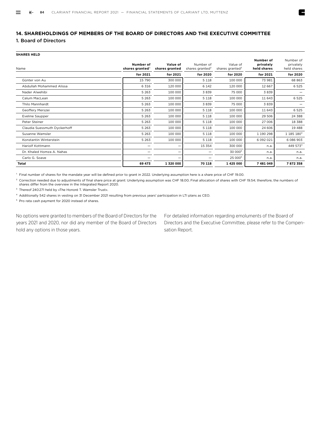## **14. SHAREHOLDINGS OF MEMBERS OF THE BOARD OF DIRECTORS AND THE EXECUTIVE COMMITTEE**

## 1. Board of Directors

**SHARES HELD** 

| Name                         | Number of<br>shares granted $1$ | Value of<br>shares granted | Number of<br>shares granted <sup>2</sup> | Value of<br>shares granted <sup>2</sup> | Number of<br>privately<br>held shares | Number of<br>privately<br>held shares |
|------------------------------|---------------------------------|----------------------------|------------------------------------------|-----------------------------------------|---------------------------------------|---------------------------------------|
|                              | for 2021                        | for 2021                   | for 2020                                 | for 2020                                | for 2021                              | for 2020                              |
| Günter von Au                | 15 790                          | 300 000                    | 5 1 1 8                                  | 100 000                                 | 73 981                                | 68 863                                |
| Abdullah Mohammed Alissa     | 6 3 1 6                         | 120 000                    | 6 1 4 2                                  | 120 000                                 | 12 667                                | 6 5 2 5                               |
| Nader Alwehibi               | 5 2 6 3                         | 100 000                    | 3839                                     | 75 000                                  | 3839                                  |                                       |
| Calum MacLean                | 5 2 6 3                         | 100 000                    | 5 1 1 8                                  | 100 000                                 | 11 643                                | 6 5 2 5                               |
| Thilo Mannhardt              | 5 2 6 3                         | 100 000                    | 3839                                     | 75 000                                  | 3839                                  |                                       |
| Geoffery Merszei             | 5 2 6 3                         | 100 000                    | 5 1 1 8                                  | 100 000                                 | 11 643                                | 6 5 2 5                               |
| <b>Eveline Saupper</b>       | 5 2 6 3                         | 100 000                    | 5 1 1 8                                  | 100 000                                 | 29 506                                | 24 388                                |
| Peter Steiner                | 5 2 6 3                         | 100 000                    | 5 1 1 8                                  | 100 000                                 | 27 006                                | 18 3 88                               |
| Claudia Suessmuth Dyckerhoff | 5 2 6 3                         | 100 000                    | 5 1 1 8                                  | 100 000                                 | 24 60 6                               | 19 4 88                               |
| Susanne Wamsler              | 5 2 6 3                         | 100 000                    | 5 1 1 8                                  | 100 000                                 | 1 190 298                             | 1 185 180 <sup>3</sup>                |
| Konstantin Winterstein       | 5 2 6 3                         | 100 000                    | 5 1 1 8                                  | 100 000                                 | 6 092 021                             | 6 086 903                             |
| Hariolf Kottmann             |                                 |                            | 15 3 5 4                                 | 300 000                                 | n.a.                                  | 449 5734                              |
| Dr. Khaled Homza A. Nahas    |                                 | —                          |                                          | 30 000 <sup>5</sup>                     | n.a.                                  | n.a.                                  |
| Carlo G. Soave               |                                 |                            |                                          | 25 000 <sup>5</sup>                     | n.a.                                  | n.a.                                  |
| <b>Total</b>                 | 69 473                          | 1 320 000                  | 70 118                                   | 1 425 000                               | 7 481 049                             | 7872358                               |

1 Final number of shares for the mandate year will be defined prior to grant in 2022. Underlying assumption here is a share price of CHF 19.00.

<sup>2</sup> Correction needed due to adjustments of final share price at grant: Underlying assumption was CHF 18.00; Final allocation of shares with CHF 19.54; therefore, the numbers of shares differ from the overview in the Integrated Report 2020.

3 Thereof 240 271 held by »The Honoré T. Wamsler Trust«.

4 Additionally 542 shares in vesting on 31 December 2021 resulting from previous years' participation in LTI plans as CEO.

5 Pro rata cash payment for 2020 instead of shares.

No options were granted to members of the Board of Directors for the years 2021 and 2020, nor did any member of the Board of Directors hold any options in those years.

For detailed information regarding emoluments of the Board of Directors and the Executive Committee, please refer to the Compensation Report.

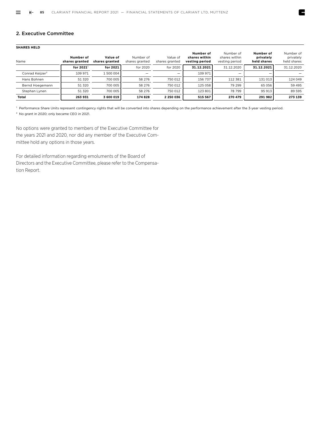#### 2. Executive Committee

#### **SHARES HELD**

| Name                        | Number of<br>shares granted | Value of<br>shares granted | Number of<br>shares granted | Value of<br>shares granted | Number of<br>shares within<br>vesting period | Number of<br>shares within<br>vesting period | Number of<br>privately<br>held shares | Number of<br>privately<br>held shares |
|-----------------------------|-----------------------------|----------------------------|-----------------------------|----------------------------|----------------------------------------------|----------------------------------------------|---------------------------------------|---------------------------------------|
|                             | for $20211$                 | for 2021                   | for 2020                    | for 2020                   | 31.12.2021                                   | 31.12.2020                                   | 31.12.2021                            | 31.12.2020                            |
| Conrad Keiizer <sup>2</sup> | 109 971                     | 1 500 004                  |                             |                            | 109 971                                      | —                                            | –                                     |                                       |
| Hans Bohnen                 | 51 320                      | 700 005                    | 58 276                      | 750 012                    | 156 737                                      | 112 381                                      | 131 013                               | 124 049                               |
| Bernd Hoegemann             | 51 320                      | 700 005                    | 58 276                      | 750 012                    | 125 058                                      | 79 299                                       | 65 056                                | 59 495                                |
| Stephan Lynen               | 51 320                      | 700 005                    | 58 276                      | 750 012                    | 123 801                                      | 78 799                                       | 95 913                                | 89 595                                |
| <b>Total</b>                | 263 931                     | 3 600 019                  | 174 828                     | 2 250 036                  | 515 567                                      | 270 479                                      | 291 982                               | 273 139                               |

1 Performance Share Units represent contingency rights that will be converted into shares depending on the performance achievement after the 3-year vesting period.

2 No grant in 2020; only became CEO in 2021.

No options were granted to members of the Executive Committee for the years 2021 and 2020, nor did any member of the Executive Committee hold any options in those years.

For detailed information regarding emoluments of the Board of Directors and the Executive Committee, please refer to the Compensation Report.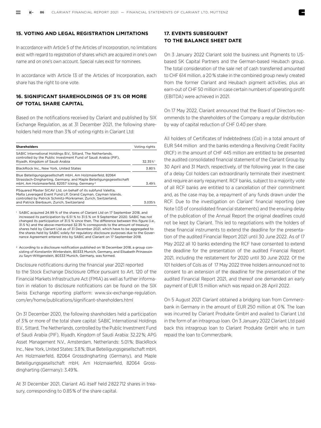#### **15. VOTING AND LEGAL REGISTRATION LIMITATIONS**

In accordance with Article 5 of the Articles of Incorporation, no limitations exist with regard to registration of shares which are acquired in one's own name and on one's own account. Special rules exist for nominees.

In accordance with Article 13 of the Articles of Incorporation, each share has the right to one vote.

## **16. SIGNIFICANT SHAREHOLDINGS OF 3 % OR MORE OF TOTAL SHARE CAPITAL**

Based on the notifications received by Clariant and published by SIX Exchange Regulation, as at 31 December 2021, the following shareholders held more than 3 % of voting rights in Clariant Ltd:

| <b>Shareholders</b>                                                                                                                                                                                                                        | Voting rights |
|--------------------------------------------------------------------------------------------------------------------------------------------------------------------------------------------------------------------------------------------|---------------|
| SABIC International Holdings B.V., Sittard, The Netherlands,<br>controlled by the Public Investment Fund of Saudi Arabia (PIF),<br>Rivadh, Kingdom of Saudi Arabia                                                                         | 32.35%1       |
| BlackRock Inc., New York, United States                                                                                                                                                                                                    | 3.80%         |
| Blue Beteiligungsgesellschaft mbH, Am Holzmaierfeld, 82064<br>Strasslach-Dingharting, Germany, and Maple Beteiligungsgesellschaft<br>mbH. Am Holzmaierfeld, 82057 Icking, Germany <sup>2</sup>                                             | 3.49%         |
| PSquared Master SICAV Ltd, on behalf of its subfund Valetta,<br>Malta Leveraged Event Fund LP, Grand Cayman, Cayman Islands,<br>controlled by Patrick Schmitz-Morkramer, Zurich, Switzerland,<br>and Patrick Bierbaum, Zurich, Switzerland | 3.035%        |

SABIC acquired 24.99 % of the shares of Clariant Ltd on 17 September 2018, and increased its participation by 6.51 % to 31.5 % on 9 September 2020. SABIC has not changed its participation of 31.5 % since then. The difference between this figure (i.e., 31.5 %) and the above-mentioned 32.35 % corresponds to the amount of treasury shares held by Clariant Ltd as of 31 December 2021, which have to be aggregated to the shares held by SABIC solely for regulatory disclosure purposes due to the Governance Agreement entered into by SABIC and Clariant on 17 September 2018.

 $2$  According to a disclosure notification published on 18 December 2018, a group consisting of Konstantin Winterstein, 80333 Munich, Germany, and Elisabeth Prinzessin zu Sayn-Wittgenstein, 80333 Munich, Germany, was formed.

Disclosure notifications during the financial year 2021 reported to the Stock Exchange Disclosure Office pursuant to Art. 120 of the Financial Markets Infrastructure Act (FMIA) as well as further information in relation to disclosure notifications can be found on the SIX Swiss Exchange reporting platform: www.six-exchange-regulation. com/en/home/publications/significant-shareholders.html

On 31 December 2020, the following shareholders held a participation of 3 % or more of the total share capital: SABIC International Holdings B.V., Sittard, The Netherlands, controlled by the Public Investment Fund of Saudi Arabia (PIF), Riyadh, Kingdom of Saudi Arabia: 32.22 %; APG Asset Management N.V., Amsterdam, Netherlands: 5.01 %; BlackRock Inc., New York, United States: 3.8 %; Blue Beteiligungsgesellschaft mbH, Am Holzmaierfeld, 82064 Grossdingharting (Germany), and Maple Beteiligungsgesellschaft mbH, Am Holzmaierfeld, 82064 Grossdingharting (Germany): 3.49 %.

At 31 December 2021, Clariant AG itself held 2 822 712 shares in treasury, corresponding to 0.85 % of the share capital.

### **17. EVENTS SUBSEQUENT TO THE BALANCE SHEET DATE**

On 3 January 2022 Clariant sold the business unit Pigments to USbased SK Capital Partners and the German-based Heubach group. The total consideration of the sale net of cash transferred amounted to CHF 614 million, a 20 % stake in the combined group newly created from the former Clariant and Heubach pigment activities, plus an earn-out of CHF 50 million in case certain numbers of operating profit (EBITDA) were achieved in 2021.

On 17 May 2022, Clariant announced that the Board of Directors recommends to the shareholders of the Company a regular distribution by way of capital reduction of CHF 0.40 per share.

All holders of Certificates of Indebtedness (CoI) in a total amount of EUR 544 million and the banks extending a Revolving Credit Facility (RCF) in the amount of CHF 445 million are entitled to be presented the audited consolidated financial statement of the Clariant Group by 30 April and 31 March, respectively, of the following year. In the case of a delay CoI holders can extraordinarily terminate their investment and require an early repayment. RCF banks, subject to a majority vote of all RCF banks are entitled to a cancellation of their commitment and, as the case may be, a repayment of any funds drawn under the RCF. Due to the investigation on Clariant' financial reporting (see Note 1.03 of consolidated financial statements) and the ensuing delay of the publication of the Annual Report the original deadlines could not be kept by Clariant. This led to negotiations with the holders of these financial instruments to extend the deadline for the presentation of the audited Financial Report 2021 until 30 June 2022. As of 17 May 2022 all 10 banks extending the RCF have consented to extend the deadline for the presentation of the audited Financial Report 2021, including the restatement for 2020 until 30 June 2022. Of the 101 holders of CoIs as of 17 May 2022 three holders announced not to consent to an extension of the deadline for the presentation of the audited Financial Report 2021, and thereof one demanded an early payment of EUR 13 million which was repaid on 28 April 2022.

On 5 August 2021 Clariant obtained a bridging loan from Commerzbank in Germany in the amount of EUR 250 million at 0 %. The loan was incurred by Clariant Produkte GmbH and availed to Clariant Ltd in the form of an intragroup loan. On 3 January 2022 Clariant Ltd paid back this intragroup loan to Clariant Produkte GmbH who in turn repaid the loan to Commerzbank.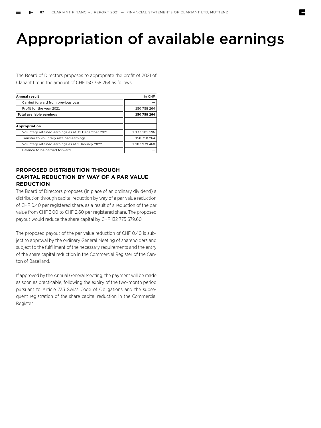## Appropriation of available earnings

The Board of Directors proposes to appropriate the profit of 2021 of Clariant Ltd in the amount of CHF 150 758 264 as follows.

| <b>Annual result</b>                               | in CHF        |
|----------------------------------------------------|---------------|
| Carried forward from previous year                 |               |
| Profit for the year 2021                           | 150 758 264   |
| <b>Total available earnings</b>                    | 150 758 264   |
|                                                    |               |
| Appropriation                                      |               |
| Voluntary retained earnings as at 31 December 2021 | 1 137 181 196 |
| Transfer to voluntary retained earnings            | 150 758 264   |
| Voluntary retained earnings as at 1 January 2022   | 1 287 939 460 |
| Balance to be carried forward                      |               |

## **PROPOSED DISTRIBUTION THROUGH CAPITAL REDUCTION BY WAY OF A PAR VALUE REDUCTION**

The Board of Directors proposes (in place of an ordinary dividend) a distribution through capital reduction by way of a par value reduction of CHF 0.40 per registered share, as a result of a reduction of the par value from CHF 3.00 to CHF 2.60 per registered share. The proposed payout would reduce the share capital by CHF 132 775 679.60.

The proposed payout of the par value reduction of CHF 0.40 is subject to approval by the ordinary General Meeting of shareholders and subject to the fulfillment of the necessary requirements and the entry of the share capital reduction in the Commercial Register of the Canton of Baselland.

If approved by the Annual General Meeting, the payment will be made as soon as practicable, following the expiry of the two-month period pursuant to Article 733 Swiss Code of Obligations and the subsequent registration of the share capital reduction in the Commercial Register.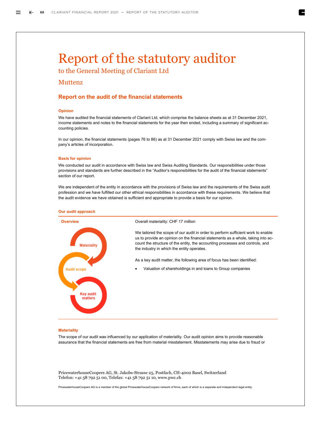## Report of the statutory auditor

to the General Meeting of Clariant Ltd

## Muttenz

#### **Report on the audit of the financial statements**

#### **Opinion**

We have audited the financial statements of Clariant Ltd, which comprise the balance sheets as at 31 December 2021, income statements and notes to the financial statements for the year then ended, including a summary of significant accounting policies.

In our opinion, the financial statements (pages 76 to 86) as at 31 December 2021 comply with Swiss law and the company's articles of incorporation.

#### **Basis for opinion**

We conducted our audit in accordance with Swiss law and Swiss Auditing Standards. Our responsibilities under those provisions and standards are further described in the "Auditor's responsibilities for the audit of the financial statements" section of our report.

We are independent of the entity in accordance with the provisions of Swiss law and the requirements of the Swiss audit profession and we have fulfilled our other ethical responsibilities in accordance with these requirements. We believe that the audit evidence we have obtained is sufficient and appropriate to provide a basis for our opinion.



#### **Materiality**

The scope of our audit was influenced by our application of materiality. Our audit opinion aims to provide reasonable assurance that the financial statements are free from material misstatement. Misstatements may arise due to fraud or

PricewaterhouseCoopers AG, St. Jakobs-Strasse 25, Postfach, CH-4002 Basel, Switzerland Telefon: +41 58 792 51 00, Telefax: +41 58 792 51 10, www.pwc.ch

PricewaterhouseCoopers AG is a member of the global PricewaterhouseCoopers network of firms, each of which is a separate and independent legal entity.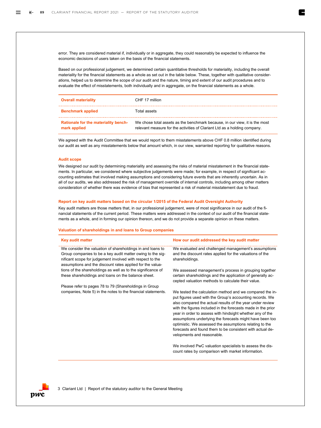error. They are considered material if, individually or in aggregate, they could reasonably be expected to influence the economic decisions of users taken on the basis of the financial statements.

Based on our professional judgement, we determined certain quantitative thresholds for materiality, including the overall materiality for the financial statements as a whole as set out in the table below. These, together with qualitative considerations, helped us to determine the scope of our audit and the nature, timing and extent of our audit procedures and to evaluate the effect of misstatements, both individually and in aggregate, on the financial statements as a whole.

| <b>Overall materiality</b>                           | CHF 17 million                                                                                                                                           |
|------------------------------------------------------|----------------------------------------------------------------------------------------------------------------------------------------------------------|
| <b>Benchmark applied</b>                             | Total assets.                                                                                                                                            |
| Rationale for the materiality bench-<br>mark applied | We chose total assets as the benchmark because, in our view, it is the most<br>relevant measure for the activities of Clariant Ltd as a holding company. |

We agreed with the Audit Committee that we would report to them misstatements above CHF 0.8 million identified during our audit as well as any misstatements below that amount which, in our view, warranted reporting for qualitative reasons.

#### **Audit scope**

We designed our audit by determining materiality and assessing the risks of material misstatement in the financial statements. In particular, we considered where subjective judgements were made; for example, in respect of significant accounting estimates that involved making assumptions and considering future events that are inherently uncertain. As in all of our audits, we also addressed the risk of management override of internal controls, including among other matters consideration of whether there was evidence of bias that represented a risk of material misstatement due to fraud.

#### **Report on key audit matters based on the circular 1/2015 of the Federal Audit Oversight Authority**

Key audit matters are those matters that, in our professional judgement, were of most significance in our audit of the financial statements of the current period. These matters were addressed in the context of our audit of the financial statements as a whole, and in forming our opinion thereon, and we do not provide a separate opinion on these matters.

#### **Valuation of shareholdings in and loans to Group companies**

| <b>Key audit matter</b>                                                                                                                                                                                                                            | How our audit addressed the key audit matter                                                                                                                                                                                                                                                                                                                                                                                                                                                                                     |
|----------------------------------------------------------------------------------------------------------------------------------------------------------------------------------------------------------------------------------------------------|----------------------------------------------------------------------------------------------------------------------------------------------------------------------------------------------------------------------------------------------------------------------------------------------------------------------------------------------------------------------------------------------------------------------------------------------------------------------------------------------------------------------------------|
| We consider the valuation of shareholdings in and loans to<br>Group companies to be a key audit matter owing to the sig-<br>nificant scope for judgement involved with respect to the<br>assumptions and the discount rates applied for the valua- | We evaluated and challenged management's assumptions<br>and the discount rates applied for the valuations of the<br>shareholdings.                                                                                                                                                                                                                                                                                                                                                                                               |
| tions of the shareholdings as well as to the significance of<br>these shareholdings and loans on the balance sheet.                                                                                                                                | We assessed management's process in grouping together<br>certain shareholdings and the application of generally ac-<br>cepted valuation methods to calculate their value.                                                                                                                                                                                                                                                                                                                                                        |
| Please refer to pages 78 to 79 (Shareholdings in Group                                                                                                                                                                                             |                                                                                                                                                                                                                                                                                                                                                                                                                                                                                                                                  |
| companies, Note 5) in the notes to the financial statements.                                                                                                                                                                                       | We tested the calculation method and we compared the in-<br>put figures used with the Group's accounting records. We<br>also compared the actual results of the year under review<br>with the figures included in the forecasts made in the prior<br>year in order to assess with hindsight whether any of the<br>assumptions underlying the forecasts might have been too<br>optimistic. We assessed the assumptions relating to the<br>forecasts and found them to be consistent with actual de-<br>velopments and reasonable. |
|                                                                                                                                                                                                                                                    | We involved PwC valuation specialists to assess the dis-<br>count rates by comparison with market information.                                                                                                                                                                                                                                                                                                                                                                                                                   |

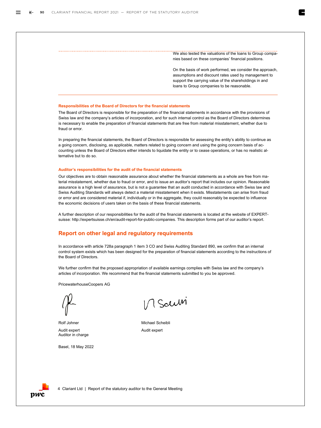We also tested the valuations of the loans to Group companies based on these companies' financial positions.

On the basis of work performed, we consider the approach, assumptions and discount rates used by management to support the carrying value of the shareholdings in and loans to Group companies to be reasonable.

#### **Responsibilities of the Board of Directors for the financial statements**

The Board of Directors is responsible for the preparation of the financial statements in accordance with the provisions of Swiss law and the company's articles of incorporation, and for such internal control as the Board of Directors determines is necessary to enable the preparation of financial statements that are free from material misstatement, whether due to fraud or error.

In preparing the financial statements, the Board of Directors is responsible for assessing the entity's ability to continue as a going concern, disclosing, as applicable, matters related to going concern and using the going concern basis of accounting unless the Board of Directors either intends to liquidate the entity or to cease operations, or has no realistic alternative but to do so.

#### **Auditor's responsibilities for the audit of the financial statements**

Our objectives are to obtain reasonable assurance about whether the financial statements as a whole are free from material misstatement, whether due to fraud or error, and to issue an auditor's report that includes our opinion. Reasonable assurance is a high level of assurance, but is not a guarantee that an audit conducted in accordance with Swiss law and Swiss Auditing Standards will always detect a material misstatement when it exists. Misstatements can arise from fraud or error and are considered material if, individually or in the aggregate, they could reasonably be expected to influence the economic decisions of users taken on the basis of these financial statements.

A further description of our responsibilities for the audit of the financial statements is located at the website of EXPERTsuisse: http://expertsuisse.ch/en/audit-report-for-public-companies. This description forms part of our auditor's report.

#### **Report on other legal and regulatory requirements**

In accordance with article 728a paragraph 1 item 3 CO and Swiss Auditing Standard 890, we confirm that an internal control system exists which has been designed for the preparation of financial statements according to the instructions of the Board of Directors.

We further confirm that the proposed appropriation of available earnings complies with Swiss law and the company's articles of incorporation. We recommend that the financial statements submitted to you be approved.

PricewaterhouseCoopers AG



Audit expert Auditor in charge

Basel, 18 May 2022

1/ Saum

Rolf Johner Michael Scheibli Audit expert

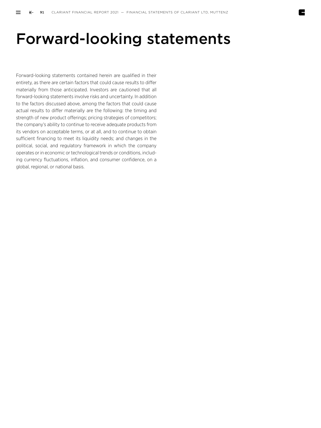## Forward-looking statements

Forward-looking statements contained herein are qualified in their entirety, as there are certain factors that could cause results to differ materially from those anticipated. Investors are cautioned that all forward-looking statements involve risks and uncertainty. In addition to the factors discussed above, among the factors that could cause actual results to differ materially are the following: the timing and strength of new product offerings; pricing strategies of competitors; the company's ability to continue to receive adequate products from its vendors on acceptable terms, or at all, and to continue to obtain sufficient financing to meet its liquidity needs; and changes in the political, social, and regulatory framework in which the company operates or in economic or technological trends or conditions, including currency fluctuations, inflation, and consumer confidence, on a global, regional, or national basis.